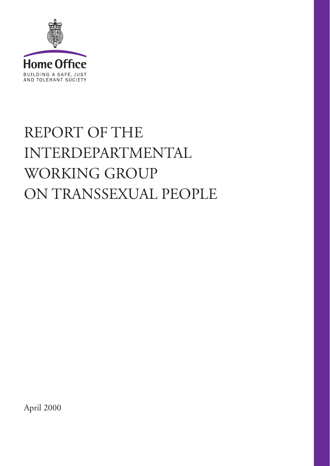

# REPORT OF THE INTERDEPARTMENTAL WORKING GROUP ON TRANSSEXUAL PEOPLE

April 2000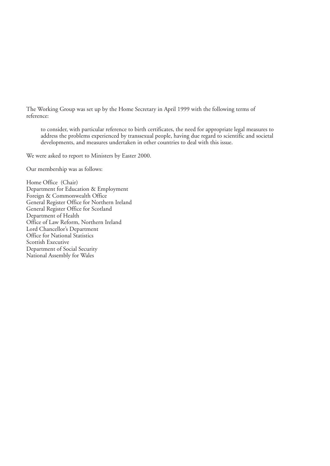The Working Group was set up by the Home Secretary in April 1999 with the following terms of reference:

to consider, with particular reference to birth certificates, the need for appropriate legal measures to address the problems experienced by transsexual people, having due regard to scientific and societal developments, and measures undertaken in other countries to deal with this issue.

We were asked to report to Ministers by Easter 2000.

Our membership was as follows:

Home Office (Chair) Department for Education & Employment Foreign & Commonwealth Office General Register Office for Northern Ireland General Register Office for Scotland Department of Health Office of Law Reform, Northern Ireland Lord Chancellor's Department Office for National Statistics Scottish Executive Department of Social Security National Assembly for Wales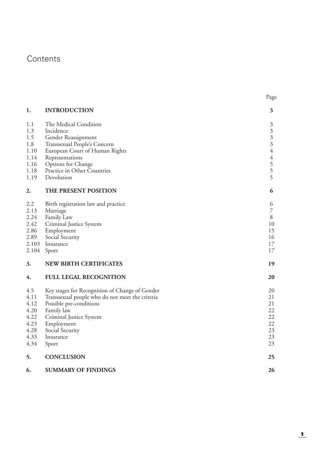# **Contents**

|                                                                     |                                                                                                                                                                                                                              | Page                                                                                                                   |
|---------------------------------------------------------------------|------------------------------------------------------------------------------------------------------------------------------------------------------------------------------------------------------------------------------|------------------------------------------------------------------------------------------------------------------------|
| 1.                                                                  | <b>INTRODUCTION</b>                                                                                                                                                                                                          | 3                                                                                                                      |
| 1.1<br>1.3<br>1.5<br>1.8<br>1.10<br>1.14<br>1.16<br>1.18<br>1.19    | The Medical Condition<br>Incidence<br>Gender Reassignment<br>Transsexual People's Concern<br>European Court of Human Rights<br>Representations<br>Options for Change<br>Practice in Other Countries<br>Devolution            | $\mathfrak{Z}$<br>$\mathfrak{Z}$<br>$\mathfrak{Z}$<br>$\mathfrak{Z}$<br>$\sqrt{4}$<br>$\sqrt{4}$<br>5<br>$\frac{5}{5}$ |
| 2.                                                                  | THE PRESENT POSITION                                                                                                                                                                                                         | 6                                                                                                                      |
| 2.2<br>2.13<br>2.24<br>2.42<br>2.86<br>2.89                         | Birth registration law and practice<br>Marriage<br>Family Law<br>Criminal Justice System<br>Employment<br>Social Security<br>2.103 Insurance<br>2.104 Sport                                                                  | 6<br>$\overline{7}$<br>$8\,$<br>10<br>15<br>16<br>17<br>17                                                             |
| 3.                                                                  | NEW BIRTH CERTIFICATES                                                                                                                                                                                                       | 19                                                                                                                     |
| 4.                                                                  | <b>FULL LEGAL RECOGNITION</b>                                                                                                                                                                                                | 20                                                                                                                     |
| 4.5<br>4.11<br>4.12<br>4.20<br>4.22<br>4.23<br>4.28<br>4.33<br>4.34 | Key stages for Recognition of Change of Gender<br>Transsexual people who do not meet the criteria<br>Possible pre-conditions<br>Family law<br>Criminal Justice System<br>Employment<br>Social Security<br>Insurance<br>Sport | 20<br>21<br>21<br>22<br>22<br>22<br>23<br>23<br>23                                                                     |
| 5.                                                                  | <b>CONCLUSION</b>                                                                                                                                                                                                            | 25                                                                                                                     |
| 6.                                                                  | <b>SUMMARY OF FINDINGS</b>                                                                                                                                                                                                   | 26                                                                                                                     |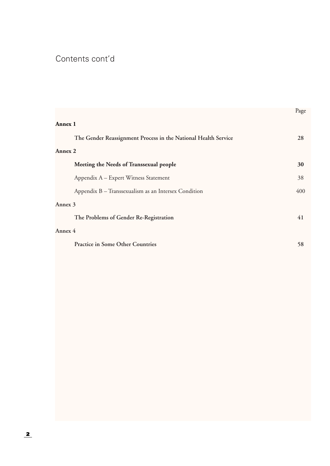# Contents cont'd

| Annex 1                                                        |     |  |  |
|----------------------------------------------------------------|-----|--|--|
| The Gender Reassignment Process in the National Health Service | 28  |  |  |
| Annex 2                                                        |     |  |  |
| Meeting the Needs of Transsexual people                        | 30  |  |  |
| Appendix A – Expert Witness Statement                          | 38  |  |  |
| Appendix B – Transsexualism as an Intersex Condition           | 400 |  |  |
| Annex 3                                                        |     |  |  |
| The Problems of Gender Re-Registration                         | 41  |  |  |
| Annex 4                                                        |     |  |  |
| <b>Practice in Some Other Countries</b>                        | 58  |  |  |

Page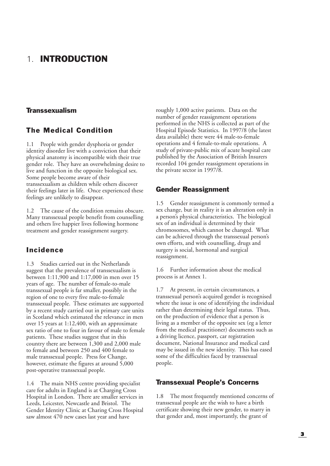# 1. INTRODUCTION

# **Transsexualism**

# The Medical Condition

1.1 People with gender dysphoria or gender identity disorder live with a conviction that their physical anatomy is incompatible with their true gender role. They have an overwhelming desire to live and function in the opposite biological sex. Some people become aware of their transsexualism as children while others discover their feelings later in life. Once experienced these feelings are unlikely to disappear.

1.2 The cause of the condition remains obscure. Many transsexual people benefit from counselling and others live happier lives following hormone treatment and gender reassignment surgery.

# Incidence

1.3 Studies carried out in the Netherlands suggest that the prevalence of transsexualism is between 1:11,900 and 1:17,000 in men over 15 years of age. The number of female-to-male transsexual people is far smaller, possibly in the region of one to every five male-to-female transsexual people. These estimates are supported by a recent study carried out in primary care units in Scotland which estimated the relevance in men over 15 years at 1:12,400, with an approximate sex ratio of one to four in favour of male to female patients. These studies suggest that in this country there are between 1,300 and 2,000 male to female and between 250 and 400 female to male transsexual people. Press for Change, however, estimate the figures at around 5,000 post-operative transsexual people.

1.4 The main NHS centre providing specialist care for adults in England is at Charging Cross Hospital in London. There are smaller services in Leeds, Leicester, Newcastle and Bristol. The Gender Identity Clinic at Charing Cross Hospital saw almost 470 new cases last year and have

roughly 1,000 active patients. Data on the number of gender reassignment operations performed in the NHS is collected as part of the Hospital Episode Statistics. In 1997/8 (the latest data available) there were 44 male-to-female operations and 4 female-to-male operations. A study of private-public mix of acute hospital care published by the Association of British Insurers recorded 104 gender reassignment operations in the private sector in 1997/8.

### Gender Reassignment

1.5 Gender reassignment is commonly termed a sex change, but in reality it is an alteration only in a person's physical characteristics. The biological sex of an individual is determined by their chromosomes, which cannot be changed. What can be achieved through the transsexual person's own efforts, and with counselling, drugs and surgery is social, hormonal and surgical reassignment.

1.6 Further information about the medical process is at Annex 1.

1.7 At present, in certain circumstances, a transsexual person's acquired gender is recognised where the issue is one of identifying the individual rather than determining their legal status. Thus, on the production of evidence that a person is living as a member of the opposite sex (eg a letter from the medical practitioner) documents such as a driving licence, passport, car registration document, National Insurance and medical card may be issued in the new identity. This has eased some of the difficulties faced by transsexual people.

### Transsexual People's Concerns

1.8 The most frequently mentioned concerns of transsexual people are the wish to have a birth certificate showing their new gender, to marry in that gender and, most importantly, the grant of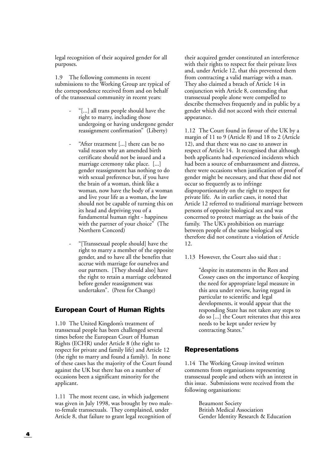legal recognition of their acquired gender for all purposes.

1.9 The following comments in recent submissions to the Working Group are typical of the correspondence received from and on behalf of the transsexual community in recent years:

- "[...] all trans people should have the right to marry, including those undergoing or having undergone gender reassignment confirmation" (Liberty)
- "After treatment [...] there can be no valid reason why an amended birth certificate should not be issued and a marriage ceremony take place. [...] gender reassignment has nothing to do with sexual preference but, if you have the brain of a woman, think like a woman, now have the body of a woman and live your life as a woman, the law should not be capable of turning this on its head and depriving you of a fundamental human right - happiness with the partner of your choice" (The Northern Concord)
- "[Transsexual people should] have the right to marry a member of the opposite gender, and to have all the benefits that accrue with marriage for ourselves and our partners. [They should also] have the right to retain a marriage celebrated before gender reassignment was undertaken". (Press for Change)

# European Court of Human Rights

1.10 The United Kingdom's treatment of transsexual people has been challenged several times before the European Court of Human Rights (ECHR) under Article 8 (the right to respect for private and family life) and Article 12 (the right to marry and found a family). In none of these cases has the majority of the Court found against the UK but there has on a number of occasions been a significant minority for the applicant.

1.11 The most recent case, in which judgement was given in July 1998, was brought by two maleto-female transsexuals. They complained, under Article 8, that failure to grant legal recognition of

their acquired gender constituted an interference with their rights to respect for their private lives and, under Article 12, that this prevented them from contracting a valid marriage with a man. They also claimed a breach of Article 14 in conjunction with Article 8, contending that transsexual people alone were compelled to describe themselves frequently and in public by a gender which did not accord with their external appearance.

1.12 The Court found in favour of the UK by a margin of 11 to 9 (Article 8) and 18 to 2 (Article 12), and that there was no case to answer in respect of Article 14. It recognised that although both applicants had experienced incidents which had been a source of embarrassment and distress, there were occasions when justification of proof of gender might be necessary, and that these did not occur so frequently as to infringe disproportionately on the right to respect for private life. As in earlier cases, it noted that Article 12 referred to traditional marriage between persons of opposite biological sex and was concerned to protect marriage as the basis of the family. The UK's prohibition on marriage between people of the same biological sex therefore did not constitute a violation of Article 12.

1.13 However, the Court also said that :

"despite its statements in the Rees and Cossey cases on the importance of keeping the need for appropriate legal measure in this area under review, having regard in particular to scientific and legal developments, it would appear that the responding State has not taken any steps to do so [...] the Court reiterates that this area needs to be kept under review by contracting States."

# Representations

1.14 The Working Group invited written comments from organisations representing transsexual people and others with an interest in this issue. Submissions were received from the following organisations:

> Beaumont Society British Medical Association Gender Identity Research & Education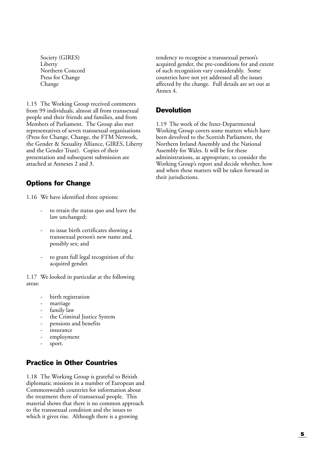Society (GIRES) Liberty Northern Concord Press for Change Change

1.15 The Working Group received comments from 99 individuals, almost all from transsexual people and their friends and families, and from Members of Parliament. The Group also met representatives of seven transsexual organisations (Press for Change, Change, the FTM Network, the Gender & Sexuality Alliance, GIRES, Liberty and the Gender Trust). Copies of their presentation and subsequent submission are attached at Annexes 2 and 3.

# Options for Change

1.16 We have identified three options:

- to retain the status quo and leave the law unchanged;
- to issue birth certificates showing a transsexual person's new name and, possibly sex; and
- to grant full legal recognition of the acquired gender.

1.17 We looked in particular at the following areas:

- birth registration
- marriage
- family law
- the Criminal Justice System
- pensions and benefits
- insurance
- employment
- sport.

# Practice in Other Countries

1.18 The Working Group is grateful to British diplomatic missions in a number of European and Commonwealth countries for information about the treatment there of transsexual people. This material shows that there is no common approach to the transsexual condition and the issues to which it gives rise. Although there is a growing

tendency to recognise a transsexual person's acquired gender, the pre-conditions for and extent of such recognition vary considerably. Some countries have not yet addressed all the issues affected by the change. Full details are set out at Annex 4.

# **Devolution**

1.19 The work of the Inter-Departmental Working Group covers some matters which have been devolved to the Scottish Parliament, the Northern Ireland Assembly and the National Assembly for Wales. It will be for these administrations, as appropriate, to consider the Working Group's report and decide whether, how and when these matters will be taken forward in their jurisdictions.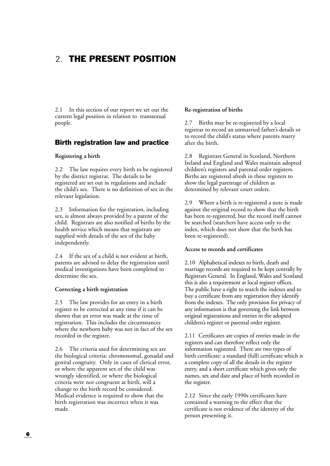# 2. THE PRESENT POSITION

2.1 In this section of our report we set out the current legal position in relation to transsexual people.

# Birth registration law and practice

#### **Registering a birth**

2.2 The law requires every birth to be registered by the district registrar. The details to be registered are set out in regulations and include the child's sex. There is no definition of sex in the relevant legislation.

2.3 Information for the registration, including sex, is almost always provided by a parent of the child. Registrars are also notified of births by the health service which means that registrars are supplied with details of the sex of the baby independently.

2.4 If the sex of a child is not evident at birth, parents are advised to delay the registration until medical investigations have been completed to determine the sex.

#### **Correcting a birth registration**

2.5 The law provides for an entry in a birth register to be corrected at any time if it can be shown that an error was made at the time of registration. This includes the circumstances where the newborn baby was not in fact of the sex recorded in the register.

2.6 The criteria used for determining sex are the biological criteria: chromosomal, gonadal and genital congruity. Only in cases of clerical error, or where the apparent sex of the child was wrongly identified, or where the biological criteria were not congruent at birth, will a change to the birth record be considered. Medical evidence is required to show that the birth registration was incorrect when it was made.

#### **Re-registration of births**

2.7 Births may be re-registered by a local registrar to record an unmarried father's details or to record the child's status where parents marry after the birth.

2.8 Registrars General in Scotland, Northern Ireland and England and Wales maintain adopted children's registers and parental order registers. Births are registered afresh in these registers to show the legal parentage of children as determined by relevant court orders.

2.9 Where a birth is re-registered a note is made against the original record to show that the birth has been re-registered, but the record itself cannot be searched (searchers have access only to the index, which does not show that the birth has been re-registered).

#### **Access to records and certificates**

2.10 Alphabetical indexes to birth, death and marriage records are required to be kept centrally by Registrars General. In England, Wales and Scotland this is also a requirement at local register offices. The public have a right to search the indexes and to buy a certificate from any registration they identify from the indexes. The only provision for privacy of any information is that governing the link between original registrations and entries in the adopted children's register or parental order register.

2.11 Certificates are copies of entries made in the registers and can therefore reflect only the information registered. There are two types of birth certificate: a standard (full) certificate which is a complete copy of all the details in the register entry, and a short certificate which gives only the names, sex and date and place of birth recorded in the register.

2.12 Since the early 1990s certificates have contained a warning to the effect that the certificate is not evidence of the identity of the person presenting it.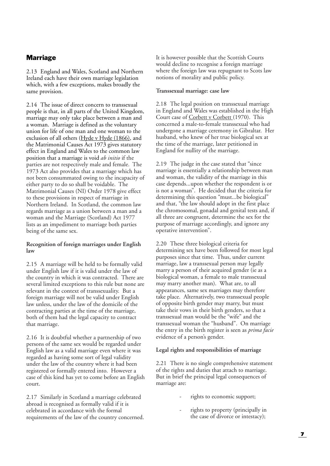# Marriage

2.13 England and Wales, Scotland and Northern Ireland each have their own marriage legislation which, with a few exceptions, makes broadly the same provision.

2.14 The issue of direct concern to transsexual people is that, in all parts of the United Kingdom, marriage may only take place between a man and a woman. Marriage is defined as the voluntary union for life of one man and one woman to the exclusion of all others (Hyde v Hyde (1866), and the Matrimonial Causes Act 1973 gives statutory effect in England and Wales to the common law position that a marriage is void *ab initio* if the parties are not respectively male and female. The 1973 Act also provides that a marriage which has not been consummated owing to the incapacity of either party to do so shall be voidable. The Matrimonial Causes (NI) Order 1978 give effect to these provisions in respect of marriage in Northern Ireland. In Scotland, the common law regards marriage as a union between a man and a woman and the Marriage (Scotland) Act 1977 lists as an impediment to marriage both parties being of the same sex.

#### **Recognition of foreign marriages under English law**

2.15 A marriage will be held to be formally valid under English law if it is valid under the law of the country in which it was contracted. There are several limited exceptions to this rule but none are relevant in the context of transsexuality. But a foreign marriage will not be valid under English law unless, under the law of the domicile of the contracting parties at the time of the marriage, both of them had the legal capacity to contract that marriage.

2.16 It is doubtful whether a partnership of two persons of the same sex would be regarded under English law as a valid marriage even where it was regarded as having some sort of legal validity under the law of the country where it had been registered or formally entered into. However a case of this kind has yet to come before an English court.

2.17 Similarly in Scotland a marriage celebrated abroad is recognised as formally valid if it is celebrated in accordance with the formal requirements of the law of the country concerned. It is however possible that the Scottish Courts would decline to recognise a foreign marriage where the foreign law was repugnant to Scots law notions of morality and public policy.

#### **Transsexual marriage: case law**

2.18 The legal position on transsexual marriage in England and Wales was established in the High Court case of Corbett v Corbett (1970). This concerned a male-to-female transsexual who had undergone a marriage ceremony in Gibraltar. Her husband, who knew of her true biological sex at the time of the marriage, later petitioned in England for nullity of the marriage.

2.19 The judge in the case stated that "since marriage is essentially a relationship between man and woman, the validity of the marriage in this case depends...upon whether the respondent is or is not a woman". He decided that the criteria for determining this question "must...be biological" and that, "the law should adopt in the first place the chromosomal, gonadal and genital tests and, if all three are congruent, determine the sex for the purpose of marriage accordingly, and ignore any operative intervention".

2.20 These three biological criteria for determining sex have been followed for most legal purposes since that time. Thus, under current marriage, law a transsexual person may legally marry a person of their acquired gender (ie as a biological woman, a female to male transsexual may marry another man). What are, to all appearances, same sex marriages may therefore take place. Alternatively, two transsexual people of opposite birth gender may marry, but must take their vows in their birth genders, so that a transsexual man would be the "wife" and the transsexual woman the "husband". On marriage the entry in the birth register is seen as *prima facie* evidence of a person's gender.

#### **Legal rights and responsibilities of marriage**

2.21 There is no single comprehensive statement of the rights and duties that attach to marriage. But in brief the principal legal consequences of marriage are:

- rights to economic support;
- rights to property (principally in the case of divorce or intestacy);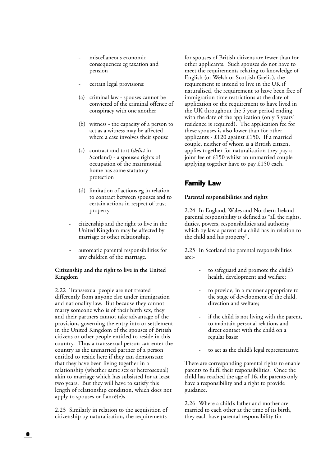- miscellaneous economic consequences eg taxation and pension
- certain legal provisions:
- (a) criminal law spouses cannot be convicted of the criminal offence of conspiracy with one another
- (b) witness the capacity of a person to act as a witness may be affected where a case involves their spouse
- (c) contract and tort (*delict* in Scotland) - a spouse's rights of occupation of the matrimonial home has some statutory protection
- (d) limitation of actions eg in relation to contract between spouses and to certain actions in respect of trust property
- citizenship and the right to live in the United Kingdom may be affected by marriage or other relationship.
- automatic parental responsibilities for any children of the marriage.

### **Citizenship and the right to live in the United Kingdom**

2.22 Transsexual people are not treated differently from anyone else under immigration and nationality law. But because they cannot marry someone who is of their birth sex, they and their partners cannot take advantage of the provisions governing the entry into or settlement in the United Kingdom of the spouses of British citizens or other people entitled to reside in this country. Thus a transsexual person can enter the country as the unmarried partner of a person entitled to reside here if they can demonstate that they have been living together in a relationship (whether same sex or heterosexual) akin to marriage which has subsisted for at least two years. But they will have to satisfy this length of relationship condition, which does not apply to spouses or fiancé(e)s.

2.23 Similarly in relation to the acquisition of citizenship by naturalisation, the requirements

for spouses of British citizens are fewer than for other applicants. Such spouses do not have to meet the requirements relating to knowledge of English (or Welsh or Scottish Gaelic), the requirement to intend to live in the UK if naturalised, the requirement to have been free of immigration time restrictions at the date of application or the requirement to have lived in the UK throughout the 5 year period ending with the date of the application (only 3 years' residence is required). The application fee for these spouses is also lower than for other applicants - £120 against £150. If a married couple, neither of whom is a British citizen, applies together for naturalisation they pay a joint fee of £150 whilst an unmarried couple applying together have to pay £150 each.

# Family Law

# **Parental responsibilities and rights**

2.24 In England, Wales and Northern Ireland parental responsibility is defined as "all the rights, duties, powers, responsibilities and authority which by law a parent of a child has in relation to the child and his property".

2.25 In Scotland the parental responsibilities are:-

- to safeguard and promote the child's health, development and welfare;
- to provide, in a manner appropriate to the stage of development of the child, direction and welfare;
- if the child is not living with the parent, to maintain personal relations and direct contact with the child on a regular basis;
- to act as the child's legal representative.

There are corresponding parental rights to enable parents to fulfil their responsibilities. Once the child has reached the age of 16, the parents only have a responsibility and a right to provide guidance.

2.26 Where a child's father and mother are married to each other at the time of its birth, they each have parental responsibility (in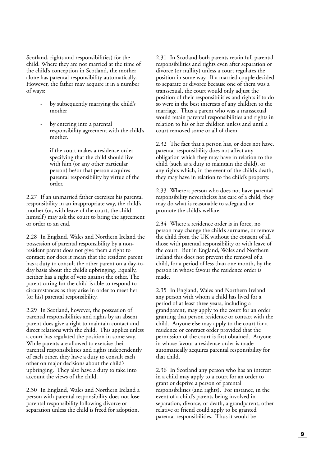Scotland, rights and responsibilities) for the child. Where they are not married at the time of the child's conception in Scotland, the mother alone has parental responsibility automatically. However, the father may acquire it in a number of ways:

- by subsequently marrying the child's mother
- by entering into a parental responsibility agreement with the child's mother.
- if the court makes a residence order specifying that the child should live with him (or any other particular person) he/or that person acquires parental responsibility by virtue of the order.

2.27 If an unmarried father exercises his parental responsibility in an inappropriate way, the child's mother (or, with leave of the court, the child himself) may ask the court to bring the agreement or order to an end.

2.28 In England, Wales and Northern Ireland the possession of parental responsibility by a nonresident parent does not give them a right to contact; nor does it mean that the resident parent has a duty to consult the other parent on a day-today basis about the child's upbringing. Equally, neither has a right of veto against the other. The parent caring for the child is able to respond to circumstances as they arise in order to meet her (or his) parental responsibility.

2.29 In Scotland, however, the possession of parental responsibilities and rights by an absent parent does give a right to maintain contact and direct relations with the child. This applies unless a court has regulated the position in some way. While parents are allowed to exercise their parental responsibilities and rights independently of each other, they have a duty to consult each other on major decisions about the child's upbringing. They also have a duty to take into account the views of the child.

2.30 In England, Wales and Northern Ireland a person with parental responsibility does not lose parental responsibility following divorce or separation unless the child is freed for adoption.

2.31 In Scotland both parents retain full parental responsibilities and rights even after separation or divorce (or nullity) unless a court regulates the position in some way. If a married couple decided to separate or divorce because one of them was a transsexual, the court would only adjust the position of their responsibilities and rights if to do so were in the best interests of any children to the marriage. Thus a parent who was a transsexual would retain parental responsibilities and rights in relation to his or her children unless and until a court removed some or all of them.

2.32 The fact that a person has, or does not have, parental responsibility does not affect any obligation which they may have in relation to the child (such as a duty to maintain the child), or any rights which, in the event of the child's death, they may have in relation to the child's property.

2.33 Where a person who does not have parental responsibility nevertheless has care of a child, they may do what is reasonable to safeguard or promote the child's welfare.

2.34 Where a residence order is in force, no person may change the child's surname, or remove the child from the UK without the consent of all those with parental responsibility or with leave of the court. But in England, Wales and Northern Ireland this does not prevent the removal of a child, for a period of less than one month, by the person in whose favour the residence order is made.

2.35 In England, Wales and Northern Ireland any person with whom a child has lived for a period of at least three years, including a grandparent, may apply to the court for an order granting that person residence or contact with the child. Anyone else may apply to the court for a residence or contract order provided that the permission of the court is first obtained. Anyone in whose favour a residence order is made automatically acquires parental responsibility for that child.

2.36 In Scotland any person who has an interest in a child may apply to a court for an order to grant or deprive a person of parental responsibilities (and rights). For instance, in the event of a child's parents being involved in separation, divorce, or death, a grandparent, other relative or friend could apply to be granted parental responsibilities. Thus it would be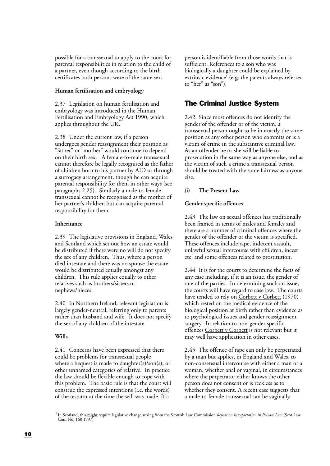possible for a transsexual to apply to the court for parental responsibilities in relation to the child of a partner, even though according to the birth certificates both persons were of the same sex.

### **Human fertilisation and embryology**

2.37 Legislation on human fertilisation and embryology was introduced in the Human Fertilisation and Embryology Act 1990, which applies throughout the UK.

2.38 Under the current law, if a person undergoes gender reassignment their position as "father" or "mother" would continue to depend on their birth sex. A female-to-male transsexual cannot therefore be legally recognised as the father of children born to his partner by AID or through a surrogacy arrangement, though he can acquire parental responsibility for them in other ways (see paragraphs 2.25). Similarly a male-to-female transsexual cannot be recognised as the mother of her partner's children but can acquire parental responsibility for them.

### **Inheritance**

2.39 The legislative provisions in England, Wales and Scotland which set out how an estate would be distributed if there were no will do not specify the sex of any children. Thus, where a person died intestate and there was no spouse the estate would be distributed equally amongst any children. This rule applies equally to other relatives such as brothers/sisters or nephews/nieces.

2.40 In Northern Ireland, relevant legislation is largely gender-neutral, referring only to parents rather than husband and wife. It does not specify the sex of any children of the intestate.

### **Wills**

2.41 Concerns have been expressed that there could be problems for transsexual people where a bequest is made to daughter(s)/son(s), or other unnamed categories of relative. In practice the law should be flexible enough to cope with this problem. The basic rule is that the court will construe the expressed intentions (i.e. the words) of the testator at the time the will was made. If a

person is identifiable from those words that is sufficient. References to a son who was biologically a daughter could be explained by extrinsic evidence $^{1}$  (e.g. the parents always referred to "her" as "son").

# The Criminal Justice System

2.42 Since most offences do not identify the gender of the offender or of the victim, a transsexual person ought to be in exactly the same position as any other person who commits or is a victim of crime in the substantive criminal law. As an offender he or she will be liable to prosecution in the same way as anyone else, and as the victim of such a crime a transsexual person should be treated with the same fairness as anyone else.

### (i) **The Present Law**

### **Gender specific offences**

2.43 The law on sexual offences has traditionally been framed in terms of males and females and there are a number of criminal offences where the gender of the offender or the victim is specified. These offences include rape, indecent assault, unlawful sexual intercourse with children, incest etc. and some offences related to prostitution.

2.44 It is for the courts to determine the facts of any case including, if it is an issue, the gender of one of the parties. In determining such an issue, the courts will have regard to case law. The courts have tended to rely on Corbett v Corbett (1970) which rested on the medical evidence of the biological position at birth rather than evidence as to psychological issues and gender reassignment surgery. In relation to non-gender specific offences Corbett v Corbett is not relevant but it may well have application in other cases.

2.45 The offence of rape can only be perpetrated by a man but applies, in England and Wales, to non-consensual intercourse with either a man or a woman, whether anal or vaginal, in circumstances where the perpetrator either knows the other person does not consent or is reckless as to whether they consent. A recent case suggests that a male-to-female transsexual can be vaginally

<sup>&</sup>lt;sup>1</sup> In Scotland, this might require legislative change arising from the Scottish Law Commission *Report on Interpretation in Private Law* (Scot Law Com No. 160 1997)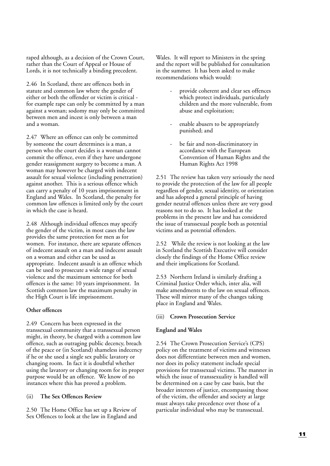raped although, as a decision of the Crown Court, rather than the Court of Appeal or House of Lords, it is not technically a binding precedent.

2.46 In Scotland, there are offences both in statute and common law where the gender of either or both the offender or victim is critical for example rape can only be committed by a man against a woman; sodomy may only be committed between men and incest is only between a man and a woman.

2.47 Where an offence can only be committed by someone the court determines is a man, a person who the court decides is a woman cannot commit the offence, even if they have undergone gender reassignment surgery to become a man. A woman may however be charged with indecent assault for sexual violence (including penetration) against another. This is a serious offence which can carry a penalty of 10 years imprisonment in England and Wales. In Scotland, the penalty for common law offences is limited only by the court in which the case is heard.

2.48 Although individual offences may specify the gender of the victim, in most cases the law provides the same protection for men as for women. For instance, there are separate offences of indecent assault on a man and indecent assault on a woman and either can be used as appropriate. Indecent assault is an offence which can be used to prosecute a wide range of sexual violence and the maximum sentence for both offences is the same: 10 years imprisonment. In Scottish common law the maximum penalty in the High Court is life imprisonment.

#### **Other offences**

2.49 Concern has been expressed in the transsexual community that a transsexual person might, in theory, be charged with a common law offence, such as outraging public decency, breach of the peace or (in Scotland) shameless indecency if he or she used a single sex public lavatory or changing room. In fact it is doubtful whether using the lavatory or changing room for its proper purpose would be an offence. We know of no instances where this has proved a problem.

#### (ii) **The Sex Offences Review**

2.50 The Home Office has set up a Review of Sex Offences to look at the law in England and Wales. It will report to Ministers in the spring and the report will be published for consultation in the summer. It has been asked to make recommendations which would:

- provide coherent and clear sex offences which protect individuals, particularly children and the more vulnerable, from abuse and exploitation;
- enable abusers to be appropriately punished; and
- be fair and non-discriminatory in accordance with the European Convention of Human Rights and the Human Rights Act 1998

2.51 The review has taken very seriously the need to provide the protection of the law for all people regardless of gender, sexual identity, or orientation and has adopted a general principle of having gender neutral offences unless there are very good reasons not to do so. It has looked at the problems in the present law and has considered the issue of transsexual people both as potential victims and as potential offenders.

2.52 While the review is not looking at the law in Scotland the Scottish Executive will consider closely the findings of the Home Office review and their implications for Scotland.

2.53 Northern Ireland is similarly drafting a Criminal Justice Order which, inter alia, will make amendments to the law on sexual offences. These will mirror many of the changes taking place in England and Wales.

#### (iii) **Crown Prosecution Service**

#### **England and Wales**

2.54 The Crown Prosecution Service's (CPS) policy on the treatment of victims and witnesses does not differentiate between men and women, nor does its policy statement include special provisions for transsexual victims. The manner in which the issue of transsexuality is handled will be determined on a case by case basis, but the broader interests of justice, encompassing those of the victim, the offender and society at large must always take precedence over those of a particular individual who may be transsexual.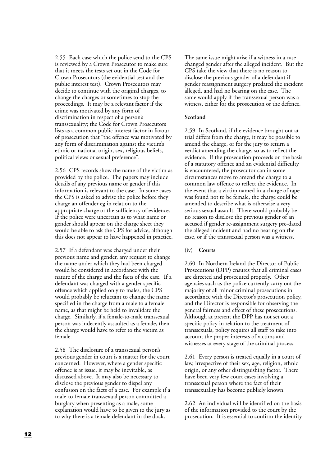2.55 Each case which the police send to the CPS is reviewed by a Crown Prosecutor to make sure that it meets the tests set out in the Code for Crown Prosecutors (the evidential test and the public interest test). Crown Prosecutors may decide to continue with the original charges, to change the charges or sometimes to stop the proceedings. It may be a relevant factor if the crime was motivated by any form of discrimination in respect of a person's transsexuality; the Code for Crown Prosecutors lists as a common public interest factor in favour of prosecution that "the offence was motivated by any form of discrimination against the victim's ethnic or national origin, sex, religious beliefs, political views or sexual preference".

2.56 CPS records show the name of the victim as provided by the police. The papers may include details of any previous name or gender if this information is relevant to the case. In some cases the CPS is asked to advise the police before they charge an offender eg in relation to the appropriate charge or the sufficiency of evidence. If the police were uncertain as to what name or gender should appear on the charge sheet they would be able to ask the CPS for advice, although this does not appear to have happened in practice.

2.57 If a defendant was charged under their previous name and gender, any request to change the name under which they had been charged would be considered in accordance with the nature of the charge and the facts of the case. If a defendant was charged with a gender specific offence which applied only to males, the CPS would probably be reluctant to change the name specified in the charge from a male to a female name, as that might be held to invalidate the charge. Similarly, if a female-to-male transsexual person was indecently assaulted as a female, then the charge would have to refer to the victim as female.

2.58 The disclosure of a transsexual person's previous gender in court is a matter for the court concerned. However, where a gender specific offence is at issue, it may be inevitable, as discussed above. It may also be necessary to disclose the previous gender to dispel any confusion on the facts of a case. For example if a male-to-female transsexual person committed a burglary when presenting as a male, some explanation would have to be given to the jury as to why there is a female defendant in the dock.

The same issue might arise if a witness in a case changed gender after the alleged incident. But the CPS take the view that there is no reason to disclose the previous gender of a defendant if gender reassignment surgery predated the incident alleged, and had no bearing on the case. The same would apply if the transsexual person was a witness, either for the prosecution or the defence.

#### **Scotland**

2.59 In Scotland, if the evidence brought out at trial differs from the charge, it may be possible to amend the charge, or for the jury to return a verdict amending the charge, so as to reflect the evidence. If the prosecution proceeds on the basis of a statutory offence and an evidential difficulty is encountered, the prosecutor can in some circumstances move to amend the charge to a common law offence to reflect the evidence. In the event that a victim named in a charge of rape was found not to be female, the charge could be amended to describe what is otherwise a very serious sexual assault. There would probably be no reason to disclose the previous gender of an accused if gender re-assignment surgery pre-dated the alleged incident and had no bearing on the case, or if the transsexual person was a witness.

#### (iv) **Courts**

2.60 In Northern Ireland the Director of Public Prosecutions (DPP) ensures that all criminal cases are directed and prosecuted properly. Other agencies such as the police currently carry out the majority of all minor criminal prosecutions in accordance with the Director's prosecution policy, and the Director is responsible for observing the general fairness and effect of these prosecutions. Although at present the DPP has not set out a specific policy in relation to the treatment of transsexuals, policy requires all staff to take into account the proper interests of victims and witnesses at every stage of the criminal process.

2.61 Every person is treated equally in a court of law, irrespective of their sex, age, religion, ethnic origin, or any other distinguishing factor. There have been very few court cases involving a transsexual person where the fact of their transsexuality has become publicly known.

2.62 An individual will be identified on the basis of the information provided to the court by the prosecution. It is essential to confirm the identity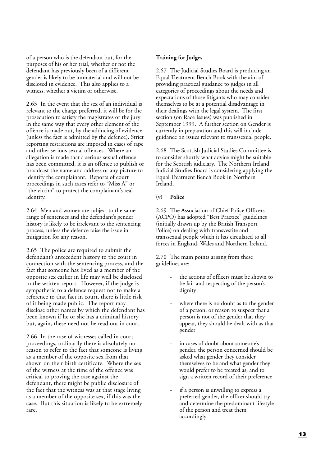of a person who is the defendant but, for the purposes of his or her trial, whether or not the defendant has previously been of a different gender is likely to be immaterial and will not be disclosed in evidence. This also applies to a witness, whether a victim or otherwise.

2.63 In the event that the sex of an individual is relevant to the charge preferred, it will be for the prosecution to satisfy the magistrates or the jury in the same way that every other element of the offence is made out, by the adducing of evidence (unless the fact is admitted by the defence). Strict reporting restrictions are imposed in cases of rape and other serious sexual offences. Where an allegation is made that a serious sexual offence has been committed, it is an offence to publish or broadcast the name and address or any picture to identify the complainant. Reports of court proceedings in such cases refer to "Miss A" or "the victim" to protect the complainant's real identity.

2.64 Men and women are subject to the same range of sentences and the defendant's gender history is likely to be irrelevant to the sentencing process, unless the defence raise the issue in mitigation for any reason.

2.65 The police are required to submit the defendant's antecedent history to the court in connection with the sentencing process, and the fact that someone has lived as a member of the opposite sex earlier in life may well be disclosed in the written report. However, if the judge is sympathetic to a defence request not to make a reference to that fact in court, there is little risk of it being made public. The report may disclose other names by which the defendant has been known if he or she has a criminal history but, again, these need not be read out in court.

2.66 In the case of witnesses called in court proceedings, ordinarily there is absolutely no reason to refer to the fact that someone is living as a member of the opposite sex from that shown on their birth certificate. Where the sex of the witness at the time of the offence was critical to proving the case against the defendant, there might be public disclosure of the fact that the witness was at that stage living as a member of the opposite sex, if this was the case. But this situation is likely to be extremely rare.

#### **Training for Judges**

2.67 The Judicial Studies Board is producing an Equal Treatment Bench Book with the aim of providing practical guidance to judges in all categories of proceedings about the needs and expectations of those litigants who may consider themselves to be at a potential disadvantage in their dealings with the legal system. The first section (on Race Issues) was published in September 1999. A further section on Gender is currently in preparation and this will include guidance on issues relevant to transsexual people.

2.68 The Scottish Judicial Studies Committee is to consider shortly what advice might be suitable for the Scottish judiciary. The Northern Ireland Judicial Studies Board is considering applying the Equal Treatment Bench Book in Northern Ireland.

(v) **Police**

2.69 The Association of Chief Police Officers (ACPO) has adopted "Best Practice" guidelines (initially drawn up by the British Transport Police) on dealing with transvestite and transsexual people which it has circulated to all forces in England, Wales and Northern Ireland.

2.70 The main points arising from these guidelines are:

- the actions of officers must be shown to be fair and respecting of the person's dignity
- where there is no doubt as to the gender of a person, or reason to suspect that a person is not of the gender that they appear, they should be dealt with as that gender
- in cases of doubt about someone's gender, the person concerned should be asked what gender they consider themselves to be and what gender they would prefer to be treated as, and to sign a written record of their preference
- if a person is unwilling to express a preferred gender, the officer should try and determine the predominant lifestyle of the person and treat them accordingly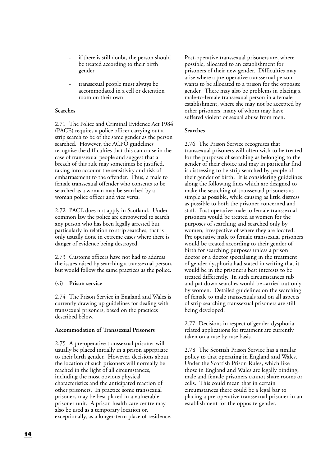- if there is still doubt, the person should be treated according to their birth gender
- transsexual people must always be accommodated in a cell or detention room on their own

### **Searches**

2.71 The Police and Criminal Evidence Act 1984 (PACE) requires a police officer carrying out a strip search to be of the same gender as the person searched. However, the ACPO guidelines recognise the difficulties that this can cause in the case of transsexual people and suggest that a breach of this rule may sometimes be justified, taking into account the sensitivity and risk of embarrassment to the offender. Thus, a male to female transsexual offender who consents to be searched as a woman may be searched by a woman police officer and vice versa.

2.72 PACE does not apply in Scotland. Under common law the police are empowered to search any person who has been legally arrested but particularly in relation to strip searches, that is only usually done in extreme cases where there is danger of evidence being destroyed.

2.73 Customs officers have not had to address the issues raised by searching a transsexual person, but would follow the same practices as the police.

#### (vi) **Prison service**

2.74 The Prison Service in England and Wales is currently drawing up guidelines for dealing with transsexual prisoners, based on the practices described below.

#### **Accommodation of Transsexual Prisoners**

2.75 A pre-operative transsexual prisoner will usually be placed initially in a prison apprpriate to their birth gender. However, decisions about the location of such prisoners will normally be reached in the light of all circumstances, including the most obvious physical characteristics and the anticipated reaction of other prisoners. In practice some transsexual prisoners may be best placed in a vulnerable prisoner unit. A prison health care centre may also be used as a temporary location or, exceptionally, as a longer-term place of residence. Post-operative transsexual prisoners are, where possible, allocated to an establishment for prisoners of their new gender. Difficulties may arise where a pre-operative transsexual person wants to be allocated to a prison for the opposite gender. There may also be problems in placing a male-to-female transsexual person in a female establishment, where she may not be accepted by other prisoners, many of whom may have suffered violent or sexual abuse from men.

### **Searches**

2.76 The Prison Service recognises that transsexual prisoners will often wish to be treated for the purposes of searching as belonging to the gender of their choice and may in particular find it distressing to be strip searched by people of their gender of birth. It is considering guidelines along the following lines which are designed to make the searching of transsexual prisoners as simple as possible, while causing as little distress as possible to both the prisoner concerned and staff. Post operative male to female transsexual prisoners would be treated as women for the purposes of searching and searched only by women, irrespective of where they are located. Pre operative male to female transsexual prisoners would be treated according to their gender of birth for searching purposes unless a prison doctor or a doctor specialising in the treatment of gender dysphoria had stated in writing that it would be in the prisoner's best interests to be treated differently. In such circumstances rub and pat down searches would be carried out only by women. Detailed guidelines on the searching of female to male transsexuals and on all aspects of strip searching transsexual prisoners are still being developed.

2.77 Decisions in respect of gender-dysphoria related applications for treatment are currently taken on a case by case basis.

2.78 The Scottish Prison Service has a similar policy to that operating in England and Wales. Under the Scottish Prison Rules, which like those in England and Wales are legally binding, male and female prisoners cannot share rooms or cells. This could mean that in certain circumstances there could be a legal bar to placing a pre-operative transsexual prisoner in an establishment for the opposite gender.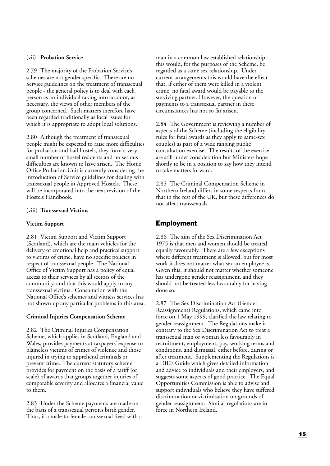#### (vii) **Probation Service**

2.79 The majority of the Probation Service's schemes are not gender specific. There are no Service guidelines on the treatment of transsexual people - the general policy is to deal with each person as an individual taking into account, as necessary, the views of other members of the group concerned. Such matters therefore have been regarded traditionally as local issues for which it is appropriate to adopt local solutions.

2.80 Although the treatment of transsexual people might be expected to raise more difficulties for probation and bail hostels, they form a very small number of hostel residents and no serious difficulties are known to have arisen. The Home Office Probation Unit is currently considering the introduction of Service guidelines for dealing with transsexual people in Approved Hostels. These will be incorporated into the next revision of the Hostels Handbook.

#### (viii) **Transsexual Victims**

#### **Victim Support**

2.81 Victim Support and Victim Support (Scotland), which are the main vehicles for the delivery of emotional help and practical support to victims of crime, have no specific policies in respect of transsexual people. The National Office of Victim Support has a policy of equal access to their services by all sectors of the community, and that this would apply to any transsexual victims. Consultation with the National Office's schemes and witness services has not shown up any particular problems in this area.

#### **Criminal Injuries Compensation Scheme**

2.82 The Criminal Injuries Compensation Scheme, which applies in Scotland, England and Wales, provides payments at taxpayers' expense to blameless victims of crimes of violence and those injured in trying to apprehend criminals or prevent crime. The current statutory scheme provides for payment on the basis of a tariff (or scale) of awards that groups together injuries of comparable severity and allocates a financial value to them.

2.83 Under the Scheme payments are made on the basis of a transsexual person's birth gender. Thus, if a male-to-female transsexual lived with a man in a common law established relationship this would, for the purposes of the Scheme, be regarded as a same sex relationship. Under current arrangements this would have the effect that, if either of them were killed in a violent crime, no fatal award would be payable to the surviving partner. However, the question of payments to a transsexual partner in these circumstances has not so far arisen.

2.84 The Government is reviewing a number of aspects of the Scheme (including the eligibility rules for fatal awards as they apply to same-sex couples) as part of a wide ranging public consultation exercise. The results of the exercise are still under consideration but Ministers hope shortly to be in a position to say how they intend to take matters forward.

2.85 The Criminal Compensation Scheme in Northern Ireland differs in some respects from that in the rest of the UK, but these differences do not affect transsexuals.

# Employment

2.86 The aim of the Sex Discrimination Act 1975 is that men and women should be treated equally favourably. There are a few exceptions where different treatment is allowed, but for most work it does not matter what sex an employee is. Given this, it should not matter whether someone has undergone gender reassignment, and they should not be treated less favourably for having done so.

2.87 The Sex Discrimination Act (Gender Reassignment) Regulations, which came into force on 1 May 1999, clarified the law relating to gender reassignment. The Regulations make it contrary to the Sex Discrimination Act to treat a transsexual man or woman less favourably in recruitment, employment, pay, working terms and conditions, and dismissal, either before, during or after treatment. Supplementing the Regulations is a DfEE Guide which gives detailed information and advice to individuals and their employers, and suggests some aspects of good practice. The Equal Opportunities Commission is able to advise and support individuals who believe they have suffered discrimination or victimisation on grounds of gender reassignment. Similar regulations are in force in Northern Ireland.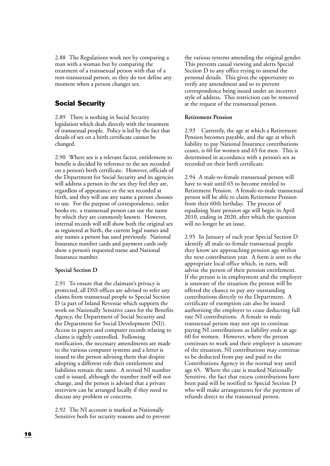2.88 The Regulations work not by comparing a man with a woman but by comparing the treatment of a transsexual person with that of a non-transsexual person, so they do not define any moment when a person changes sex.

# Social Security

2.89 There is nothing in Social Security legislation which deals directly with the treatment of transsexual people. Policy is led by the fact that details of sex on a birth certificate cannot be changed.

2.90 Where sex is a relevant factor, entitlement to benefit is decided by reference to the sex recorded on a person's birth certificate. However, officials of the Department for Social Security and its agencies will address a person in the sex they feel they are, regardless of appearance or the sex recorded at birth, and they will use any name a person chooses to use. For the purpose of correspondence, order books etc. a transsexual person can use the name by which they are commonly known. However, internal records will still show both the original sex as registered at birth, the current legal names and any names a person has used previously. National Insurance number cards and payment cards only show a person's requested name and National Insurance number.

#### **Special Section D**

2.91 To ensure that the claimant's privacy is protected, all DSS offices are advised to refer any claims from transsexual people to Special Section D (a part of Inland Revenue which supports the work on Nationally Sensitive cases for the Benefits Agency, the Department of Social Security and the Department for Social Development (NI)). Access to papers and computer records relating to claims is tightly controlled. Following notification, the necessary amendments are made to the various computer systems and a letter is issued to the person advising them that despite adopting a different role their entitlement and liabilities remain the same. A revised NI number card is issued, although the number itself will not change, and the person is advised that a private interview can be arranged locally if they need to discuss any problem or concerns.

2.92 The NI account is marked as Nationally Sensitive both for security reasons and to prevent the various systems amending the original gender. This prevents casual viewing and alerts Special Section D to any office trying to amend the personal details. This gives the opportunity to verify any amendment and so to prevent correspondence being issued under an incorrect style of address. This restriction can be removed at the request of the transsexual person.

#### **Retirement Pension**

2.93 Currently, the age at which a Retirement Pension becomes payable, and the age at which liability to pay National Insurance contributions ceases, is 60 for women and 65 for men. This is determined in accordance with a person's sex as recorded on their birth certificate.

2.94 A male-to-female transsexual person will have to wait until 65 to become entitled to Retirement Pension. A female-to-male transsexual person will be able to claim Retirement Pension from their 60th birthday. The process of equalising State pension age will begin in April 2010, ending in 2020, after which the question will no longer be an issue.

2.95 In January of each year Special Section D identify all male-to-female transsexual people they know are approaching pension age within the next contribution year. A form is sent to the appropriate local office which, in turn, will advise the person of their pension entitlement. If the person is in employment and the employer is unaware of the situation the person will be offered the chance to pay any outstanding contributions directly to the Department. A certificate of exemption can also be issued authorising the employer to cease deducting full rate NI contributions. A female to male transsexual person may not opt to continue paying NI contributions as liability ends at age 60 for women. However, where the person continues to work and their employer is unaware of the situation, NI contributions may continue to be deducted from pay and paid to the Contributions Agency in the normal way until age 65. Where the case is marked Nationally Sensitive, the fact that excess contributions have been paid will be notified to Special Section D who will make arrangements for the payment of refunds direct to the transsexual person.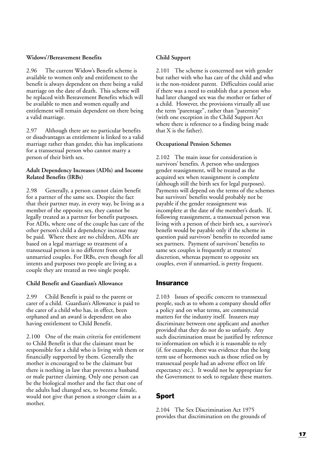#### **Widows'/Bereavement Benefits**

2.96 The current Widow's Benefit scheme is available to women only and entitlement to the benefit is always dependent on there being a valid marriage on the date of death. This scheme will be replaced with Bereavement Benefits which will be available to men and women equally and entitlement will remain dependent on there being a valid marriage.

2.97 Although there are no particular benefits or disadvantages as entitlement is linked to a valid marriage rather than gender, this has implications for a transsexual person who cannot marry a person of their birth sex.

#### **Adult Dependency Increases (ADIs) and Income Related Benefits (IRBs)**

2.98 Generally, a person cannot claim benefit for a partner of the same sex. Despite the fact that their partner may, in every way, be living as a member of the opposite sex, they cannot be legally treated as a partner for benefit purposes. For ADIs, where one of the couple has care of the other person's child a dependency increase may be paid. Where there are no children, ADIs are based on a legal marriage so treatment of a transsexual person is no different from other unmarried couples. For IRBs, even though for all intents and purposes two people are living as a couple they are treated as two single people.

#### **Child Benefit and Guardian's Allowance**

2.99 Child Benefit is paid to the parent or carer of a child. Guardian's Allowance is paid to the carer of a child who has, in effect, been orphaned and an award is dependent on also having entitlement to Child Benefit.

2.100 One of the main criteria for entitlement to Child Benefit is that the claimant must be responsible for a child who is living with them or financially supported by them. Generally the mother is encouraged to be the claimant but there is nothing in law that prevents a husband or male partner claiming. Only one person can be the biological mother and the fact that one of the adults had changed sex, to become female, would not give that person a stronger claim as a mother.

#### **Child Support**

2.101 The scheme is concerned not with gender but rather with who has care of the child and who is the non-resident parent. Difficulties could arise if there was a need to establish that a person who had later changed sex was the mother or father of a child. However, the provisions virtually all use the term "parentage", rather than "paternity" (with one exception in the Child Support Act where there is reference to a finding being made that X is the father).

#### **Occupational Pension Schemes**

2.102 The main issue for consideration is survivors' benefits. A person who undergoes gender reassignment, will be treated as the acquired sex when reassignment is complete (although still the birth sex for legal purposes). Payments will depend on the terms of the schemes but survivors' benefits would probably not be payable if the gender reassignment was incomplete at the date of the member's death. If, following reassignment, a transsexual person was living with a person of their birth sex, a survivor's benefit would be payable only if the scheme in question paid survivors' benefits to recorded same sex partners. Payment of survivors' benefits to same sex couples is frequently at trustees' discretion, whereas payment to opposite sex couples, even if unmarried, is pretty frequent.

#### Insurance

2.103 Issues of specific concern to transsexual people, such as to whom a company should offer a policy and on what terms, are commercial matters for the industry itself. Insurers may discriminate between one applicant and another provided that they do not do so unfairly. Any such discrimination must be justified by reference to information on which it is reasonable to rely (if, for example, there was evidence that the long term use of hormones such as those relied on by transsexual people had an adverse effect on life expectancy etc.). It would not be appropriate for the Government to seek to regulate these matters.

### Sport

2.104 The Sex Discrimination Act 1975 provides that discrimination on the grounds of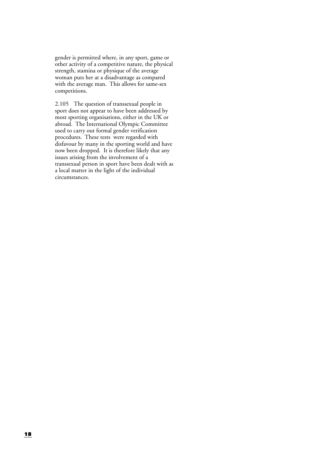gender is permitted where, in any sport, game or other activity of a competitive nature, the physical strength, stamina or physique of the average woman puts her at a disadvantage as compared with the average man. This allows for same-sex competitions.

2.105 The question of transsexual people in sport does not appear to have been addressed by most sporting organisations, either in the UK or abroad. The International Olympic Committee used to carry out formal gender verification procedures. These tests were regarded with disfavour by many in the sporting world and have now been dropped. It is therefore likely that any issues arising from the involvement of a transsexual person in sport have been dealt with as a local matter in the light of the individual circumstances.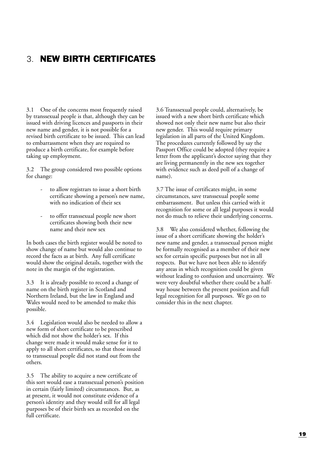# 3. NEW BIRTH CERTIFICATES

3.1 One of the concerns most frequently raised by transsexual people is that, although they can be issued with driving licences and passports in their new name and gender, it is not possible for a revised birth certificate to be issued. This can lead to embarrassment when they are required to produce a birth certificate, for example before taking up employment.

3.2 The group considered two possible options for change:

- to allow registrars to issue a short birth certificate showing a person's new name, with no indication of their sex
- to offer transsexual people new short certificates showing both their new name and their new sex

In both cases the birth register would be noted to show change of name but would also continue to record the facts as at birth. Any full certificate would show the original details, together with the note in the margin of the registration.

3.3 It is already possible to record a change of name on the birth register in Scotland and Northern Ireland, but the law in England and Wales would need to be amended to make this possible.

3.4 Legislation would also be needed to allow a new form of short certificate to be prescribed which did not show the holder's sex. If this change were made it would make sense for it to apply to all short certificates, so that those issued to transsexual people did not stand out from the others.

3.5 The ability to acquire a new certificate of this sort would ease a transsexual person's position in certain (fairly limited) circumstances. But, as at present, it would not constitute evidence of a person's identity and they would still for all legal purposes be of their birth sex as recorded on the full certificate.

3.6 Transsexual people could, alternatively, be issued with a new short birth certificate which showed not only their new name but also their new gender. This would require primary legislation in all parts of the United Kingdom. The procedures currently followed by say the Passport Office could be adopted (they require a letter from the applicant's doctor saying that they are living permanently in the new sex together with evidence such as deed poll of a change of name).

3.7 The issue of certificates might, in some circumstances, save transsexual people some embarrassment. But unless this carried with it recognition for some or all legal purposes it would not do much to relieve their underlying concerns.

3.8 We also considered whether, following the issue of a short certificate showing the holder's new name and gender, a transsexual person might be formally recognised as a member of their new sex for certain specific purposes but not in all respects. But we have not been able to identify any areas in which recognition could be given without leading to confusion and uncertainty. We were very doubtful whether there could be a halfway house between the present position and full legal recognition for all purposes. We go on to consider this in the next chapter.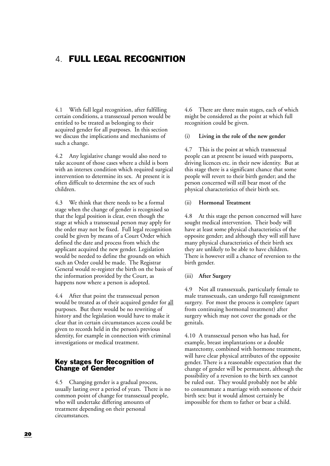# 4. FULL LEGAL RECOGNITION

4.1 With full legal recognition, after fulfilling certain conditions, a transsexual person would be entitled to be treated as belonging to their acquired gender for all purposes. In this section we discuss the implications and mechanisms of such a change.

4.2 Any legislative change would also need to take account of those cases where a child is born with an intersex condition which required surgical intervention to determine its sex. At present it is often difficult to determine the sex of such children.

4.3 We think that there needs to be a formal stage when the change of gender is recognised so that the legal position is clear, even though the stage at which a transsexual person may apply for the order may not be fixed. Full legal recognition could be given by means of a Court Order which defined the date and process from which the applicant acquired the new gender. Legislation would be needed to define the grounds on which such an Order could be made. The Registrar General would re-register the birth on the basis of the information provided by the Court, as happens now where a person is adopted.

4.4 After that point the transsexual person would be treated as of their acquired gender for all purposes. But there would be no rewriting of history and the legislation would have to make it clear that in certain circumstances access could be given to records held in the person's previous identity, for example in connection with criminal investigations or medical treatment.

### Key stages for Recognition of Change of Gender

4.5 Changing gender is a gradual process, usually lasting over a period of years. There is no common point of change for transsexual people, who will undertake differing amounts of treatment depending on their personal circumstances.

4.6 There are three main stages, each of which might be considered as the point at which full recognition could be given.

#### (i) **Living in the role of the new gender**

4.7 This is the point at which transsexual people can at present be issued with passports, driving licences etc. in their new identity. But at this stage there is a significant chance that some people will revert to their birth gender; and the person concerned will still bear most of the physical characteristics of their birth sex.

#### (ii) **Hormonal Treatment**

4.8 At this stage the person concerned will have sought medical intervention. Their body will have at least some physical characteristics of the opposite gender; and although they will still have many physical characteristics of their birth sex they are unlikely to be able to have children. There is however still a chance of reversion to the birth gender.

#### (iii) **After Surgery**

4.9 Not all transsexuals, particularly female to male transsexuals, can undergo full reassignment surgery. For most the process is complete (apart from continuing hormonal treatment) after surgery which may not cover the gonads or the genitals.

4.10 A transsexual person who has had, for example, breast implantations or a double mastectomy, combined with hormone treatment, will have clear physical attributes of the opposite gender. There is a reasonable expectation that the change of gender will be permanent, although the possibility of a reversion to the birth sex cannot be ruled out. They would probably not be able to consummate a marriage with someone of their birth sex: but it would almost certainly be impossible for them to father or bear a child.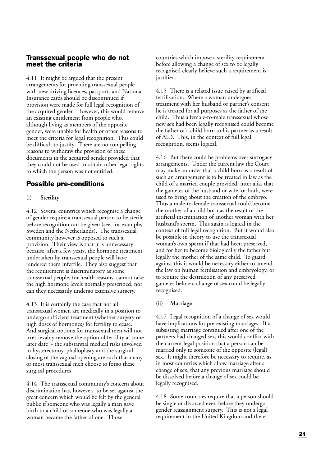### Transsexual people who do not meet the criteria

4.11 It might be argued that the present arrangements for providing transsexual people with new driving licences, passports and National Insurance cards should be discontinued if provision were made for full legal recognition of the acquired gender. However, this would remove an existing entitlement from people who, although living as members of the opposite gender, were unable for health or other reasons to meet the criteria for legal recognition. This could be difficult to justify. There are no compelling reasons to withdraw the provision of these documents in the acquired gender provided that they could not be used to obtain other legal rights to which the person was not entitled.

# Possible pre-conditions

#### (i) **Sterility**

4.12 Several countries which recognise a change of gender require a transsexual person to be sterile before recognition can be given (see, for example, Sweden and the Netherlands). The transsexual community however is opposed to such a provision. Their view is that it is unnecessary because, after a few years, the hormone treatment undertaken by transsexual people will have rendered them infertile. They also suggest that the requirement is discriminatory as some transsexual people, for health reasons, cannot take the high hormone levels normally prescribed, nor can they necessarily undergo extensive surgery.

4.13 It is certainly the case that not all transsexual women are medically in a position to undergo sufficient treatment (whether surgery or high doses of hormones) for fertility to cease. And surgical options for transsexual men will not irretrievably remove the option of fertility at some later date - the substantial medical risks involved in hysterectomy, phalloplasty and the surgical closing of the vaginal opening are such that many or most transsexual men choose to forgo these surgical procedures

4.14 The transsexual community's concern about discrimination has, however, to be set against the great concern which would be felt by the general public if someone who was legally a man gave birth to a child or someone who was legally a woman became the father of one. Those

countries which impose a sterility requirement before allowing a change of sex to be legally recognised clearly believe such a requirement is justified.

4.15 There is a related issue raised by artificial fertilisation. Where a woman undergoes treatment with her husband or partner's consent, he is treated for all purposes as the father of the child. Thus a female-to-male transsexual whose new sex had been legally recognised could become the father of a child born to his partner as a result of AID. This, in the context of full legal recognition, seems logical.

4.16 But there could be problems over surrogacy arrangements. Under the current law the Court may make an order that a child born as a result of such an arrangement is to be treated in law as the child of a married couple provided, inter alia, that the gametes of the husband or wife, or both, were used to bring about the creation of the embryo. Thus a male-to-female transsexual could become the mother of a child born as the result of the artificial insemination of another woman with her husband's sperm. This again is logical in the context of full legal recognition. But it would also be possible in theory to use the transsexual woman's own sperm if that had been preserved, and for her to become biologically the father but legally the mother of the same child. To guard against this it would be necessary either to amend the law on human fertilisation and embryology, or to require the destruction of any preserved gametes before a change of sex could be legally recognised.

#### (ii) **Marriage**

4.17 Legal recognition of a change of sex would have implications for pre-existing marriages. If a subsisting marriage continued after one of the partners had changed sex, this would conflict with the current legal position that a person can be married only to someone of the opposite (legal) sex. It might therefore be necessary to require, as in most countries which allow marriage after a change of sex, that any previous marriage should be dissolved before a change of sex could be legally recognised.

4.18 Some countries require that a person should be single or divorced even before they undergo gender reassignment surgery. This is not a legal requirement in the United Kingdom and there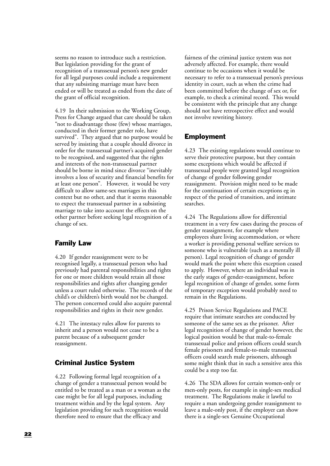seems no reason to introduce such a restriction. But legislation providing for the grant of recognition of a transsexual person's new gender for all legal purposes could include a requirement that any subsisting marriage must have been ended or will be treated as ended from the date of the grant of official recognition.

4.19 In their submission to the Working Group, Press for Change argued that care should be taken "not to disadvantage those (few) whose marriages, conducted in their former gender role, have survived". They argued that no purpose would be served by insisting that a couple should divorce in order for the transsexual partner's acquired gender to be recognised, and suggested that the rights and interests of the non-transsexual partner should be borne in mind since divorce "inevitably involves a loss of security and financial benefits for at least one person". However, it would be very difficult to allow same-sex marriages in this context but no other, and that it seems reasonable to expect the transsexual partner in a subsisting marriage to take into account the effects on the other partner before seeking legal recognition of a change of sex.

# Family Law

4.20 If gender reassignment were to be recognised legally, a transsexual person who had previously had parental responsibilities and rights for one or more children would retain all those responsibilities and rights after changing gender unless a court ruled otherwise. The records of the child's or children's birth would not be changed. The person concerned could also acquire parental responsibilities and rights in their new gender.

4.21 The intestacy rules allow for parents to inherit and a person would not cease to be a parent because of a subsequent gender reassignment.

# Criminal Justice System

4.22 Following formal legal recognition of a change of gender a transsexual person would be entitled to be treated as a man or a woman as the case might be for all legal purposes, including treatment within and by the legal system. Any legislation providing for such recognition would therefore need to ensure that the efficacy and

fairness of the criminal justice system was not adversely affected. For example, there would continue to be occasions when it would be necessary to refer to a transsexual person's previous identity in court, such as when the crime had been committed before the change of sex or, for example, to check a criminal record. This would be consistent with the principle that any change should not have retrospective effect and would not involve rewriting history.

# Employment

4.23 The existing regulations would continue to serve their protective purpose, but they contain some exceptions which would be affected if transsexual people were granted legal recognition of change of gender following gender reassignment. Provision might need to be made for the continuation of certain exceptions eg in respect of the period of transition, and intimate searches.

4.24 The Regulations allow for differential treatment in a very few cases during the process of gender reassignment, for example where employees share living accommodation, or where a worker is providing personal welfare services to someone who is vulnerable (such as a mentally ill person). Legal recognition of change of gender would mark the point where this exception ceased to apply. However, where an individual was in the early stages of gender-reassignment, before legal recognition of change of gender, some form of temporary exception would probably need to remain in the Regulations.

4.25 Prison Service Regulations and PACE require that intimate searches are conducted by someone of the same sex as the prisoner. After legal recognition of change of gender however, the logical position would be that male-to-female transsexual police and prison officers could search female prisoners and female-to-male transsexual officers could search male prisoners, although some might think that in such a sensitive area this could be a step too far.

4.26 The SDA allows for certain women-only or men-only posts, for example in single-sex medical treatment. The Regulations make it lawful to require a man undergoing gender reassignment to leave a male-only post, if the employer can show there is a single-sex Genuine Occupational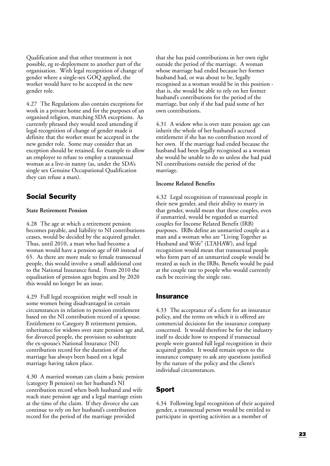Qualification and that other treatment is not possible, eg re-deployment to another part of the organisation. With legal recognition of change of gender where a single-sex GOQ applied, the worker would have to be accepted in the new gender role.

4.27 The Regulations also contain exceptions for work in a private home and for the purposes of an organised religion, matching SDA exceptions. As currently phrased they would need amending if legal recognition of change of gender made it definite that the worker must be accepted in the new gender role. Some may consider that an exception should be retained, for example to allow an employer to refuse to employ a transsexual woman as a live-in nanny (as, under the SDA's single sex Genuine Occupational Qualification they can refuse a man).

# Social Security

#### **State Retirement Pension**

4.28 The age at which a retirement pension becomes payable, and liability to NI contributions ceases, would be decided by the acquired gender. Thus, until 2010, a man who had become a woman would have a pension age of 60 instead of 65. As there are more male to female transsexual people, this would involve a small additional cost to the National Insurance fund. From 2010 the equalisation of pension ages begins and by 2020 this would no longer be an issue.

4.29 Full legal recognition might well result in some women being disadvantaged in certain circumstances in relation to pension entitlement based on the NI contribution record of a spouse. Entitlement to Category B retirement pension, inheritance for widows over state pension age and, for divorced people, the provision to substitute the ex-spouse's National Insurance (NI) contribution record for the duration of the marriage has always been based on a legal marriage having taken place.

4.30 A married woman can claim a basic pension (category B pension) on her husband's NI contribution record when both husband and wife reach state pension age and a legal marriage exists at the time of the claim. If they divorce she can continue to rely on her husband's contribution record for the period of the marriage provided

that she has paid contributions in her own right outside the period of the marriage. A woman whose marriage had ended because her former husband had, or was about to be, legally recognised as a woman would be in this position that is, she would be able to rely on her former husband's contributions for the period of the marriage, but only if she had paid some of her own contributions.

4.31 A widow who is over state pension age can inherit the whole of her husband's accrued entitlement if she has no contribution record of her own. If the marriage had ended because the husband had been legally recognised as a woman she would be unable to do so unless she had paid NI contributions outside the period of the marriage.

#### **Income Related Benefits**

4.32 Legal recognition of transsexual people in their new gender, and their ability to marry in that gender, would mean that these couples, even if unmarried, would be regarded as married couples for Income Related Benefit (IRB) purposes. IRBs define an unmarried couple as a man and a woman who are "Living Together as Husband and Wife" (LTAHAW), and legal recognition would mean that transsexual people who form part of an unmarried couple would be treated as such in the IRBs. Benefit would be paid at the couple rate to people who would currently each be receiving the single rate.

### Insurance

4.33 The acceptance of a client for an insurance policy, and the terms on which it is offered are commercial decisions for the insurance company concerned. It would therefore be for the industry itself to decide how to respond if transsexual people were granted full legal recognition in their acquired gender. It would remain open to the insurance company to ask any questions justified by the nature of the policy and the client's individual circumstances.

# Sport

4.34 Following legal recognition of their acquired gender, a transsexual person would be entitled to participate in sporting activities as a member of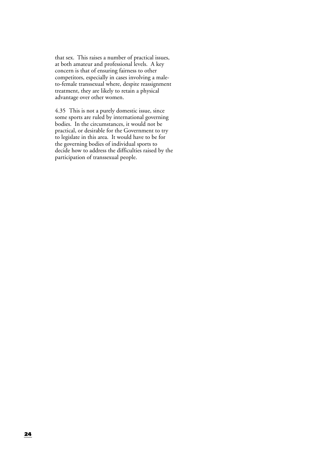that sex. This raises a number of practical issues, at both amateur and professional levels. A key concern is that of ensuring fairness to other competitors, especially in cases involving a maleto-female transsexual where, despite reassignment treatment, they are likely to retain a physical advantage over other women.

4.35 This is not a purely domestic issue, since some sports are ruled by international governing bodies. In the circumstances, it would not be practical, or desirable for the Government to try to legislate in this area. It would have to be for the governing bodies of individual sports to decide how to address the difficulties raised by the participation of transsexual people.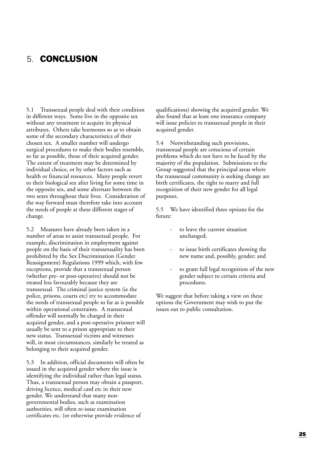# 5. CONCLUSION

5.1 Transsexual people deal with their condition in different ways. Some live in the opposite sex without any treatment to acquire its physical attributes. Others take hormones so as to obtain some of the secondary characteristics of their chosen sex. A smaller number will undergo surgical procedures to make their bodies resemble, so far as possible, those of their acquired gender. The extent of treatment may be determined by individual choice, or by other factors such as health or financial resources. Many people revert to their biological sex after living for some time in the opposite sex, and some alternate between the two sexes throughout their lives. Consideration of the way forward must therefore take into account the needs of people at these different stages of change.

5.2 Measures have already been taken in a number of areas to assist transsexual people. For example, discrimination in employment against people on the basis of their transsexuality has been prohibited by the Sex Discrimination (Gender Reassignment) Regulations 1999 which, with few exceptions, provide that a transsexual person (whether pre- or post-operative) should not be treated less favourably because they are transsexual. The criminal justice system (ie the police, prisons, courts etc) try to accommodate the needs of transsexual people so far as is possible within operational constraints. A transsexual offender will normally be charged in their acquired gender, and a post-operative prisoner will usually be sent to a prison appropriate to their new status. Transsexual victims and witnesses will, in most circumstances, similarly be treated as belonging to their acquired gender.

5.3 In addition, official documents will often be issued in the acquired gender where the issue is identifying the individual rather than legal status. Thus, a transsexual person may obtain a passport, driving licence, medical card etc in their new gender. We understand that many nongovernmental bodies, such as examination authorities, will often re-issue examination certificates etc. (or otherwise provide evidence of

qualifications) showing the acquired gender. We also found that at least one insurance company will issue policies to transsexual people in their acquired gender.

5.4 Notwithstanding such provisions, transsexual people are conscious of certain problems which do not have to be faced by the majority of the population. Submissions to the Group suggested that the principal areas where the transsexual community is seeking change are birth certificates, the right to marry and full recognition of their new gender for all legal purposes.

5.5 We have identified three options for the future:

- to leave the current situation unchanged;
- to issue birth certificates showing the new name and, possibly, gender; and
- to grant full legal recognition of the new gender subject to certain criteria and procedures.

We suggest that before taking a view on these options the Government may wish to put the issues out to public consultation.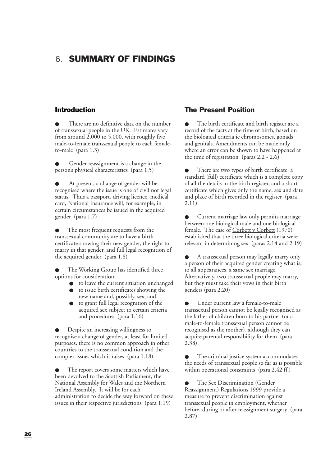# 6. SUMMARY OF FINDINGS

# Introduction

There are no definitive data on the number of transsexual people in the UK. Estimates vary from around 2,000 to 5,000, with roughly five male-to-female transsexual people to each femaleto-male (para 1.3)

Gender reassignment is a change in the person's physical characteristics (para 1.5)

At present, a change of gender will be recognised where the issue is one of civil not legal status. Thus a passport, driving licence, medical card, National Insurance will, for example, in certain circumstances be issued in the acquired gender (para 1.7)

The most frequent requests from the transsexual community are to have a birth certificate showing their new gender, the right to marry in that gender, and full legal recognition of the acquired gender (para 1.8)

The Working Group has identified three options for consideration:

- to leave the current situation unchanged
- to issue birth certificates showing the new name and, possibly, sex; and
- to grant full legal recognition of the acquired sex subject to certain criteria and procedures (para 1.16)

Despite an increasing willingness to recognise a change of gender, at least for limited purposes, there is no common approach in other countries to the transsexual condition and the complex issues which it raises (para 1.18)

The report covers some matters which have been devolved to the Scottish Parliament, the National Assembly for Wales and the Northern Ireland Assembly. It will be for each administration to decide the way forward on these issues in their respective jurisdictions (para 1.19)

# The Present Position

The birth certificate and birth register are a record of the facts at the time of birth, based on the biological criteria ie chromosomes, gonads and genitals. Amendments can be made only where an error can be shown to have happened at the time of registration (paras 2.2 - 2.6)

There are two types of birth certificate: a standard (full) certificate which is a complete copy of all the details in the birth register, and a short certificate which gives only the name, sex and date and place of birth recorded in the register (para 2.11)

● Current marriage law only permits marriage between one biological male and one biological female. The case of Corbett v Corbett (1970) established that the three biological criteria were relevant in determining sex (paras 2.14 and 2.19)

A transsexual person may legally marry only a person of their acquired gender creating what is, to all appearances, a same sex marriage. Alternatively, two transsexual people may marry, but they must take their vows in their birth genders (para 2.20)

● Under current law a female-to-male transsexual person cannot be legally recognised as the father of children born to his partner (or a male-to-female transsexual person cannot be recognised as the mother), although they can acquire parental responsibility for them (para 2.38)

The criminal justice system accommodates the needs of transsexual people so far as is possible within operational constraints (para 2.42 ff.)

The Sex Discrimination (Gender Reassignment) Regulations 1999 provide a measure to prevent discrimination against transsexual people in employment, whether before, during or after reassignment surgery (para 2.87)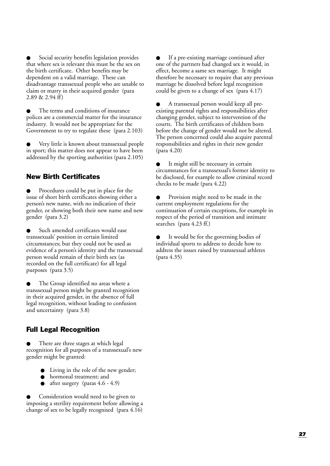Social security benefits legislation provides that where sex is relevant this must be the sex on the birth certificate. Other benefits may be dependent on a valid marriage. These can disadvantage transsexual people who are unable to claim or marry in their acquired gender (para 2.89 & 2.94 ff)

The terms and conditions of insurance polices are a commercial matter for the insurance industry. It would not be appropriate for the Government to try to regulate these (para 2.103)

Very little is known about transsexual people in sport; this matter does not appear to have been addressed by the sporting authorities (para 2.105)

# New Birth Certificates

Procedures could be put in place for the issue of short birth certificates showing either a person's new name, with no indication of their gender, or showing both their new name and new gender (para 3.2)

Such amended certificates would ease transsexuals' position in certain limited circumstances; but they could not be used as evidence of a person's identity and the transsexual person would remain of their birth sex (as recorded on the full certificate) for all legal purposes (para 3.5)

The Group identified no areas where a transsexual person might be granted recognition in their acquired gender, in the absence of full legal recognition, without leading to confusion and uncertainty (para 3.8)

# Full Legal Recognition

There are three stages at which legal recognition for all purposes of a transsexual's new gender might be granted:

- Living in the role of the new gender;
- hormonal treatment; and
- after surgery (paras  $4.6 4.9$ )

Consideration would need to be given to imposing a sterility requirement before allowing a change of sex to be legally recognised (para 4.16)

If a pre-existing marriage continued after one of the partners had changed sex it would, in effect, become a same sex marriage. It might therefore be necessary to require that any previous marriage be dissolved before legal recognition could be given to a change of sex (para 4.17)

A transsexual person would keep all preexisting parental rights and responsibilities after changing gender, subject to intervention of the courts. The birth certificates of children born before the change of gender would not be altered. The person concerned could also acquire parental responsibilities and rights in their new gender (para 4.20)

It might still be necessary in certain circumstances for a transsexual's former identity to be disclosed, for example to allow criminal record checks to be made (para 4.22)

Provision might need to be made in the current employment regulations for the continuation of certain exceptions, for example in respect of the period of transition and intimate searches (para 4.23 ff.)

It would be for the governing bodies of individual sports to address to decide how to address the issues raised by transsexual athletes (para 4.35)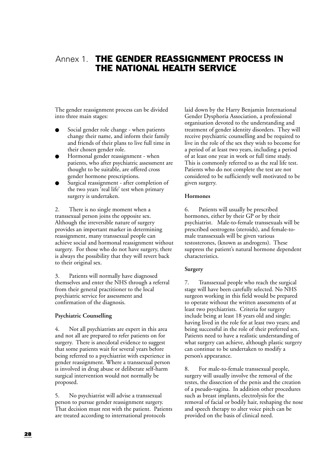# Annex 1. THE GENDER REASSIGNMENT PROCESS IN THE NATIONAL HEALTH SERVICE

The gender reassignment process can be divided into three main stages:

- Social gender role change when patients change their name, and inform their family and friends of their plans to live full time in their chosen gender role.
- Hormonal gender reassignment when patients, who after psychiatric assessment are thought to be suitable, are offered cross gender hormone prescriptions.
- Surgical reassignment after completion of the two years 'real life' test when primary surgery is undertaken.

2. There is no single moment when a transsexual person joins the opposite sex. Although the irreversible nature of surgery provides an important marker in determining reassignment, many transsexual people can achieve social and hormonal reassignment without surgery. For those who do not have surgery, there is always the possibility that they will revert back to their original sex.

3. Patients will normally have diagnosed themselves and enter the NHS through a referral from their general practitioner to the local psychiatric service for assessment and confirmation of the diagnosis.

#### **Psychiatric Counselling**

4. Not all psychiatrists are expert in this area and not all are prepared to refer patients on for surgery. There is anecdotal evidence to suggest that some patients wait for several years before being referred to a psychiatrist with experience in gender reassignment. Where a transsexual person is involved in drug abuse or deliberate self-harm surgical intervention would not normally be proposed.

5. No psychiatrist will advise a transsexual person to pursue gender reassignment surgery. That decision must rest with the patient. Patients are treated according to international protocols

laid down by the Harry Benjamin International Gender Dysphoria Association, a professional organisation devoted to the understanding and treatment of gender identity disorders. They will receive psychiatric counselling and be required to live in the role of the sex they wish to become for a period of at least two years, including a period of at least one year in work or full time study. This is commonly referred to as the real life test. Patients who do not complete the test are not considered to be sufficiently well motivated to be given surgery.

#### **Hormones**

6. Patients will usually be prescribed hormones, either by their GP or by their psychiatrist. Male-to-female transsexuals will be prescribed oestrogens (steroids), and female-tomale transsexuals will be given various testosterones, (known as androgens). These suppress the patient's natural hormone dependent characteristics.

#### **Surgery**

7. Transsexual people who reach the surgical stage will have been carefully selected. No NHS surgeon working in this field would be prepared to operate without the written assessments of at least two psychiatrists. Criteria for surgery include being at least 18 years old and single; having lived in the role for at least two years; and being successful in the role of their preferred sex. Patients need to have a realistic understanding of what surgery can achieve, although plastic surgery can continue to be undertaken to modify a person's appearance.

8. For male-to-female transsexual people, surgery will usually involve the removal of the testes, the dissection of the penis and the creation of a pseudo-vagina. In addition other procedures such as breast implants, electrolysis for the removal of facial or bodily hair, reshaping the nose and speech therapy to alter voice pitch can be provided on the basis of clinical need.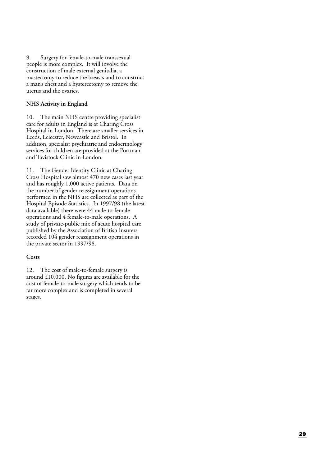9. Surgery for female-to-male transsexual people is more complex. It will involve the construction of male external genitalia, a mastectomy to reduce the breasts and to construct a man's chest and a hysterectomy to remove the uterus and the ovaries.

#### **NHS Activity in England**

10. The main NHS centre providing specialist care for adults in England is at Charing Cross Hospital in London. There are smaller services in Leeds, Leicester, Newcastle and Bristol. In addition, specialist psychiatric and endocrinology services for children are provided at the Portman and Tavistock Clinic in London.

11. The Gender Identity Clinic at Charing Cross Hospital saw almost 470 new cases last year and has roughly 1,000 active patients. Data on the number of gender reassignment operations performed in the NHS are collected as part of the Hospital Episode Statistics. In 1997/98 (the latest data available) there were 44 male-to-female operations and 4 female-to-male operations. A study of private-public mix of acute hospital care published by the Association of British Insurers recorded 104 gender reassignment operations in the private sector in 1997/98.

#### **Costs**

12. The cost of male-to-female surgery is around £10,000. No figures are available for the cost of female-to-male surgery which tends to be far more complex and is completed in several stages.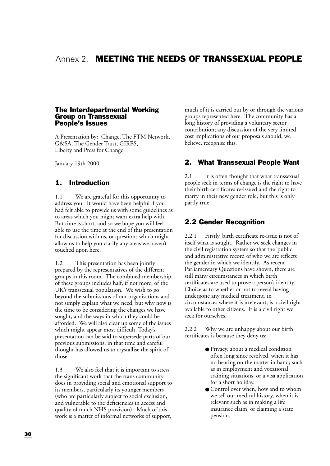#### The Interdepartmental Working Group on Transsexual People's Issues

A Presentation by: Change, The FTM Network, G&SA, The Gender Trust, GIRES, Liberty and Press for Change

January 19th 2000

# 1. Introduction

1.1 We are grateful for this opportunity to address you. It would have been helpful if you had felt able to provide us with some guidelines as to areas which you might want extra help with. But time is short, and so we hope you will feel able to use the time at the end of this presentation for discussion with us, or questions which might allow us to help you clarify any areas we haven't touched upon here.

1.2 This presentation has been jointly prepared by the representatives of the different groups in this room. The combined membership of these groups includes half, if not more, of the UK's transsexual population. We wish to go beyond the submissions of our organisations and not simply explain what we need, but why now is the time to be considering the changes we have sought, and the ways in which they could be afforded. We will also clear up some of the issues which might appear most difficult. Today's presentation can be said to supersede parts of our previous submissions, in that time and careful thought has allowed us to crystallise the spirit of those.

1.3 We also feel that it is important to stress the significant work that the trans community does in providing social and emotional support to its members, particularly its younger members (who are particularly subject to social exclusion, and vulnerable to the deficiencies in access and quality of much NHS provision). Much of this work is a matter of informal networks of support,

much of it is carried out by or through the various groups represented here. The community has a long history of providing a voluntary sector contribution; any discussion of the very limited cost implications of our proposals should, we believe, recognise this.

# 2. What Transsexual People Want

2.1 It is often thought that what transsexual people seek in terms of change is the right to have their birth certificates re-issued and the right to marry in their new gender role, but this is only partly true.

# 2.2 Gender Recognition

2.2.1 Firstly, birth certificate re-issue is not of itself what is sought. Rather we seek changes in the civil registration system so that the 'public' and administrative record of who we are reflects the gender in which we identify. As recent Parliamentary Questions have shown, there are still many circumstances in which birth certificates are used to prove a person's identity. Choice as to whether or not to reveal having undergone any medical treatment, in circumstances where it is irrelevant, is a civil right available to other citizens. It is a civil right we seek for ourselves.

2.2.2 Why we are unhappy about our birth certificates is because they deny us:

- Privacy, about a medical condition often long since resolved, when it has no bearing on the matter in hand; such as in employment and vocational training situations, or a visa application for a short holiday.
- Control over when, how and to whom we tell our medical history, when it is relevant such as in making a life insurance claim, or claiming a state pension.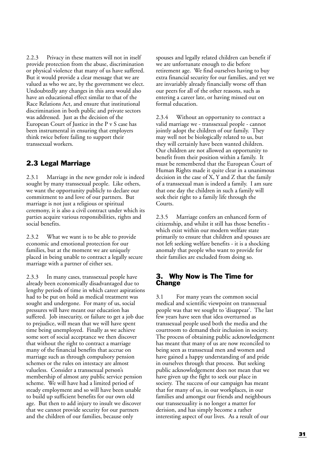2.2.3 Privacy in these matters will not in itself provide protection from the abuse, discrimination or physical violence that many of us have suffered. But it would provide a clear message that we are valued as who we are, by the government we elect. Undoubtedly any changes in this area would also have an educational effect similar to that of the Race Relations Act, and ensure that institutional discrimination in both public and private sectors was addressed. Just as the decision of the European Court of Justice in the P v S case has been instrumental in ensuring that employers think twice before failing to support their transsexual workers.

# 2.3 Legal Marriage

2.3.1 Marriage in the new gender role is indeed sought by many transsexual people. Like others, we want the opportunity publicly to declare our commitment to and love of our partners. But marriage is not just a religious or spiritual ceremony, it is also a civil contract under which its parties acquire various responsibilities, rights and social benefits.

2.3.2 What we want is to be able to provide economic and emotional protection for our families, but at the moment we are uniquely placed in being unable to contract a legally secure marriage with a partner of either sex.

2.3.3 In many cases, transsexual people have already been economically disadvantaged due to lengthy periods of time in which career aspirations had to be put on hold as medical treatment was sought and undergone. For many of us, social pressures will have meant our education has suffered. Job insecurity, or failure to get a job due to prejudice, will mean that we will have spent time being unemployed. Finally as we achieve some sort of social acceptance we then discover that without the right to contract a marriage many of the financial benefits that accrue on marriage such as through compulsory pension schemes or the rules on intestacy are almost valueless. Consider a transsexual person's membership of almost any public service pension scheme. We will have had a limited period of steady employment and so will have been unable to build up sufficient benefits for our own old age. But then to add injury to insult we discover that we cannot provide security for our partners and the children of our families, because only

spouses and legally related children can benefit if we are unfortunate enough to die before retirement age. We find ourselves having to buy extra financial security for our families, and yet we are invariably already financially worse off than our peers for all of the other reasons, such as entering a career late, or having missed out on formal education.

2.3.4 Without an opportunity to contract a valid marriage we - transsexual people - cannot jointly adopt the children of our family. They may well not be biologically related to us, but they will certainly have been wanted children. Our children are not allowed an opportunity to benefit from their position within a family. It must be remembered that the European Court of Human Rights made it quite clear in a unanimous decision in the case of  $X$ ,  $Y$  and  $Z$  that the family of a transsexual man is indeed a family. I am sure that one day the children in such a family will seek their right to a family life through the Courts.

2.3.5 Marriage confers an enhanced form of citizenship, and whilst it still has those benefits which exist within our modern welfare state primarily to ensure that children and spouses are not left seeking welfare benefits - it is a shocking anomaly that people who want to provide for their families are excluded from doing so.

# 3. Why Now is The Time for **Change**

3.1 For many years the common social medical and scientific viewpoint on transsexual people was that we sought to 'disappear'. The last few years have seen that idea overturned as transsexual people used both the media and the courtroom to demand their inclusion in society. The process of obtaining public acknowledgement has meant that many of us are now reconciled to being seen as transsexual men and women and have gained a happy understanding of and pride in ourselves through that process. But seeking public acknowledgement does not mean that we have given up the fight to seek our place in society. The success of our campaign has meant that for many of us, in our workplaces, in our families and amongst our friends and neighbours our transsexuality is no longer a matter for derision, and has simply become a rather interesting aspect of our lives. As a result of our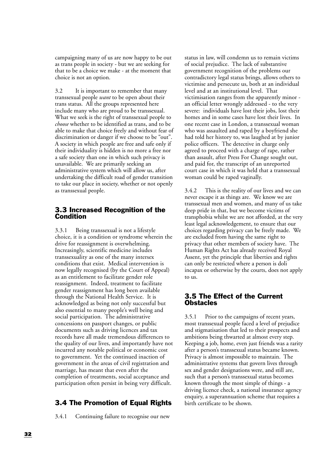campaigning many of us are now happy to be out as trans people in society - but we are seeking for that to be a choice we make - at the moment that choice is not an option.

3.2 It is important to remember that many transsexual people *want* to be open about their trans status. All the groups represented here include many who are proud to be transsexual. What we seek is the right of transsexual people to *choose* whether to be identified as trans, and to be able to make that choice freely and without fear of discrimination or danger if we choose to be "out". A society in which people are free and safe only if their individuality is hidden is no more a free nor a safe society than one in which such privacy is unavailable. We are primarily seeking an administrative system which will allow us, after undertaking the difficult road of gender transition to take our place in society, whether or not openly as transsexual people.

# 3.3 Increased Recognition of the Condition

3.3.1 Being transsexual is not a lifestyle choice, it is a condition or syndrome wherein the drive for reassignment is overwhelming. Increasingly, scientific medicine includes transsexuality as one of the many intersex conditions that exist. Medical intervention is now legally recognised (by the Court of Appeal) as an entitlement to facilitate gender role reassignment. Indeed, treatment to facilitate gender reassignment has long been available through the National Health Service. It is acknowledged as being not only successful but also essential to many people's well being and social participation. The administrative concessions on passport changes, or public documents such as driving licences and tax records have all made tremendous differences to the quality of our lives, and importantly have not incurred any notable political or economic cost to government. Yet the continued inaction of government in the areas of civil registration and marriage, has meant that even after the completion of treatments, social acceptance and participation often persist in being very difficult.

# 3.4 The Promotion of Equal Rights

3.4.1 Continuing failure to recognise our new

status in law, will condemn us to remain victims of social prejudice. The lack of substantive government recognition of the problems our contradictory legal status brings, allows others to victimise and persecute us, both at an individual level and at an institutional level. That victimisation ranges from the apparently minor an official letter wrongly addressed - to the very severe: individuals have lost their jobs, lost their homes and in some cases have lost their lives. In one recent case in London, a transsexual woman who was assaulted and raped by a boyfriend she had told her history to, was laughed at by junior police officers. The detective in charge only agreed to proceed with a charge of rape, rather than assault, after Press For Change sought out, and paid for, the transcript of an unreported court case in which it was held that a transsexual woman could be raped vaginally.

3.4.2 This is the reality of our lives and we can never escape it as things are. We know we are transsexual men and women, and many of us take deep pride in that, but we become victims of transphobia whilst we are not afforded, at the very least legal acknowledgement, to ensure that our choices regarding privacy can be freely made. We are excluded from having the same right to privacy that other members of society have. The Human Rights Act has already received Royal Assent, yet the principle that liberties and rights can only be restricted where a person is doli incapax or otherwise by the courts, does not apply to us.

# 3.5 The Effect of the Current **Obstacles**

3.5.1 Prior to the campaigns of recent years, most transsexual people faced a level of prejudice and stigmatisation that led to their prospects and ambitions being thwarted at almost every step. Keeping a job, home, even just friends was a rarity after a person's transsexual status became known. Privacy is almost impossible to maintain. The administrative systems that govern lives through sex and gender designations were, and still are, such that a person's transsexual status becomes known through the most simple of things - a driving licence check, a national insurance agency enquiry, a superannuation scheme that requires a birth certificate to be shown.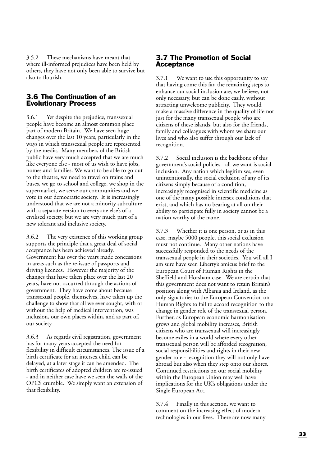3.5.2 These mechanisms have meant that where ill-informed prejudices have been held by others, they have not only been able to survive but also to flourish.

### 3.6 The Continuation of an Evolutionary Process

3.6.1 Yet despite the prejudice, transsexual people have become an almost common place part of modern Britain. We have seen huge changes over the last 10 years, particularly in the ways in which transsexual people are represented by the media. Many members of the British public have very much accepted that we are much like everyone else - most of us wish to have jobs, homes and families. We want to be able to go out to the theatre, we need to travel on trains and buses, we go to school and college, we shop in the supermarket, we serve our communities and we vote in our democratic society. It is increasingly understood that we are not a minority subculture with a separate version to everyone else's of a civilised society, but we are very much part of a new tolerant and inclusive society.

3.6.2 The very existence of this working group supports the principle that a great deal of social acceptance has been achieved already. Government has over the years made concessions in areas such as the re-issue of passports and driving licences. However the majority of the changes that have taken place over the last 20 years, have not occurred through the actions of government. They have come about because transsexual people, themselves, have taken up the challenge to show that all we ever sought, with or without the help of medical intervention, was inclusion, our own places within, and as part of, our society.

3.6.3 As regards civil registration, government has for many years accepted the need for flexibility in difficult circumstances. The issue of a birth certificate for an intersex child can be delayed, at a later stage it can be amended. The birth certificates of adopted children are re-issued - and in neither case have we seen the walls of the OPCS crumble. We simply want an extension of that flexibility.

## 3.7 The Promotion of Social Acceptance

3.7.1 We want to use this opportunity to say that having come this far, the remaining steps to enhance our social inclusion are, we believe, not only necessary, but can be done easily, without attracting unwelcome publicity. They would make a massive difference in the quality of life not just for the many transsexual people who are citizens of these islands, but also for the friends, family and colleagues with whom we share our lives and who also suffer through our lack of recognition.

3.7.2 Social inclusion is the backbone of this government's social policies - all we want is social inclusion. Any nation which legitimises, even unintentionally, the social exclusion of any of its citizens simply because of a condition, increasingly recognised in scientific medicine as one of the many possible intersex conditions that exist, and which has no bearing at all on their ability to participate fully in society cannot be a nation worthy of the name.

3.7.3 Whether it is one person, or as in this case, maybe 5000 people, this social exclusion must not continue. Many other nations have successfully responded to the needs of the transsexual people in their societies. You will all I am sure have seen Liberty's amicus brief to the European Court of Human Rights in the Sheffield and Horsham case. We are certain that this government does not want to retain Britain's position along with Albania and Ireland, as the only signatories to the European Convention on Human Rights to fail to accord recognition to the change in gender role of the transsexual person. Further, as European economic harmonisation grows and global mobility increases, British citizens who are transsexual will increasingly become exiles in a world where every other transsexual person will be afforded recognition, social responsibilities and rights in their new gender role - recognition they will not only have abroad but also when they step onto our shores. Continued restrictions on our social mobility within the European Union may well have implications for the UK's obligations under the Single European Act.

3.7.4 Finally in this section, we want to comment on the increasing effect of modern technologies in our lives. There are now many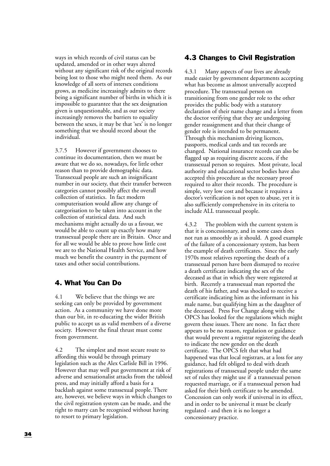ways in which records of civil status can be updated, amended or in other ways altered without any significant risk of the original records being lost to those who might need them. As our knowledge of all sorts of intersex conditions grows, as medicine increasingly admits to there being a significant number of births in which it is impossible to guarantee that the sex designation given is unquestionable, and as our society increasingly removes the barriers to equality between the sexes, it may be that 'sex' is no longer something that we should record about the individual.

3.7.5 However if government chooses to continue its documentation, then we must be aware that we do so, nowadays, for little other reason than to provide demographic data. Transsexual people are such an insignificant number in our society, that their transfer between categories cannot possibly affect the overall collection of statistics. In fact modern computerisation would allow any change of categorisation to be taken into account in the collection of statistical data. And such mechanisms might actually do us a favour, we would be able to count up exactly how many transsexual people there are in Britain. Once and for all we would be able to prove how little cost we are to the National Health Service, and how much we benefit the country in the payment of taxes and other social contributions.

# 4. What You Can Do

4.1 We believe that the things we are seeking can only be provided by government action. As a community we have done more than our bit, in re-educating the wider British public to accept us as valid members of a diverse society. However the final thrust must come from government.

4.2 The simplest and most secure route to affording this would be through primary legislation such as the Alex Carlisle Bill in 1996. However that may well put government at risk of adverse and sensationalist attacks from the tabloid press, and may initially afford a basis for a backlash against some transsexual people. There are, however, we believe ways in which changes to the civil registration system can be made, and the right to marry can be recognised without having to resort to primary legislation.

# 4.3 Changes to Civil Registration

4.3.1 Many aspects of our lives are already made easier by government departments accepting what has become as almost universally accepted procedure. The transsexual person on transitioning from one gender role to the other provides the public body with a statutory declaration of their name change and a letter from the doctor verifying that they are undergoing gender reassignment and that their change of gender role is intended to be permanent. Through this mechanism driving licences, passports, medical cards and tax records are changed. National insurance records can also be flagged up as requiring discrete access, if the transsexual person so requires. Most private, local authority and educational sector bodies have also accepted this procedure as the necessary proof required to alter their records. The procedure is simple, very low cost and because it requires a doctor's verification is not open to abuse, yet it is also sufficiently comprehensive in its criteria to include ALL transsexual people.

4.3.2 The problem with the current system is that it is concessionary, and in some cases does not run as smoothly as it should. A good example of the failure of a concessionary system, has been the example of death certificates. Since the early 1970s most relatives reporting the death of a transsexual person have been dismayed to receive a death certificate indicating the sex of the deceased as that in which they were registered at birth. Recently a transsexual man reported the death of his father, and was shocked to receive a certificate indicating him as the informant in his male name, but qualifying him as the daughter of the deceased. Press For Change along with the OPCS has looked for the regulations which might govern these issues. There are none. In fact there appears to be no reason, regulation or guidance that would prevent a registrar registering the death to indicate the new gender on the death certificate. The OPCS felt that what had happened was that local registrars, at a loss for any guidance, had felt obliged to deal with death registrations of transsexual people under the same set of rules they might use if a transsexual person requested marriage, or if a transsexual person had asked for their birth certificate to be amended. Concession can only work if universal in its effect, and in order to be universal it must be clearly regulated - and then it is no longer a concessionary practice.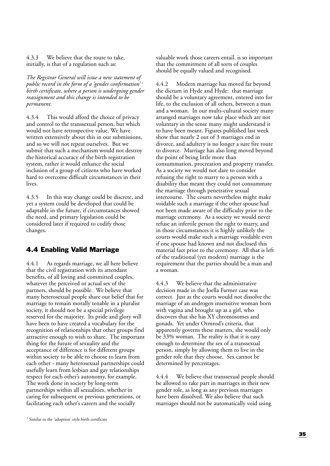4.3.3 We believe that the route to take, initially, is that of a regulation such as:

*The Registrar General will issue a new statement of public record in the form of a 'gender confirmation' 1 birth certificate, where a person is undergoing gender reassignment and this change is intended to be permanent.*

4.3.4 This would afford the choice of privacy and control to the transsexual person, but which would not have retrospective value. We have written extensively about this in our submissions, and so we will not repeat ourselves. But we submit that such a mechanism would not destroy the historical accuracy of the birth registration system, rather it would enhance the social inclusion of a group of citizens who have worked hard to overcome difficult circumstances in their lives.

4.3.5 In this way change could be discrete, and yet a system could be developed that could be adaptable in the future, if circumstances showed the need, and primary legislation could be considered later if required to codify those changes.

### 4.4 Enabling Valid Marriage

4.4.1 As regards marriage, we all here believe that the civil registration with its attendant benefits, of all loving and committed couples, whatever the perceived or actual sex of the partners, should be possible. We believe that many heterosexual people share our belief that for marriage to remain morally tenable in a pluralist society, it should not be a special privilege reserved for the majority. Its pride and glory will have been to have created a vocabulary for the recognition of relationships that other groups find attractive enough to wish to share. The important thing for the future of sexuality and the acceptance of difference is for different groups within society to be able to choose to learn from each other - many heterosexual partnerships could usefully learn from lesbian and gay relationships respect for each other's autonomy, for example. The work done in society by long-term partnerships within all sexualities, whether in caring for subsequent or previous generations, or facilitating each other's careers and the socially

valuable work those careers entail, is so important that the commitment of all sorts of couples should be equally valued and recognised.

4.4.2 Modern marriage has moved far beyond the dictum in Hyde and Hyde: that marriage should be a voluntary agreement, entered into for life, to the exclusion of all others, between a man and a woman. In our multi-cultural society many arranged marriages now take place which are not voluntary in the sense many might understand it to have been meant. Figures published last week show that nearly 2 out of 3 marriages end in divorce, and adultery is no longer a sure fire route to divorce. Marriage has also long moved beyond the point of being little more than consummation, procreation and property transfer. As a society we would not dare to consider refusing the right to marry to a person with a disability that meant they could not consummate the marriage through penetrative sexual intercourse. The courts nevertheless might make voidable such a marriage if the other spouse had not been made aware of the difficulty prior to the marriage ceremony. As a society we would never refuse an infertile person the right to marry, and in those circumstances it is highly unlikely the courts would make such a marriage voidable even if one spouse had known and not disclosed this material fact prior to the ceremony. All that is left of the traditional (yet modern) marriage is the requirement that the parties should be a man and a woman.

4.4.3 We believe that the administrative decision made in the Joella Farmer case was correct. Just as the courts would not dissolve the marriage of an androgen insensitive woman born with vagina and brought up as a girl, who discovers that she has XY chromosomes and gonads. Yet under Ormrod's criteria, that apparently governs these matters, she would only be 33% woman. The reality is that it is easy enough to determine the sex of a transsexual person, simply by allowing them to live in the gender role that they choose. Sex cannot be determined by percentages.

4.4.4 We believe that transsexual people should be allowed to take part in marriages in their new gender role, as long as any previous marriages have been dissolved. We also believe that such marriages should not be automatically void using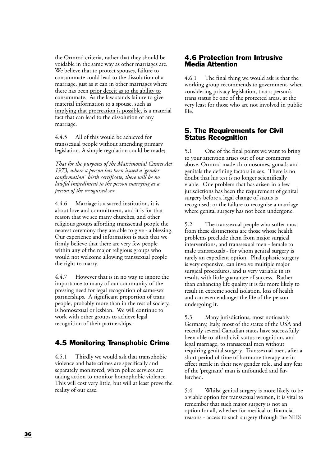the Ormrod criteria, rather that they should be voidable in the same way as other marriages are. We believe that to protect spouses, failure to consummate could lead to the dissolution of a marriage, just as it can in other marriages where there has been prior deceit as to the ability to consummate. As the law stands failure to give material information to a spouse, such as implying that procreation is possible, is a material fact that can lead to the dissolution of any marriage.

4.4.5 All of this would be achieved for transsexual people without amending primary legislation. A simple regulation could be made;

*That for the purposes of the Matrimonial Causes Act 1973, where a person has been issued a 'gender confirmation' birth certificate, there will be no lawful impediment to the person marrying as a person of the recognised sex.* 

4.4.6 Marriage is a sacred institution, it is about love and commitment, and it is for that reason that we see many churches, and other religious groups affording transsexual people the nearest ceremony they are able to give - a blessing. Our experience and information is such that we firmly believe that there are very few people within any of the major religious groups who would not welcome allowing transsexual people the right to marry.

4.4.7 However that is in no way to ignore the importance to many of our community of the pressing need for legal recognition of same-sex partnerships. A significant proportion of trans people, probably more than in the rest of society, is homosexual or lesbian. We will continue to work with other groups to achieve legal recognition of their partnerships.

# 4.5 Monitoring Transphobic Crime

4.5.1 Thirdly we would ask that transphobic violence and hate crimes are specifically and separately monitored, when police services are taking action to monitor homophobic violence. This will cost very little, but will at least prove the reality of our case.

# 4.6 Protection from Intrusive Media Attention

4.6.1 The final thing we would ask is that the working group recommends to government, when considering privacy legislation, that a person's trans status be one of the protected areas, at the very least for those who are not involved in public life.

# 5. The Requirements for Civil Status Recognition

5.1 One of the final points we want to bring to your attention arises out of our comments above. Ormrod made chromosomes, gonads and genitals the defining factors in sex. There is no doubt that his test is no longer scientifically viable. One problem that has arisen in a few jurisdictions has been the requirement of genital surgery before a legal change of status is recognised, or the failure to recognise a marriage where genital surgery has not been undergone.

5.2 The transsexual people who suffer most from these distinctions are those whose health problems preclude them from major surgical interventions, and transsexual men - female to male transsexuals - for whom genital surgery is rarely an expedient option. Phalloplastic surgery is very expensive, can involve multiple major surgical procedures, and is very variable in its results with little guarantee of success. Rather than enhancing life quality it is far more likely to result in extreme social isolation, loss of health and can even endanger the life of the person undergoing it.

5.3 Many jurisdictions, most noticeably Germany, Italy, most of the states of the USA and recently several Canadian states have successfully been able to afford civil status recognition, and legal marriage, to transsexual men without requiring genital surgery. Transsexual men, after a short period of time of hormone therapy are in effect sterile in their new gender role, and any fear of the 'pregnant' man is unfounded and farfetched.

5.4 Whilst genital surgery is more likely to be a viable option for transsexual women, it is vital to remember that such major surgery is not an option for all, whether for medical or financial reasons - access to such surgery through the NHS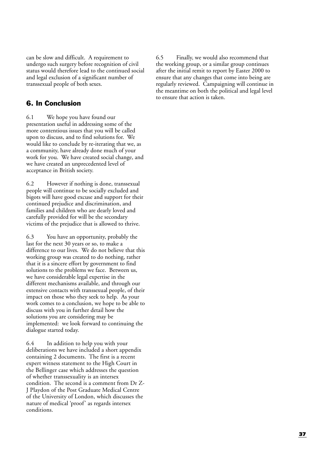can be slow and difficult. A requirement to undergo such surgery before recognition of civil status would therefore lead to the continued social and legal exclusion of a significant number of transsexual people of both sexes.

# 6. In Conclusion

6.1 We hope you have found our presentation useful in addressing some of the more contentious issues that you will be called upon to discuss, and to find solutions for. We would like to conclude by re-iterating that we, as a community, have already done much of your work for you. We have created social change, and we have created an unprecedented level of acceptance in British society.

6.2 However if nothing is done, transsexual people will continue to be socially excluded and bigots will have good excuse and support for their continued prejudice and discrimination, and families and children who are dearly loved and carefully provided for will be the secondary victims of the prejudice that is allowed to thrive.

6.3 You have an opportunity, probably the last for the next 30 years or so, to make a difference to our lives. We do not believe that this working group was created to do nothing, rather that it is a sincere effort by government to find solutions to the problems we face. Between us, we have considerable legal expertise in the different mechanisms available, and through our extensive contacts with transsexual people, of their impact on those who they seek to help. As your work comes to a conclusion, we hope to be able to discuss with you in further detail how the solutions you are considering may be implemented: we look forward to continuing the dialogue started today.

6.4 In addition to help you with your deliberations we have included a short appendix containing 2 documents. The first is a recent expert witness statement to the High Court in the Bellinger case which addresses the question of whether transsexuality is an intersex condition. The second is a comment from Dr Z-J Playdon of the Post Graduate Medical Centre of the University of London, which discusses the nature of medical 'proof' as regards intersex conditions.

6.5 Finally, we would also recommend that the working group, or a similar group continues after the initial remit to report by Easter 2000 to ensure that any changes that come into being are regularly reviewed. Campaigning will continue in the meantime on both the political and legal level to ensure that action is taken.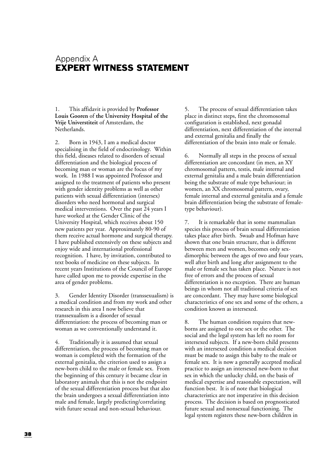# Appendix A EXPERT WITNESS STATEMENT

1. This affidavit is provided by **Professor Louis Gooren** of **the University Hospital of the Vrije Universtiteit** of Amsterdam, the Netherlands.

2. Born in 1943, I am a medical doctor specialising in the field of endocrinology. Within this field, diseases related to disorders of sexual differentiation and the biological process of becoming man or woman are the focus of my work. In 1988 I was appointed Professor and assigned to the treatment of patients who present with gender identity problems as well as other patients with sexual differentiation (intersex) disorders who need hormonal and surgical medical interventions. Over the past 24 years I have worked at the Gender Clinic of the University Hospital, which receives about 150 new patients per year. Approximately 80-90 of them receive actual hormone and surgical therapy. I have published extensively on these subjects and enjoy wide and international professional recognition. I have, by invitation, contributed to text books of medicine on these subjects. In recent years Institutions of the Council of Europe have called upon me to provide expertise in the area of gender problems.

3. Gender Identity Disorder (transsexualism) is a medical condition and from my work and other research in this area I now believe that transsexualism is a disorder of sexual differentiation: the process of becoming man or woman as we conventionally understand it.

4. Traditionally it is assumed that sexual differentiation, the process of becoming man or woman is completed with the formation of the external genitalia, the criterion used to assign a new-born child to the male or female sex. From the beginning of this century it became clear in laboratory animals that this is not the endpoint of the sexual differentiation process but that also the brain undergoes a sexual differentiation into male and female, largely predicting/correlating with future sexual and non-sexual behaviour.

5. The process of sexual differentiation takes place in distinct steps, first the chromosomal configuration is established, next gonadal differentiation, next differentiation of the internal and external genitalia and finally the differentiation of the brain into male or female.

6. Normally all steps in the process of sexual differentiation are concordant (in men, an XY chromosomal pattern, testis, male internal and external genitalia and a male brain differentiation being the substrate of male type behaviour; in women, an XX chromosomal pattern, ovary, female internal and external genitalia and a female brain differentiation being the substrate of femaletype behaviour).

7. It is remarkable that in some mammalian species this process of brain sexual differentiation takes place after birth. Swaab and Hofman have shown that one brain structure, that is different between men and women, becomes only sexdimorphic between the ages of two and four years, well after birth and long after assignment to the male or female sex has taken place. Nature is not free of errors and the process of sexual differentiation is no exception. There are human beings in whom not all traditional criteria of sex are concordant. They may have some biological characteristics of one sex and some of the others, a condition known as intersexed.

8. The human condition requires that newborns are assigned to one sex or the other. The social and the legal system has left no room for intersexed subjects. If a new-born child presents with an intersexed condition a medical decision must be made to assign this baby to the male or female sex. It is now a generally accepted medical practice to assign an intersexed new-born to that sex in which the unlucky child, on the basis of medical expertise and reasonable expectation, will function best. It is of note that biological characteristics are not imperative in this decision process. The decision is based on prognosticated future sexual and nonsexual functioning. The legal system registers these new-born children in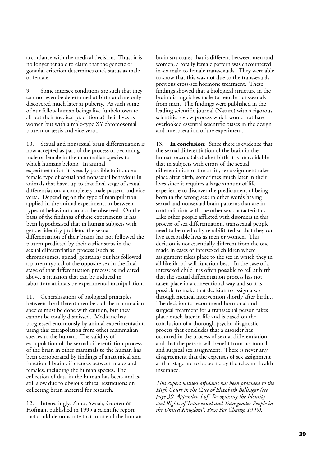accordance with the medical decision. Thus, it is no longer tenable to claim that the genetic or gonadal criterion determines one's status as male or female.

9. Some intersex conditions are such that they can not even be determined at birth and are only discovered much later at puberty. As such some of our fellow human beings live (unbeknown to all but their medical practitioner) their lives as women but with a male-type XY chromosomal pattern or testis and vice versa.

10. Sexual and nonsexual brain differentiation is now accepted as part of the process of becoming male or female in the mammalian species to which humans belong. In animal experimentation it is easily possible to induce a female type of sexual and nonsexual behaviour in animals that have, up to that final stage of sexual differentiation, a completely male pattern and vice versa. Depending on the type of manipulation applied in the animal experiment, in-between types of behaviour can also be observed. On the basis of the findings of these experiments it has been hypothesised that in human subjects with gender identity problems the sexual differentiation of their brains has not followed the pattern predicted by their earlier steps in the sexual differentiation process (such as chromosomes, gonad, genitalia) but has followed a pattern typical of the opposite sex in the final stage of that differentiation process; as indicated above, a situation that can be induced in laboratory animals by experimental manipulation.

11. Generalisations of biological principles between the different members of the mammalian species must be done with caution, but they cannot be totally dismissed. Medicine has progressed enormously by animal experimentation using this extrapolation from other mammalian species to the human. The validity of extrapolation of the sexual differentiation process of the brain in other mammals to the human has been corroborated by findings of anatomical and functional brain differences between males and females, including the human species. The collection of data in the human has been, and is, still slow due to obvious ethical restrictions on collecting brain material for research.

12. Interestingly, Zhou, Swaab, Gooren & Hofman, published in 1995 a scientific report that could demonstrate that in one of the human brain structures that is different between men and women, a totally female pattern was encountered in six male-to-female transsexuals. They were able to show that this was not due to the transsexuals' previous cross-sex hormone treatment. These findings showed that a biological structure in the brain distinguishes male-to-female transsexuals from men. The findings were published in the leading scientific journal (Nature) with a rigorous scientific review process which would not have overlooked essential scientific biases in the design and interpretation of the experiment.

13. **In conclusion:** Since there is evidence that the sexual differentiation of the brain in the human occurs (also) after birth it is unavoidable that in subjects with errors of the sexual differentiation of the brain, sex assignment takes place after birth, sometimes much later in their lives since it requires a large amount of life experience to discover the predicament of being born in the wrong sex: in other words having sexual and nonsexual brain patterns that are in contradiction with the other sex characteristics. Like other people afflicted with disorders in this process of sex differentiation, transsexual people need to be medically rehabilitated so that they can live acceptable lives as men or women. This decision is not essentially different from the one made in cases of intersexed children where assignment takes place to the sex in which they in all likelihood will function best. In the case of a intersexed child it is often possible to tell at birth that the sexual differentiation process has not taken place in a conventional way and so it is possible to make that decision to assign a sex through medical intervention shortly after birth... The decision to recommend hormonal and surgical treatment for a transsexual person takes place much later in life and is based on the conclusion of a thorough psycho-diagnostic process that concludes that a disorder has occurred in the process of sexual differentiation and that the person will benefit from hormonal and surgical sex assignment. There is never any disagreement that the expenses of sex assignment at that stage are to be borne by the relevant health insurance.

*This expert witness affidavit has been provided to the High Court in the Case of Elizabeth Bellinger (see page 39, Appendix 4 of "Recognising the Identity and Rights of Transsexual and Transgender People in the United Kingdom", Press For Change 1999).*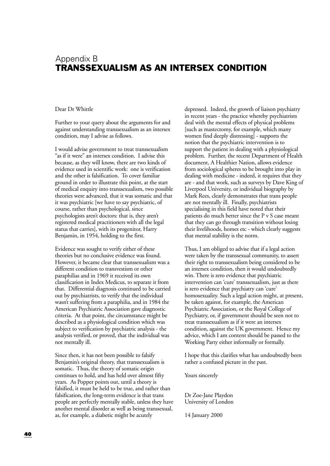# Appendix B TRANSSEXUALISM AS AN INTERSEX CONDITION

#### Dear Dr Whittle

Further to your query about the arguments for and against understanding transsexualism as an intersex condition, may I advise as follows.

I would advise government to treat transsexualism "as if it were" an intersex condition. I advise this because, as they will know, there are two kinds of evidence used in scientific work: one is verification and the other is falsification. To cover familiar ground in order to illustrate this point, at the start of medical enquiry into transsexualism, two possible theories were advanced, that it was somatic and that it was psychiatric [we have to say psychiatric, of course, rather than psychological, since psychologists aren't doctors: that is, they aren't registered medical practitioners with all the legal status that carries], with its progenitor, Harry Benjamin, in 1954, holding to the first.

Evidence was sought to verify either of these theories but no conclusive evidence was found. However, it became clear that transsexualism was a different condition to transvestism or other paraphilias and in 1969 it received its own classification in Index Medicus, to separate it from that. Differential diagnosis continued to be carried out by psychiatrists, to verify that the individual wasn't suffering from a paraphilia, and in 1984 the American Psychiatric Association gave diagnostic criteria. At that point, the circumstance might be described as a physiological condition which was subject to verification by psychiatric analysis - the analysis verified, or proved, that the individual was not mentally ill.

Since then, it has not been possible to falsify Benjamin's original theory, that transsexualism is somatic. Thus, the theory of somatic origin continues to hold, and has held over almost fifty years. As Popper points out, until a theory is falsified, it must be held to be true, and rather than falsification, the long-term evidence is that trans people are perfectly mentally stable, unless they have another mental disorder as well as being transsexual, as, for example, a diabetic might be acutely

depressed. Indeed, the growth of liaison psychiatry in recent years - the practice whereby psychiatrists deal with the mental effects of physical problems [such as mastectomy, for example, which many women find deeply distressing] - supports the notion that the psychiatric intervention is to support the patient in dealing with a physiological problem. Further, the recent Department of Health document, A Healthier Nation, allows evidence from sociological spheres to be brought into play in dealing with medicine - indeed, it requires that they are - and that work, such as surveys by Dave King of Liverpool University, or individual biography by Mark Rees, clearly demonstrates that trans people are not mentally ill. Finally, psychiatrists specialising in this field have noted that their patients do much better since the P v S case meant that they can go through transition without losing their livelihoods, homes etc - which clearly suggests that mental stability is the norm.

Thus, I am obliged to advise that if a legal action were taken by the transsexual community, to assert their right to transsexualism being considered to be an intersex condition, then it would undoubtedly win. There is zero evidence that psychiatric intervention can 'cure' transsexualism, just as there is zero evidence that psychiatry can 'cure' homosexuality. Such a legal action might, at present, be taken against, for example, the American Psychiatric Association, or the Royal College of Psychiatry, or, if government should be seen not to treat transsexualism as if it were an intersex condition, against the UK government. Hence my advice, which I am content should be passed to the Working Party either informally or formally.

I hope that this clarifies what has undoubtedly been rather a confused picture in the past.

Yours sincerely

Dr Zoe-Jane Playdon University of London

14 January 2000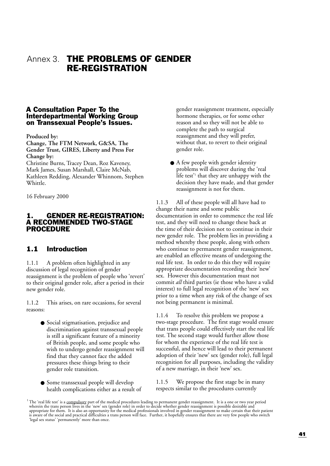# Annex 3. THE PROBLEMS OF GENDER RE-REGISTRATION

#### A Consultation Paper To the Interdepartmental Working Group on Transsexual People's Issues.

**Produced by:** 

**Change, The FTM Network, G&SA, The Gender Trust, GIRES, Liberty and Press For Change by:**

Christine Burns, Tracey Dean, Roz Kaveney, Mark James, Susan Marshall, Claire McNab, Kathleen Redding, Alexander Whinnom, Stephen Whittle.

16 February 2000

### 1. GENDER RE-REGISTRATION: A RECOMMENDED TWO-STAGE PROCEDURE

### 1.1 Introduction

1.1.1 A problem often highlighted in any discussion of legal recognition of gender reassignment is the problem of people who 'revert' to their original gender role, after a period in their new gender role.

1.1.2 This arises, on rare occasions, for several reasons:

- Social stigmatisation, prejudice and discrimination against transsexual people is still a significant feature of a minority of British people, and some people who wish to undergo gender reassignment will find that they cannot face the added pressures these things bring to their gender role transition.
- Some transsexual people will develop health complications either as a result of

gender reassignment treatment, especially hormone therapies, or for some other reason and so they will not be able to complete the path to surgical reassignment and they will prefer, without that, to revert to their original gender role.

● A few people with gender identity problems will discover during the 'real life test'<sup>1</sup> that they are unhappy with the decision they have made, and that gender reassignment is not for them.

1.1.3 All of these people will all have had to change their name and some public documentation in order to commence the real life test, and they will need to change these back at the time of their decision not to continue in their new gender role. The problem lies in providing a method whereby these people, along with others who continue to permanent gender reassignment, are enabled an effective means of undergoing the real life test. In order to do this they will require appropriate documentation recording their 'new' sex. However this documentation must not commit *all* third parties (ie those who have a valid interest) to full legal recognition of the 'new' sex prior to a time when any risk of the change of sex not being permanent is minimal.

1.1.4 To resolve this problem we propose a two-stage procedure. The first stage would ensure that trans people could effectively start the real life test. The second stage would further allow those for whom the experience of the real life test is successful, and hence will lead to their permanent adoption of their 'new' sex (gender role), full legal recognition for all purposes, including the validity of a new marriage, in their 'new' sex.

1.1.5 We propose the first stage be in many respects similar to the procedures currently

<sup>&</sup>lt;sup>1</sup> The 'real life test' is a <u>compulsory</u> part of the medical procedures leading to permanent gender reassignment. It is a one or two year period wherein the trans person lives in the 'new' sex (gender role) in order to decide whether gender reassignment is possible desirable and appropriate for them. It is also an opportunity for the medical professionals involved in gender reassignment to make certain that their patient is aware of the social and practical difficulties a trans person will face. Further, it hopefully ensures that there are very few people who switch 'legal sex status' 'permanently' more than once.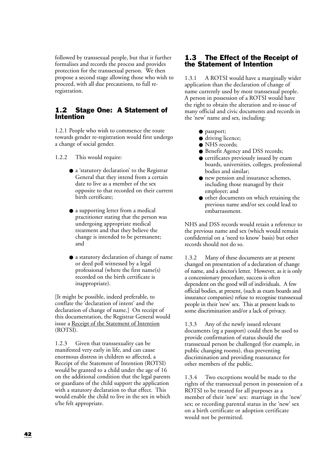followed by transsexual people, but that it further formalises and records the process and provides protection for the transsexual person. We then propose a second stage allowing those who wish to proceed, with all due precautions, to full reregistration.

# 1.2 Stage One: A Statement of Intention

1.2.1 People who wish to commence the route towards gender re-registration would first undergo a change of social gender.

1.2.2 This would require:

- a 'statutory declaration' to the Registrar General that they intend from a certain date to live as a member of the sex opposite to that recorded on their current birth certificate;
- a supporting letter from a medical practitioner stating that the person was undergoing appropriate medical treatment and that they believe the change is intended to be permanent; and
- a statutory declaration of change of name or deed poll witnessed by a legal professional (where the first name(s) recorded on the birth certificate is inappropriate).

[It might be possible, indeed preferable, to conflate the 'declaration of intent' and the declaration of change of name.] On receipt of this documentation, the Registrar General would issue a Receipt of the Statement of Intention (ROTSI).

1.2.3 Given that transsexuality can be manifested very early in life, and can cause enormous distress in children so affected, a Receipt of the Statement of Intention (ROTSI) would be granted to a child under the age of 16 on the additional condition that the legal parents or guardians of the child support the application with a statutory declaration to that effect. This would enable the child to live in the sex in which s/he felt appropriate.

# 1.3 The Effect of the Receipt of the Statement of Intention

1.3.1 A ROTSI would have a marginally wider application than the declaration of change of name currently used by most transsexual people. A person in possession of a ROTSI would have the right to obtain the alteration and re-issue of many official and civic documents and records in the 'new' name and sex, including:

- passport;
- driving licence;
- NHS records;
- Benefit Agency and DSS records;
- certificates previously issued by exam boards, universities, colleges, professional bodies and similar;
- new pension and insurance schemes, including those managed by their employer; and
- other documents on which retaining the previous name and/or sex could lead to embarrassment.

NHS and DSS records would retain a reference to the previous name and sex (which would remain confidential on a 'need to know' basis) but other records should not do so.

1.3.2 Many of these documents are at present changed on presentation of a declaration of change of name, and a doctor's letter. However, as it is only a concessionary procedure, success is often dependent on the good will of individuals. A few official bodies, at present, (such as exam boards and insurance companies) refuse to recognise transsexual people in their 'new' sex. This at present leads to some discrimination and/or a lack of privacy.

1.3.3 Any of the newly issued relevant documents (eg a passport) could then be used to provide confirmation of status should the transsexual person be challenged (for example, in public changing rooms), thus preventing discrimination and providing reassurance for other members of the public.

1.3.4 Two exceptions would be made to the rights of the transsexual person in possession of a ROTSI to be treated for all purposes as a member of their 'new' sex: marriage in the 'new' sex; or recording parental status in the 'new' sex on a birth certificate or adoption certificate would not be permitted.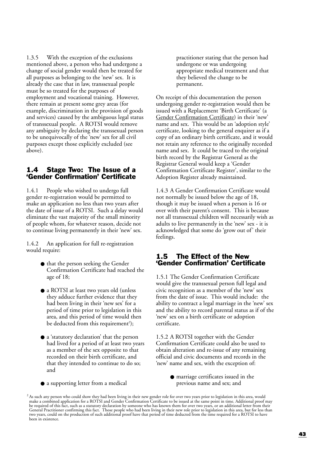1.3.5 With the exception of the exclusions mentioned above, a person who had undergone a change of social gender would then be treated for all purposes as belonging to the 'new' sex. It is already the case that in law, transsexual people must be so treated for the purposes of employment and vocational training. However, there remain at present some grey areas (for example, discrimination in the provision of goods and services) caused by the ambiguous legal status of transsexual people. A ROTSI would remove any ambiguity by declaring the transsexual person to be unequivocally of the 'new' sex for all civil purposes except those explicitly excluded (see above).

#### 1.4 Stage Two: The Issue of a 'Gender Confirmation' Certificate

1.4.1 People who wished to undergo full gender re-registration would be permitted to make an application no less than two years after the date of issue of a ROTSI. Such a delay would eliminate the vast majority of the small minority of people whom, for whatever reason, decide not to continue living permanently in their 'new' sex.

1.4.2 An application for full re-registration would require:

- that the person seeking the Gender Confirmation Certificate had reached the age of 18;
- a ROTSI at least two years old (unless they adduce further evidence that they had been living in their 'new sex' for a period of time prior to legislation in this area, and this period of time would then be deducted from this requirement<sup>2</sup>);
- a 'statutory declaration' that the person had lived for a period of at least two years as a member of the sex opposite to that recorded on their birth certificate, and that they intended to continue to do so; and
- a supporting letter from a medical

practitioner stating that the person had undergone or was undergoing appropriate medical treatment and that they believed the change to be permanent.

On receipt of this documentation the person undergoing gender re-registration would then be issued with a Replacement 'Birth Certificate' (a Gender Confirmation Certificate) in their 'new' name and sex. This would be an 'adoption style' certificate, looking to the general enquirer as if a copy of an ordinary birth certificate, and it would not retain any reference to the originally recorded name and sex. It could be traced to the original birth record by the Registrar General as the Registrar General would keep a 'Gender Confirmation Certificate Register', similar to the Adoption Register already maintained.

1.4.3 A Gender Confirmation Certificate would not normally be issued below the age of 18, though it may be issued when a person is 16 or over with their parent's consent. This is because not all transsexual children will necessarily wish as adults to live permanently in the 'new' sex - it is acknowledged that some do 'grow out of' their feelings.

#### 1.5 The Effect of the New 'Gender Confirmation' Certificate

1.5.1 The Gender Confirmation Certificate would give the transsexual person full legal and civic recognition as a member of the 'new' sex from the date of issue. This would include: the ability to contract a legal marriage in the 'new' sex and the ability to record parental status as if of the 'new' sex on a birth certificate or adoption certificate.

1.5.2 A ROTSI together with the Gender Confirmation Certificate could also be used to obtain alteration and re-issue of any remaining official and civic documents and records in the 'new' name and sex, with the exception of:

> ● marriage certificates issued in the previous name and sex; and

<sup>&</sup>lt;sup>2</sup> As such any person who could show they had been living in their new gender role for over two years prior to legislation in this area, would make a combined application for a ROTSI and Gender Confirmation Certificate to be issued at the same point in time. Additional proof may be required of this fact, such as a statutory declaration by someone who has known them for over two years, or an additional letter from their General Practitioner confirming this fact. Those people who had been living in their new role prior to legislation in this area, but for less than two years, could on the production of such additional proof have that period of time deducted from the time required for a ROTSI to have been in existence.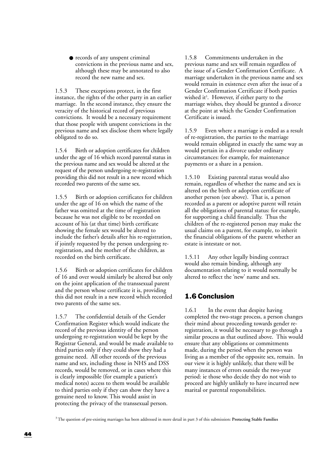● records of any unspent criminal convictions in the previous name and sex, although these may be annotated to also record the new name and sex.

1.5.3 These exceptions protect, in the first instance, the rights of the other party in an earlier marriage. In the second instance, they ensure the veracity of the historical record of previous convictions. It would be a necessary requirement that those people with unspent convictions in the previous name and sex disclose them where legally obligated to do so.

1.5.4 Birth or adoption certificates for children under the age of 16 which record parental status in the previous name and sex would be altered at the request of the person undergoing re-registration providing this did not result in a new record which recorded two parents of the same sex.

1.5.5 Birth or adoption certificates for children under the age of 16 on which the name of the father was omitted at the time of registration because he was not eligible to be recorded on account of his (at that time) birth certificate showing the female sex would be altered to include the father's details after his re-registration, if jointly requested by the person undergoing reregistration, and the mother of the children, as recorded on the birth certificate.

1.5.6 Birth or adoption certificates for children of 16 and over would similarly be altered but only on the joint application of the transsexual parent and the person whose certificate it is, providing this did not result in a new record which recorded two parents of the same sex.

1.5.7 The confidential details of the Gender Confirmation Register which would indicate the record of the previous identity of the person undergoing re-registration would be kept by the Registrar General, and would be made available to third parties only if they could show they had a genuine need. All other records of the previous name and sex, including those in NHS and DSS records, would be removed, or in cases where this is clearly impossible (for example a patient's medical notes) access to them would be available to third parties only if they can show they have a genuine need to know. This would assist in protecting the privacy of the transsexual person.

1.5.8 Commitments undertaken in the previous name and sex will remain regardless of the issue of a Gender Confirmation Certificate. A marriage undertaken in the previous name and sex would remain in existence even after the issue of a Gender Confirmation Certificate if both parties wished it<sup>3</sup>. However, if either party to the marriage wishes, they should be granted a divorce at the point at which the Gender Confirmation Certificate is issued.

1.5.9 Even where a marriage is ended as a result of re-registration, the parties to the marriage would remain obligated in exactly the same way as would pertain in a divorce under ordinary circumstances: for example, for maintenance payments or a share in a pension.

1.5.10 Existing parental status would also remain, regardless of whether the name and sex is altered on the birth or adoption certificate of another person (see above). That is, a person recorded as a parent or adoptive parent will retain all the obligations of parental status: for example, for supporting a child financially. Thus the children of the re-registered person may make the usual claims on a parent, for example, to inherit the financial obligations of the parent whether an estate is intestate or not.

1.5.11 Any other legally binding contract would also remain binding, although any documentation relating to it would normally be altered to reflect the 'new' name and sex.

# 1.6 Conclusion

1.6.1 In the event that despite having completed the two-stage process, a person changes their mind about proceeding towards gender reregistration, it would be necessary to go through a similar process as that outlined above. This would ensure that any obligations or commitments made, during the period when the person was living as a member of the opposite sex, remain. In our view it is highly unlikely, that there will be many instances of errors outside the two-year period: ie those who decide they do not wish to proceed are highly unlikely to have incurred new marital or parental responsibilities.

3 The question of pre-existing marriages has been addressed in more detail in part 3 of this submission: **Protecting Stable Families**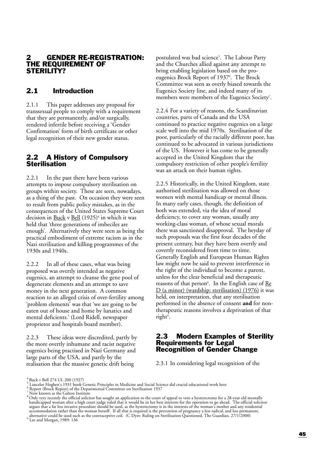#### 2 GENDER RE-REGISTRATION: THE REQUIREMENT OF STERILITY?

# 2.1 Introduction

2.1.1 This paper addresses any proposal for transsexual people to comply with a requirement that they are permanently, and/or surgically, rendered infertile before receiving a 'Gender Confirmation' form of birth certificate or other legal recognition of their new gender status.

# 2.2 A History of Compulsory **Sterilisation**

2.2.1 In the past there have been various attempts to impose compulsory sterilisation on groups within society. These are seen, nowadays, as a thing of the past. On occasion they were seen to result from public policy mistakes, as in the consequences of the United States Supreme Court decision in Buck v Bell  $(1925)^4$  in which it was held that 'three generations of imbeciles are enough'. Alternatively they were seen as being the practical embodiment of extreme racism as in the Nazi sterilisation and killing programmes of the 1930s and 1940s.

2.2.2 In all of these cases, what was being proposed was overtly intended as negative eugenics, an attempt to cleanse the gene pool of degenerate elements and an attempt to save money in the next generation. A common reaction to an alleged crisis of over-fertility among 'problem elements' was that 'we are going to be eaten out of house and home by lunatics and mental deficients.' (Lord Ridell, newspaper proprietor and hospitals board member).

2.2.3 These ideas were discredited, partly by the more overtly inhumane and racist negative eugenics being practised in Nazi Germany and large parts of the USA, and partly by the realisation that the massive genetic drift being

postulated was bad science<sup>5</sup>. The Labour Party and the Churches allied against any attempt to bring enabling legislation based on the proeugenics Brock Report of 1937<sup>6</sup>. The Brock Committee was seen as overly biased towards the Eugenics Society line, and indeed many of its members were members of the Eugenics Society<sup>7</sup>.

2.2.4 For a variety of reasons, the Scandinavian countries, parts of Canada and the USA continued to practice negative eugenics on a large scale well into the mid 1970s. Sterilisation of the poor, particularly of the racially different poor, has continued to be advocated in various jurisdictions of the US. However it has come to be generally accepted in the United Kingdom that the compulsory restriction of other people's fertility was an attack on their human rights.

2.2.5 Historically, in the United Kingdom, state authorised sterilisation was allowed on those women with mental handicap or mental illness. In many early cases, though, the definition of both was extended, via the idea of moral deficiency, to cover any woman, usually any working-class woman, of whose sexual morals there was sanctioned disapproval. The heyday of such proposals was the first four decades of the present century, but they have been overtly and covertly reconsidered from time to time. Generally English and European Human Rights law might now be said to prevent interference in the right of the individual to become a parent, unless for the clear beneficial and therapeutic reasons of that person $^{\rm 8}.$  In the English case of <u>Re</u> D (a minor) (wardship: sterilisation) (1976) it was held, on interpretation, that any sterilisation performed in the absence of consent **and** for nontherapeutic reasons involves a deprivation of that right<sup>9</sup>.

### 2.3 Modern Examples of Sterility Requirements for Legal Recognition of Gender Change

2.3.1 In considering legal recognition of the

 $^4$  Buck v Bell 274 UL 200 (1927)<br> $^5$  Lancelot Hogben's 1931 book Genetic Principles in Medicine and Social Science did crucial educational work here <sup>5</sup> Lancelot Hogben's 1931 book Genetic Principles in Medicine and Social Science did crucial educational work here<br><sup>6</sup> Report (Brock Report) of the Departmental Committee on Sterilisation 1937<br><sup>7</sup> Now known as the Galton

 $^8$  Only very recently the official solicitor has sought an application to the court of appeal to veto a hysterectomy for a 28-year old mentally handicapped woman after a high court judge ruled that it would be in her best interests for the operation to go ahead. The official solicitor argues that a far less invasive procedure should be used, as the hysterectomy is in the interests of the woman's mother and any residential accommodation rather than the woman herself. If all that is required is the prevention of pregnancy a less radical, and less permanent, <sub>9</sub> alternative could be used such as the contraceptive coil. (C Dyer: Ruling on Sterilisation Questioned, The Guardian, 27/1/2000)<br><sup>9</sup> Lee and Morgan, 1989: 136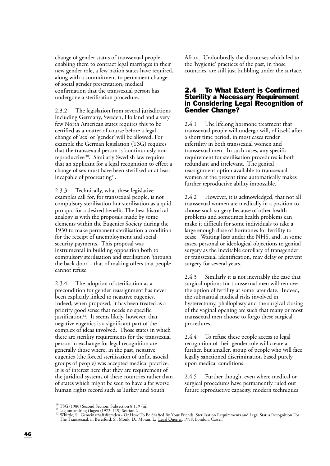change of gender status of transsexual people, enabling them to contract legal marriages in their new gender role, a few nation states have required, along with a commitment to permanent change of social gender presentation, medical confirmation that the transsexual person has undergone a sterilisation procedure.

2.3.2 The legislation from several jurisdictions including Germany, Sweden, Holland and a very few North American states requires this to be certified as a matter of course before a legal change of 'sex' or 'gender' will be allowed. For example the German legislation (TSG) requires that the transsexual person is 'continuously nonreproductive'10. Similarly Swedish law requires that an applicant for a legal recognition to effect a change of sex must have been sterilised or at least incapable of procreating<sup>11</sup>.

2.3.3 Technically, what these legislative examples call for, for transsexual people, is not compulsory sterilisation but sterilisation as a quid pro quo for a desired benefit. The best historical analogy is with the proposals made by some elements within the Eugenics Society during the 1930 to make permanent sterilisation a condition for the receipt of unemployment and social security payments. This proposal was instrumental in building opposition both to compulsory sterilisation and sterilisation 'through the back door' - that of making offers that people cannot refuse.

2.3.4 The adoption of sterilisation as a precondition for gender reassignment has never been explicitly linked to negative eugenics. Indeed, when proposed, it has been treated as a priority good sense that needs no specific justification $12$ . It seems likely, however, that negative eugenics is a significant part of the complex of ideas involved. Those states in which there are sterility requirements for the transsexual person in exchange for legal recognition are generally those where, in the past, negative eugenics (the forced sterilisation of unfit, asocial, groups of people) was accepted medical practice. It is of interest here that they are requirement of the juridical systems of these countries rather than of states which might be seen to have a far worse human rights record such as Turkey and South

Africa. Undoubtedly the discourses which led to the 'hygienic' practices of the past, in those countries, are still just bubbling under the surface.

### 2.4 To What Extent is Confirmed Sterility a Necessary Requirement in Considering Legal Recognition of Gender Change?

2.4.1 The lifelong hormone treatment that transsexual people will undergo will, of itself, after a short time period, in most cases render infertility in both transsexual women and transsexual men. In such cases, any specific requirement for sterilisation procedures is both redundant and irrelevant. The genital reassignment option available to transsexual women at the present time automatically makes further reproductive ability impossible.

2.4.2 However, it is acknowledged, that not all transsexual women are medically in a position to choose such surgery because of other health problems and sometimes health problems can make it difficult for some individuals to take a large enough dose of hormones for fertility to cease. Waiting lists under the NHS, and, in some cases, personal or ideological objections to genital surgery as the inevitable corollary of transgender or transsexual identification, may delay or prevent surgery for several years.

2.4.3 Similarly it is not inevitably the case that surgical options for transsexual men will remove the option of fertility at some later date. Indeed, the substantial medical risks involved in hysterectomy, phalloplasty and the surgical closing of the vaginal opening are such that many or most transsexual men choose to forgo these surgical procedures.

2.4.4 To refuse these people access to legal recognition of their gender role will create a further, but smaller, group of people who will face legally sanctioned discrimination based purely upon medical conditions.

2.4.5 Further though, even where medical or surgical procedures have permanently ruled out future reproductive capacity, modern techniques

<sup>&</sup>lt;sup>10</sup> TSG (1980) Second Section, Subsection 8.1, 9 (iii)<br><sup>11</sup> Lag om andring i lagen (1972: 119) Section 2<br><sup>12</sup> Whittle, S: Gemeinschaftsfremden - Or How To Be Shafted By Your Friends: Sterilisation Requirements and Legal The Transsexual, in Beresford, S., Monk, D., Moran, L: Legal Queries, 1998, London: Cassell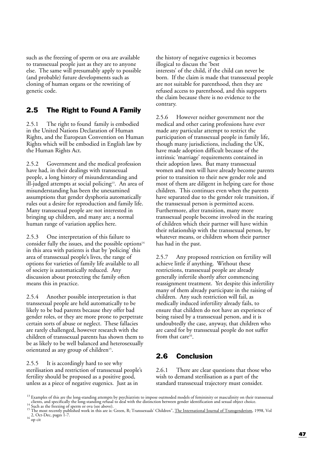such as the freezing of sperm or ova are available to transsexual people just as they are to anyone else. The same will presumably apply to possible (and probable) future developments such as cloning of human organs or the rewriting of genetic code.

# 2.5 The Right to Found A Family

2.5.1 The right to found family is embodied in the United Nations Declaration of Human Rights, and the European Convention on Human Rights which will be embodied in English law by the Human Rights Act.

2.5.2 Government and the medical profession have had, in their dealings with transsexual people, a long history of misunderstanding and ill-judged attempts at social policing $13$ . An area of misunderstanding has been the unexamined assumptions that gender dysphoria automatically rules out a desire for reproduction and family life. Many transsexual people are not interested in bringing up children, and many are; a normal human range of variation applies here.

2.5.3 One interpretation of this failure to consider fully the issues, and the possible options $14$ in this area with patients is that by 'policing' this area of transsexual people's lives, the range of options for varieties of family life available to all of society is automatically reduced. Any discussion about protecting the family often means this in practice.

2.5.4 Another possible interpretation is that transsexual people are held automatically to be likely to be bad parents because they offer bad gender roles, or they are more prone to perpetrate certain sorts of abuse or neglect. These fallacies are rarely challenged, however research with the children of transsexual parents has shown them to be as likely to be well balanced and heterosexually orientated as any group of children<sup>15</sup>.

2.5.5 It is accordingly hard to see why sterilisation and restriction of transsexual people's fertility should be proposed as a positive good, unless as a piece of negative eugenics. Just as in

the history of negative eugenics it becomes illogical to discuss the 'best interests' of the child, if the child can never be born. If the claim is made that transsexual people are not suitable for parenthood, then they are refused access to parenthood, and this supports the claim because there is no evidence to the contrary.

2.5.6 However neither government nor the medical and other caring professions have ever made any particular attempt to restrict the participation of transsexual people in family life, though many jurisdictions, including the UK, have made adoption difficult because of the intrinsic 'marriage' requirements contained in their adoption laws. But many transsexual women and men will have already become parents prior to transition to their new gender role and most of them are diligent in helping care for those children. This continues even when the parents have separated due to the gender role transition, if the transsexual person is permitted access. Furthermore, after transition, many more transsexual people become involved in the rearing of children which their partner will have within their relationship with the transsexual person, by whatever means, or children whom their partner has had in the past.

2.5.7 Any proposed restriction on fertility will achieve little if anything. Without these restrictions, transsexual people are already generally infertile shortly after commencing reassignment treatment. Yet despite this infertility many of them already participate in the raising of children. Any such restriction will fail, as medically induced infertility already fails, to ensure that children do not have an experience of being raised by a transsexual person, and it is undoubtedly the case, anyway, that children who are cared for by transsexual people do not suffer from that care<sup>16</sup>.

# 2.6 Conclusion

2.6.1 There are clear questions that those who wish to demand sterilisation as a part of the standard transsexual trajectory must consider.

<sup>&</sup>lt;sup>13</sup> Examples of this are the long-standing attempts by psychiatrists to impose outmoded models of femininity or masculinity on their transsexual<br>clients, and specifically the long-standing refusal to deal with the distin

<sup>&</sup>lt;sup>14</sup> Such as the freezing of sperm or ova (see above).<br><sup>15</sup> The most recently published work in this are is: Green, R; Transsexuals' Children", <u>The International Journal of Transgenderism</u>, 1998, Vol  $2,$  Oct-Dec, pages 1-7.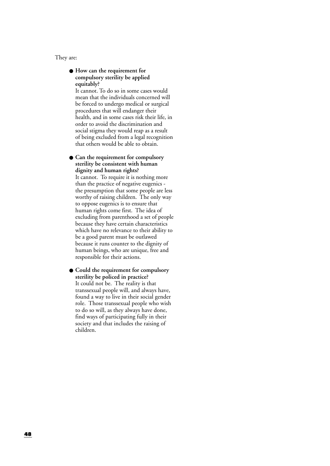They are:

#### ● **How can the requirement for compulsory sterility be applied equitably?**

It cannot. To do so in some cases would mean that the individuals concerned will be forced to undergo medical or surgical procedures that will endanger their health, and in some cases risk their life, in order to avoid the discrimination and social stigma they would reap as a result of being excluded from a legal recognition that others would be able to obtain.

● **Can the requirement for compulsory sterility be consistent with human dignity and human rights?**

It cannot. To require it is nothing more than the practice of negative eugenics the presumption that some people are less worthy of raising children. The only way to oppose eugenics is to ensure that human rights come first. The idea of excluding from parenthood a set of people because they have certain characteristics which have no relevance to their ability to be a good parent must be outlawed because it runs counter to the dignity of human beings, who are unique, free and responsible for their actions.

● **Could the requirement for compulsory sterility be policed in practice?** It could not be. The reality is that transsexual people will, and always have, found a way to live in their social gender role. Those transsexual people who wish to do so will, as they always have done, find ways of participating fully in their society and that includes the raising of children.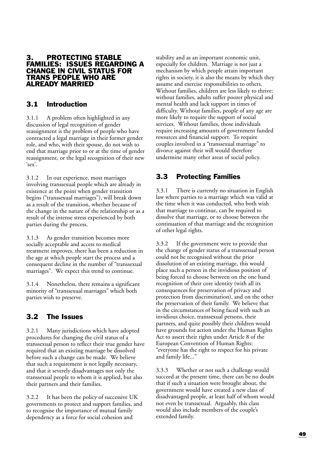#### 3. PROTECTING STABLE FAMILIES: ISSUES REGARDING A CHANGE IN CIVIL STATUS FOR TRANS PEOPLE WHO ARE ALREADY MARRIED

# 3.1 Introduction

3.1.1 A problem often highlighted in any discussion of legal recognition of gender reassignment is the problem of people who have contracted a legal marriage in their former gender role, and who, with their spouse, do not wish to end that marriage prior to or at the time of gender reassignment, or the legal recognition of their new 'sex'.

3.1.2 In our experience, most marriages involving transsexual people which are already in existence at the point when gender transition begins ("transsexual marriages"), will break down as a result of the transition, whether because of the change in the nature of the relationship or as a result of the intense stress experienced by both parties during the process.

3.1.3 As gender transition becomes more socially acceptable and access to medical treatment improves, there has been a reduction in the age at which people start the process and a consequent decline in the number of "transsexual marriages". We expect this trend to continue.

3.1.4 Nonetheless, there remains a significant minority of "transsexual marriages" which both parties wish to preserve.

# 3.2 The Issues

3.2.1 Many jurisdictions which have adopted procedures for changing the civil status of a transsexual person to reflect their true gender have required that an existing marriage be dissolved before such a change can be made. We believe that such a requirement is not legally necessary, and that it severely disadvantages not only the transsexual people to whom it is applied, but also their partners and their families.

3.2.2 It has been the policy of successive UK governments to protect and support families, and to recognise the importance of mutual family dependency as a force for social cohesion and

stability and as an important economic unit, especially for children. Marriage is not just a mechanism by which people attain important rights in society, it is also the means by which they assume and exercise responsibilities to others. Without families, children are less likely to thrive: without families, adults suffer poorer physical and mental health and lack support in times of difficulty. Without families, people of any age are more likely to require the support of social services. Without families, those individuals require increasing amounts of government funded resources and financial support. To require couples involved in a "transsexual marriage" to divorce against their will would therefore undermine many other areas of social policy.

# 3.3 Protecting Families

3.3.1 There is currently no situation in English law where parties to a marriage which was valid at the time when it was conducted, who both wish that marriage to continue, can be required to dissolve that marriage, or to choose between the continuation of that marriage and the recognition of other legal rights.

3.3.2 If the government were to provide that the change of gender status of a transsexual person could not be recognised without the prior dissolution of an existing marriage, this would place such a person in the invidious position of being forced to choose between on the one hand recognition of their core identity (with all its consequences for preservation of privacy and protection from discrimination), and on the other the preservation of their family. We believe that in the circumstances of being faced with such an invidious choice, transsexual persons, their partners, and quite possibly their children would have grounds for action under the Human Rights Act to assert their rights under Article 8 of the European Convention of Human Rights: "everyone has the right to respect for his private and family life..."

3.3.3 Whether or not such a challenge would succeed at the present time, there can be no doubt that if such a situation were brought about, the government would have created a new class of disadvantaged people, at least half of whom would not even be transsexual. Arguably, this class would also include members of the couple's extended family.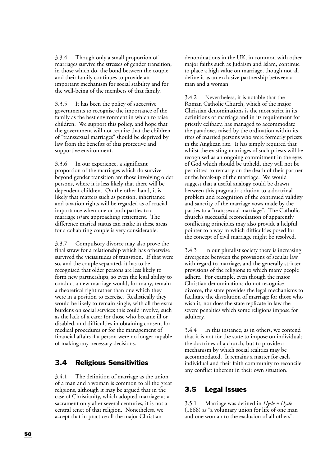3.3.4 Though only a small proportion of marriages survive the stresses of gender transition, in those which do, the bond between the couple and their family continues to provide an important mechanism for social stability and for the well-being of the members of that family.

3.3.5 It has been the policy of successive governments to recognise the importance of the family as the best environment in which to raise children. We support this policy, and hope that the government will not require that the children of "transsexual marriages" should be deprived by law from the benefits of this protective and supportive environment.

3.3.6 In our experience, a significant proportion of the marriages which do survive beyond gender transition are those involving older persons, where it is less likely that there will be dependent children. On the other hand, it is likely that matters such as pension, inheritance and taxation rights will be regarded as of crucial importance when one or both parties to a marriage is/are approaching retirement. The difference marital status can make in these areas for a cohabiting couple is very considerable.

3.3.7 Compulsory divorce may also prove the final straw for a relationship which has otherwise survived the vicissitudes of transition. If that were so, and the couple separated, it has to be recognised that older persons are less likely to form new partnerships, so even the legal ability to conduct a new marriage would, for many, remain a theoretical right rather than one which they were in a position to exercise. Realistically they would be likely to remain single, with all the extra burdens on social services this could involve, such as the lack of a carer for those who became ill or disabled, and difficulties in obtaining consent for medical procedures or for the management of financial affairs if a person were no longer capable of making any necessary decisions.

# 3.4 Religious Sensitivities

3.4.1 The definition of marriage as the union of a man and a woman is common to all the great religions, although it may be argued that in the case of Christianity, which adopted marriage as a sacrament only after several centuries, it is not a central tenet of that religion. Nonetheless, we accept that in practice all the major Christian

denominations in the UK, in common with other major faiths such as Judaism and Islam, continue to place a high value on marriage, though not all define it as an exclusive partnership between a man and a woman.

3.4.2 Nevertheless, it is notable that the Roman Catholic Church, which of the major Christian denominations is the most strict in its definitions of marriage and in its requirement for priestly celibacy, has managed to accommodate the paradoxes raised by the ordination within its rites of married persons who were formerly priests in the Anglican rite. It has simply required that whilst the existing marriages of such priests will be recognised as an ongoing commitment in the eyes of God which should be upheld, they will not be permitted to remarry on the death of their partner or the break-up of the marriage. We would suggest that a useful analogy could be drawn between this pragmatic solution to a doctrinal problem and recognition of the continued validity and sanctity of the marriage vows made by the parties to a "transsexual marriage". The Catholic church's successful reconciliation of apparently conflicting principles may also provide a helpful pointer to a way in which difficulties posed for the concept of civil marriage might be resolved.

3.4.3 In our pluralist society there is increasing divergence between the provisions of secular law with regard to marriage, and the generally stricter provisions of the religions to which many people adhere. For example, even though the major Christian denominations do not recognise divorce, the state provides the legal mechanisms to facilitate the dissolution of marriage for those who wish it; nor does the state replicate in law the severe penalties which some religions impose for adultery.

3.4.4 In this instance, as in others, we contend that it is not for the state to impose on individuals the doctrines of a church, but to provide a mechanism by which social realities may be accommodated. It remains a matter for each individual and their faith community to reconcile any conflict inherent in their own situation.

# 3.5 Legal Issues

3.5.1 Marriage was defined in *Hyde v Hyde* (1868) as "a voluntary union for life of one man and one woman to the exclusion of all others".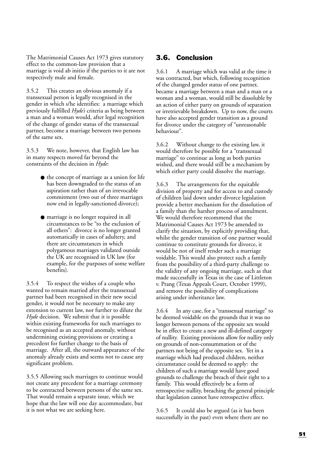The Matrimonial Causes Act 1973 gives statutory effect to the common-law provision that a marriage is void ab initio if the parties to it are not respectively male and female.

3.5.2 This creates an obvious anomaly if a transsexual person is legally recognised in the gender in which s/he identifies: a marriage which previously fulfilled *Hyde's* criteria as being between a man and a woman would, after legal recognition of the change of gender status of the transsexual partner, become a marriage between two persons of the same sex.

3.5.3 We note, however, that English law has in many respects moved far beyond the constraints of the decision in *Hyde*:

- the concept of marriage as a union for life has been downgraded to the status of an aspiration rather than of an irrevocable commitment (two out of three marriages now end in legally-sanctioned divorce);
- marriage is no longer required in all circumstances to be "to the exclusion of all others": divorce is no longer granted automatically in cases of adultery, and there are circumstances in which polygamous marriages validated outside the UK are recognised in UK law (for example, for the purposes of some welfare benefits).

3.5.4 To respect the wishes of a couple who wanted to remain married after the transsexual partner had been recognised in their new social gender, it would not be necessary to make any extension to current law, nor further to dilute the *Hyde* decision. We submit that it is possible within existing frameworks for such marriages to be recognised as an accepted anomaly, without undermining existing provisions or creating a precedent for further change to the basis of marriage. After all, the outward appearance of the anomaly already exists and seems not to cause any significant problem.

3.5.5 Allowing such marriages to continue would not create any precedent for a marriage ceremony to be contracted between persons of the same sex. That would remain a separate issue, which we hope that the law will one day accommodate, but it is not what we are seeking here.

# 3.6. Conclusion

3.6.1 A marriage which was valid at the time it was contracted, but which, following recognition of the changed gender status of one partner, became a marriage between a man and a man or a woman and a woman, would still be dissoluble by an action of either party on grounds of separation or irretrievable breakdown. Up to now, the courts have also accepted gender transition as a ground for divorce under the category of "unreasonable behaviour".

3.6.2 Without change to the existing law, it would therefore be possible for a "transsexual marriage" to continue as long as both parties wished, and there would still be a mechanism by which either party could dissolve the marriage.

3.6.3 The arrangements for the equitable division of property and for access to and custody of children laid down under divorce legislation provide a better mechanism for the dissolution of a family than the harsher process of annulment. We would therefore recommend that the Matrimonial Causes Act 1973 be amended to clarify the situation, by explicitly providing that, whilst the gender transition of one partner would continue to constitute grounds for divorce, it would be not of itself render such a marriage voidable. This would also protect such a family from the possibility of a third-party challenge to the validity of any ongoing marriage, such as that made successfully in Texas in the case of Littleton v. Prang (Texas Appeals Court, October 1999), and remove the possibility of complications arising under inheritance law.

3.6.4 In any case, for a "transsexual marriage" to be deemed voidable on the grounds that it was no longer between persons of the opposite sex would be in effect to create a new and ill-defined category of nullity. Existing provisions allow for nullity only on grounds of non-consummation or of the partners not being of the opposite sex. Yet in a marriage which had produced children, neither circumstance could be deemed to apply: the children of such a marriage would have good grounds to challenge the breach of their right to a family. This would effectively be a form of retrospective nullity, breaching the general principle that legislation cannot have retrospective effect.

3.6.5 It could also be argued (as it has been successfully in the past) even where there are no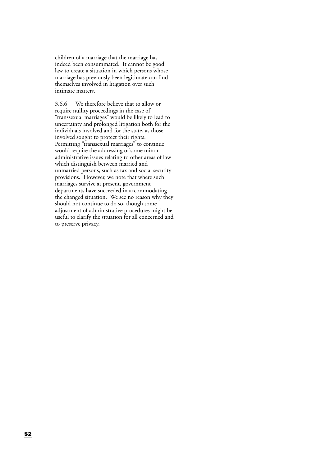children of a marriage that the marriage has indeed been consummated. It cannot be good law to create a situation in which persons whose marriage has previously been legitimate can find themselves involved in litigation over such intimate matters.

3.6.6 We therefore believe that to allow or require nullity proceedings in the case of "transsexual marriages" would be likely to lead to uncertainty and prolonged litigation both for the individuals involved and for the state, as those involved sought to protect their rights. Permitting "transsexual marriages" to continue would require the addressing of some minor administrative issues relating to other areas of law which distinguish between married and unmarried persons, such as tax and social security provisions. However, we note that where such marriages survive at present, government departments have succeeded in accommodating the changed situation. We see no reason why they should not continue to do so, though some adjustment of administrative procedures might be useful to clarify the situation for all concerned and to preserve privacy.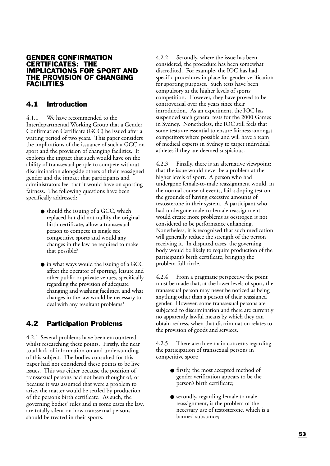#### GENDER CONFIRMATION CERTIFICATES: THE IMPLICATIONS FOR SPORT AND THE PROVISION OF CHANGING FACILITIES

# 4.1 Introduction

4.1.1 We have recommended to the Interdepartmental Working Group that a Gender Confirmation Certificate (GCC) be issued after a waiting period of two years. This paper considers the implications of the issuance of such a GCC on sport and the provision of changing facilities. It explores the impact that such would have on the ability of transsexual people to compete without discrimination alongside others of their reassigned gender and the impact that participants and administrators feel that it would have on sporting fairness. The following questions have been specifically addressed:

- should the issuing of a GCC, which replaced but did not nullify the original birth certificate, allow a transsexual person to compete in single sex competitive sports and would any changes in the law be required to make that possible?
- in what ways would the issuing of a GCC affect the operator of sporting, leisure and other public or private venues, specifically regarding the provision of adequate changing and washing facilities, and what changes in the law would be necessary to deal with any resultant problems?

# 4.2 Participation Problems

4.2.1 Several problems have been encountered whilst researching these points. Firstly, the near total lack of information on and understanding of this subject. The bodies consulted for this paper had not considered these points to be live issues. This was either because the position of transsexual persons had not been thought of, or because it was assumed that were a problem to arise, the matter would be settled by production of the person's birth certificate. As such, the governing bodies' rules and in some cases the law, are totally silent on how transsexual persons should be treated in their sports.

4.2.2 Secondly, where the issue has been considered, the procedure has been somewhat discredited. For example, the IOC has had specific procedures in place for gender verification for sporting purposes. Such tests have been compulsory at the higher levels of sports competition. However, they have proved to be controversial over the years since their introduction. As an experiment, the IOC has suspended such general tests for the 2000 Games in Sydney. Nonetheless, the IOC still feels that some tests are essential to ensure fairness amongst competitors where possible and will have a team of medical experts in Sydney to target individual athletes if they are deemed suspicious.

4.2.3 Finally, there is an alternative viewpoint: that the issue would never be a problem at the higher levels of sport. A person who had undergone female-to-male reassignment would, in the normal course of events, fail a doping test on the grounds of having excessive amounts of testosterone in their system. A participant who had undergone male-to-female reassignment would create more problems as oestrogen is not considered to be performance enhancing. Nonetheless, it is recognised that such medication will generally reduce the strength of the person receiving it. In disputed cases, the governing body would be likely to require production of the participant's birth certificate, bringing the problem full circle.

4.2.4 From a pragmatic perspective the point must be made that, at the lower levels of sport, the transsexual person may never be noticed as being anything other than a person of their reassigned gender. However, some transsexual persons are subjected to discrimination and there are currently no apparently lawful means by which they can obtain redress, when that discrimination relates to the provision of goods and services.

4.2.5 There are three main concerns regarding the participation of transsexual persons in competitive sport:

- firstly, the most accepted method of gender verification appears to be the person's birth certificate;
- secondly, regarding female to male reassignment, is the problem of the necessary use of testosterone, which is a banned substance;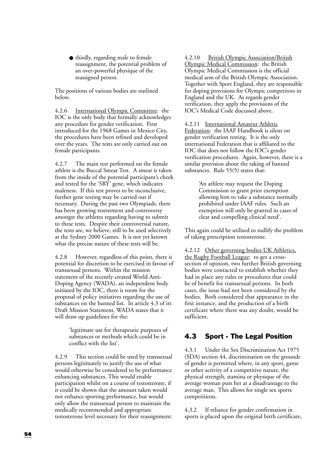● thirdly, regarding male to female reassignment, the potential problem of an over-powerful physique of the reassigned person.

The positions of various bodies are outlined below.

4.2.6 International Olympic Committee: the IOC is the only body that formally acknowledges any procedure for gender verification. First introduced for the 1968 Games in Mexico City, the procedures have been refined and developed over the years. The tests are only carried out on female participants.

4.2.7 The main test performed on the female athlete is the Buccal Smear Test. A smear is taken from the inside of the potential participant's cheek and tested for the 'SRY' gene, which indicates maleness. If this test proves to be inconclusive, further gene testing may be carried out if necessary. During the past two Olympiads, there has been growing resentment and controversy amongst the athletes regarding having to submit to these tests. Despite their controversial nature, the tests are, we believe, still to be used selectively at the Sydney 2000 Games. It is not yet known what the precise nature of these tests will be.

4.2.8 However, regardless of this point, there is potential for discretion to be exercised in favour of transsexual persons. Within the mission statement of the recently created World Anti-Doping Agency (WADA), an independent body initiated by the IOC, there is room for the proposal of policy initiatives regarding the use of substances on the banned list. In article 4.3 of its Draft Mission Statement, WADA states that it will draw up guidelines for the:

> 'legitimate use for therapeutic purposes of substances or methods which could be in conflict with the list'.

4.2.9 This section could be used by transsexual persons legitimately to justify the use of what would otherwise be considered to be performance enhancing substances. This would enable participation whilst on a course of testosterone, if it could be shown that the amount taken would not enhance sporting performance, but would only allow the transsexual person to maintain the medically recommended and appropriate testosterone level necessary for their reassignment. 4.2.10 British Olympic Association/British Olympic Medical Commission: the British Olympic Medical Commission is the official medical arm of the British Olympic Association. Together with Sport England, they are responsible for doping provisions for Olympic competitors in England and the UK. As regards gender verification, they apply the provisions of the IOC's Medical Code discussed above.

4.2.11 International Amateur Athletic Federation: the IAAF Handbook is silent on gender verification testing. It is the only international Federation that is affiliated to the IOC that does not follow the IOC's gender verification procedures. Again, however, there is a similar provision about the taking of banned substances. Rule 55(5) states that:

> 'An athlete may request the Doping Commission to grant prior exemption allowing him to take a substance normally prohibited under IAAF rules. Such an exemption will only be granted in cases of clear and compelling clinical need'.

This again could be utilised to nullify the problem of taking prescription testosterone.

4.2.12 Other governing bodies UK Athletics, the Rugby Football League: to get a crosssection of opinion, two further British governing bodies were contacted to establish whether they had in place any rules or procedures that could be of benefit for transsexual persons. In both cases, the issue had not been considered by the bodies. Both considered that appearance in the first instance, and the production of a birth certificate where there was any doubt, would be sufficient.

# 4.3 Sport - The Legal Position

4.3.1 Under the Sex Discrimination Act 1975 (SDA) section 44, discrimination on the grounds of gender is permitted where, in any sport, game or other activity of a competitive nature, the physical strength, stamina or physique of the average woman puts her at a disadvantage to the average man. This allows for single sex sports competitions.

4.3.2 If reliance for gender confirmation in sports is placed upon the original birth certificate,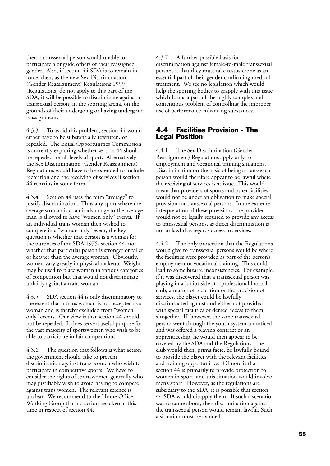then a transsexual person would unable to participate alongside others of their reassigned gender. Also, if section 44 SDA is to remain in force, then, as the new Sex Discrimination (Gender Reassignment) Regulations 1999 (Regulations) do not apply to this part of the SDA, it will be possible to discriminate against a transsexual person, in the sporting arena, on the grounds of their undergoing or having undergone reassignment.

4.3.3 To avoid this problem, section 44 would either have to be substantially rewritten, or repealed. The Equal Opportunities Commission is currently exploring whether section 44 should be repealed for all levels of sport. Alternatively the Sex Discrimination (Gender Reassignment) Regulations would have to be extended to include recreation and the receiving of services if section 44 remains in some form.

4.3.4 Section 44 uses the term "average" to justify discrimination. Thus any sport where the average woman is at a disadvantage to the average man is allowed to have "women only" events. If an individual trans woman then wished to compete in a "woman only" event, the key question is whether that person is a woman for the purposes of the SDA 1975, section 44, not whether that particular person is stronger or taller or heavier than the average woman. Obviously, women vary greatly in physical makeup. Weight may be used to place woman in various categories of competition but that would not discriminate unfairly against a trans woman.

4.3.5 SDA section 44 is only discriminatory to the extent that a trans woman is not accepted as a woman and is thereby excluded from "women only" events. Our view is that section 44 should not be repealed. It does serve a useful purpose for the vast majority of sportswomen who wish to be able to participate in fair competitions.

4.3.6 The question that follows is what action the government should take to prevent discrimination against trans women who wish to participate in competitive sports. We have to consider the rights of sportswomen generally who may justifiably wish to avoid having to compete against trans women. The relevant science is unclear. We recommend to the Home Office Working Group that no action be taken at this time in respect of section 44.

4.3.7 A further possible basis for discrimination against female-to-male transsexual persons is that they must take testosterone as an essential part of their gender confirming medical treatment. We see no legislation which would help the sporting bodies to grapple with this issue which forms a part of the highly complex and contentious problem of controlling the improper use of performance enhancing substances.

# 4.4 Facilities Provision - The Legal Position

4.4.1 The Sex Discrimination (Gender Reassignment) Regulations apply only to employment and vocational training situations. Discrimination on the basis of being a transsexual person would therefore appear to be lawful where the receiving of services is at issue. This would mean that providers of sports and other facilities would not be under an obligation to make special provision for transsexual persons. In the extreme interpretation of these provisions, the provider would not be legally required to provide any access to transsexual persons, as direct discrimination is not unlawful as regards access to services.

4.4.2 The only protection that the Regulations would give to transsexual persons would be where the facilities were provided as part of the person's employment or vocational training. This could lead to some bizarre inconsistencies. For example, if it was discovered that a transsexual person was playing in a junior side at a professional football club, a matter of recreation or the provision of services, the player could be lawfully discriminated against and either not provided with special facilities or denied access to them altogether. If, however, the same transsexual person went through the youth system unnoticed and was offered a playing contract or an apprenticeship, he would then appear to be covered by the SDA and the Regulations. The club would then, prima facie, be lawfully bound to provide the player with the relevant facilities and training opportunities. Of note is that section 44 is primarily to provide protection to women in sport, and this situation would involve men's sport. However, as the regulations are subsidiary to the SDA, it is possible that section 44 SDA would disapply them. If such a scenario was to come about, then discrimination against the transsexual person would remain lawful. Such a situation must be avoided.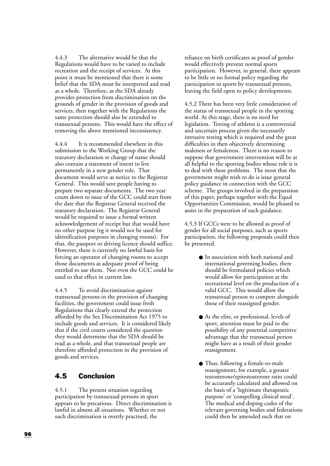4.4.3 The alternative would be that the Regulations would have to be varied to include recreation and the receipt of services. At this point it must be mentioned that there is some belief that the SDA must be interpreted and read as a whole. Therefore, as the SDA already provides protection from discrimination on the grounds of gender in the provision of goods and services, then together with the Regulations the same protection should also be extended to transsexual persons. This would have the effect of removing the above mentioned inconsistency.

4.4.4 It is recommended elsewhere in this submission to the Working Group that the statutory declaration re change of name should also contain a statement of intent to live permanently in a new gender role. That document would serve as notice to the Registrar General. This would save people having to prepare two separate documents. The two year count down to issue of the GCC could start from the date that the Registrar General received the statutory declaration. The Registrar General would be required to issue a formal written acknowledgement of receipt but that would have no other purpose (eg it would not be used for identification purposes in changing rooms). For that, the passport or driving licence should suffice. However, there is currently no lawful basis for forcing an operator of changing rooms to accept those documents as adequate proof of being entitled to use them. Not even the GCC could be used to that effect in current law.

4.4.5 To avoid discrimination against transsexual persons in the provision of changing facilities, the government could issue fresh Regulations that clearly extend the protection afforded by the Sex Discrimination Act 1975 to include goods and services. It is considered likely that if the civil courts considered the question they would determine that the SDA should be read as a whole, and that transsexual people are therefore afforded protection in the provision of goods and services.

# 4.5 Conclusion

4.5.1 The present situation regarding participation by transsexual persons in sport appears to be precarious. Direct discrimination is lawful in almost all situations. Whether or not such discrimination is overtly practised, the

reliance on birth certificates as proof of gender would effectively prevent normal sports participation. However, in general, there appears to be little or no formal policy regarding the participation in sports by transsexual persons, leaving the field open to policy developments.

4.5.2 There has been very little consideration of the status of transsexual people in the sporting world. At this stage, there is no need for legislation. Testing of athletes is a controversial and uncertain process given the necessarily intrusive testing which is required and the great difficulties in then objectively determining maleness or femaleness. There is no reason to suppose that government intervention will be at all helpful to the sporting bodies whose role it is to deal with these problems. The most that the government might wish to do is issue general policy guidance in connection with the GCC scheme. The groups involved in the preparation of this paper, perhaps together with the Equal Opportunities Commission, would be pleased to assist in the preparation of such guidance.

4.5.3 If GCCs were to be allowed as proof of gender for all social purposes, such as sports participation, the following proposals could then be presented.

- In association with both national and international governing bodies, there should be formulated policies which would allow for participation at the recreational level on the production of a valid GCC. This would allow the transsexual person to compete alongside those of their reassigned gender.
- At the elite, or professional, levels of sport, attention must be paid to the possibility of any potential competitive advantage that the transsexual person might have as a result of their gender reassignment.
- Thus, following a female-to-male reassignment, for example, a greater testosterone/epitestosterone ratio could be accurately calculated and allowed on the basis of a 'legitimate therapeutic purpose' or 'compelling clinical need'. The medical and doping codes of the relevant governing bodies and federations could then be amended such that on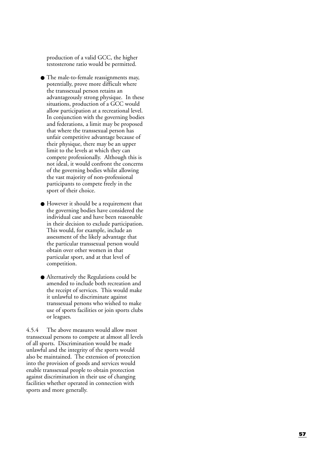production of a valid GCC, the higher testosterone ratio would be permitted.

- The male-to-female reassignments may, potentially, prove more difficult where the transsexual person retains an advantageously strong physique. In these situations, production of a GCC would allow participation at a recreational level. In conjunction with the governing bodies and federations, a limit may be proposed that where the transsexual person has unfair competitive advantage because of their physique, there may be an upper limit to the levels at which they can compete professionally. Although this is not ideal, it would confront the concerns of the governing bodies whilst allowing the vast majority of non-professional participants to compete freely in the sport of their choice.
- However it should be a requirement that the governing bodies have considered the individual case and have been reasonable in their decision to exclude participation. This would, for example, include an assessment of the likely advantage that the particular transsexual person would obtain over other women in that particular sport, and at that level of competition.
- Alternatively the Regulations could be amended to include both recreation and the receipt of services. This would make it unlawful to discriminate against transsexual persons who wished to make use of sports facilities or join sports clubs or leagues.

4.5.4 The above measures would allow most transsexual persons to compete at almost all levels of all sports. Discrimination would be made unlawful and the integrity of the sports would also be maintained. The extension of protection into the provision of goods and services would enable transsexual people to obtain protection against discrimination in their use of changing facilities whether operated in connection with sports and more generally.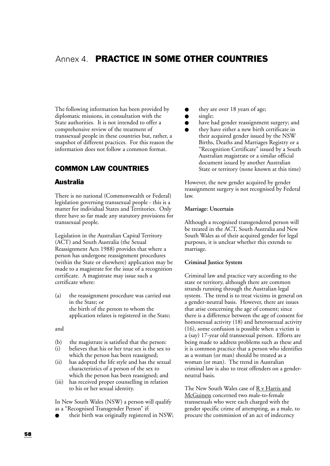# Annex 4. PRACTICE IN SOME OTHER COUNTRIES

The following information has been provided by diplomatic missions, in consultation with the State authorities. It is not intended to offer a comprehensive review of the treatment of transsexual people in these countries but, rather, a snapshot of different practices. For this reason the information does not follow a common format.

# COMMON LAW COUNTRIES

### Australia

There is no national (Commonwealth or Federal) legislation governing transsexual people - this is a matter for individual States and Territories. Only three have so far made any statutory provisions for transsexual people.

Legislation in the Australian Capital Territory (ACT) and South Australia (the Sexual Reassignment Acts 1988) provides that where a person has undergone reassignment procedures (within the State or elsewhere) application may be made to a magistrate for the issue of a recognition certificate. A magistrate may issue such a certificate where:

(a) the reassignment procedure was carried out in the State; or the birth of the person to whom the application relates is registered in the State;

and

- (b) the magistrate is satisfied that the person:
- (i) believes that his or her true sex is the sex to which the person has been reassigned;
- (ii) has adopted the life style and has the sexual characteristics of a person of the sex to which the person has been reassigned; and
- (iii) has received proper counselling in relation to his or her sexual identity.

In New South Wales (NSW) a person will qualify as a "Recognised Transgender Person" if:

their birth was originally registered in NSW;

- they are over 18 years of age;
- single;
- have had gender reassignment surgery; and
- they have either a new birth certificate in their acquired gender issued by the NSW Births, Deaths and Marriages Registry or a "Recognition Certificate" issued by a South Australian magistrate or a similar official document issued by another Australian State or territory (none known at this time)

However, the new gender acquired by gender reassignment surgery is not recognised by Federal law.

#### **Marriage: Uncertain**

Although a recognised transgendered person will be treated in the ACT, South Australia and New South Wales as of their acquired gender for legal purposes, it is unclear whether this extends to marriage.

#### **Criminal Justice System**

Criminal law and practice vary according to the state or territory, although there are common strands running through the Australian legal system. The trend is to treat victims in general on a gender-neutral basis. However, there are issues that arise concerning the age of consent; since there is a difference between the age of consent for homosexual activity (18) and heterosexual activity (16), some confusion is possible when a victim is a (say) 17-year old transsexual person. Efforts are being made to address problems such as these and it is common practice that a person who identifies as a woman (or man) should be treated as a woman (or man). The trend in Australian criminal law is also to treat offenders on a genderneutral basis.

The New South Wales case of R v Harris and McGuiness concerned two male-to-female transsexuals who were each charged with the gender specific crime of attempting, as a male, to procure the commission of an act of indecency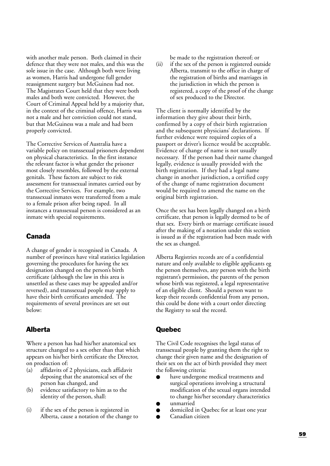with another male person. Both claimed in their defence that they were not males, and this was the sole issue in the case. Although both were living as women, Harris had undergone full gender reassignment surgery but McGuiness had not. The Magistrates Court held that they were both males and both were convicted. However, the Court of Criminal Appeal held by a majority that, in the context of the criminal offence, Harris was not a male and her conviction could not stand, but that McGuiness was a male and had been properly convicted.

The Corrective Services of Australia have a variable policy on transsexual prisoners dependent on physical characteristics. In the first instance the relevant factor is what gender the prisoner most closely resembles, followed by the external genitals. These factors are subject to risk assessment for transsexual inmates carried out by the Corrective Services. For example, two transsexual inmates were transferred from a male to a female prison after being raped. In all instances a transsexual person is considered as an inmate with special requirements.

# Canada

A change of gender is recognised in Canada. A number of provinces have vital statistics legislation governing the procedures for having the sex designation changed on the person's birth certificate (although the law in this area is unsettled as these cases may be appealed and/or reversed), and transsexual people may apply to have their birth certificates amended. The requirements of several provinces are set out below:

# Alberta

Where a person has had his/her anatomical sex structure changed to a sex other than that which appears on his/her birth certificate the Director, on production of:

- (a) affidavits of 2 physicians, each affidavit deposing that the anatomical sex of the person has changed, and
- (b) evidence satisfactory to him as to the identity of the person, shall:
- (i) if the sex of the person is registered in Alberta, cause a notation of the change to
- be made to the registration thereof; or
- (ii) if the sex of the person is registered outside Alberta, transmit to the office in charge of the registration of births and marriages in the jurisdiction in which the person is registered, a copy of the proof of the change of sex produced to the Director.

The client is normally identified by the information they give about their birth, confirmed by a copy of their birth registration and the subsequent physicians' declarations. If further evidence were required copies of a passport or driver's licence would be acceptable. Evidence of change of name is not usually necessary. If the person had their name changed legally, evidence is usually provided with the birth registration. If they had a legal name change in another jurisdiction, a certified copy of the change of name registration document would be required to amend the name on the original birth registration.

Once the sex has been legally changed on a birth certificate, that person is legally deemed to be of that sex. Every birth or marriage certificate issued after the making of a notation under this section is issued as if the registration had been made with the sex as changed.

Alberta Registries records are of a confidential nature and only available to eligible applicants eg the person themselves, any person with the birth registrant's permission, the parents of the person whose birth was registered, a legal representative of an eligible client. Should a person want to keep their records confidential from any person, this could be done with a court order directing the Registry to seal the record.

# Quebec

The Civil Code recognises the legal status of transsexual people by granting them the right to change their given name and the designation of their sex on the act of birth provided they meet the following criteria:

- have undergone medical treatments and surgical operations involving a structural modification of the sexual organs intended to change his/her secondary characteristics unmarried
- 
- domiciled in Quebec for at least one year
- Canadian citizen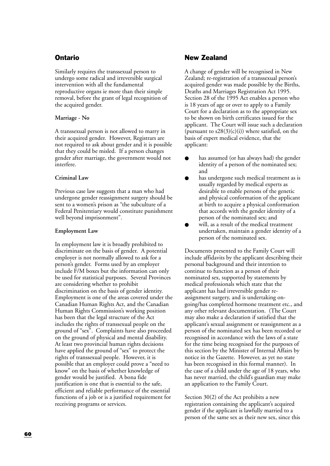# Ontario

Similarly requires the transsexual person to undergo some radical and irreversible surgical intervention with all the fundamental reproductive organs ie more than their simple removal, before the grant of legal recognition of the acquired gender.

### **Marriage - No**

A transsexual person is not allowed to marry in their acquired gender. However, Registrars are not required to ask about gender and it is possible that they could be misled. If a person changes gender after marriage, the government would not interfere.

#### **Criminal Law**

Previous case law suggests that a man who had undergone gender reassignment surgery should be sent to a women's prison as "the subculture of a Federal Penitentiary would constitute punishment well beyond imprisonment".

### **Employment Law**

In employment law it is broadly prohibited to discriminate on the basis of gender. A potential employer is not normally allowed to ask for a person's gender. Forms used by an employer include F/M boxes but the information can only be used for statistical purposes. Several Provinces are considering whether to prohibit discrimination on the basis of gender identity. Employment is one of the areas covered under the Canadian Human Rights Act, and the Canadian Human Rights Commission's working position has been that the legal structure of the Act includes the rights of transsexual people on the ground of "sex". Complaints have also proceeded on the ground of physical and mental disability. At least two provincial human rights decisions have applied the ground of "sex" to protect the rights of transsexual people. However, it is possible that an employer could prove a "need to know" on the basis of whether knowledge of gender would be justified. A bona fide justification is one that is essential to the safe, efficient and reliable performance of the essential functions of a job or is a justified requirement for receiving programs or services.

# New Zealand

A change of gender will be recognised in New Zealand; re-registration of a transsexual person's acquired gender was made possible by the Births, Deaths and Marriages Registration Act 1995. Section 28 of the 1995 Act enables a person who is 18 years of age or over to apply to a Family Court for a declaration as to the appropriate sex to be shown on birth certificates issued for the applicant. The Court will issue such a declaration (pursuant to  $s28(3)(c)(i)$ ) where satisfied, on the basis of expert medical evidence, that the applicant:

- has assumed (or has always had) the gender identity of a person of the nominated sex; and
- has undergone such medical treatment as is usually regarded by medical experts as desirable to enable persons of the genetic and physical conformation of the applicant at birth to acquire a physical conformation that accords with the gender identity of a person of the nominated sex; and
- will, as a result of the medical treatment undertaken, maintain a gender identity of a person of the nominated sex.

Documents presented to the Family Court will include affidavits by the applicant describing their personal background and their intention to continue to function as a person of their nominated sex, supported by statements by medical professionals which state that the applicant has had irreversible gender reassignment surgery, and is undertaking ongoing/has completed hormone treatment etc., and any other relevant documentation. (The Court may also make a declaration if satisfied that the applicant's sexual assignment or reassignment as a person of the nominated sex has been recorded or recognised in accordance with the laws of a state for the time being recognised for the purposes of this section by the Minister of Internal Affairs by notice in the Gazette. However, as yet no state has been recognised in this formal manner). In the case of a child under the age of 18 years, who has never married, the child's guardian may make an application to the Family Court.

Section 30(2) of the Act prohibits a new registration containing the applicant's acquired gender if the applicant is lawfully married to a person of the same sex as their new sex, since this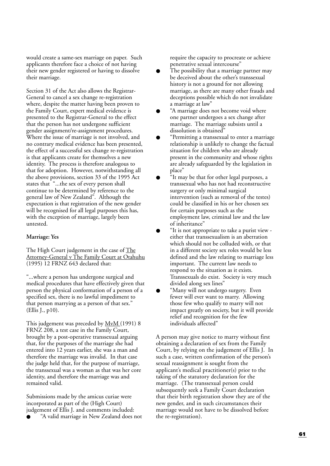would create a same-sex marriage on paper. Such applicants therefore face a choice of not having their new gender registered or having to dissolve their marriage.

Section 31 of the Act also allows the Registrar-General to cancel a sex change re-registration where, despite the matter having been proven to the Family Court, expert medical evidence is presented to the Registrar-General to the effect that the person has not undergone sufficient gender assignment/re-assignment procedures. Where the issue of marriage is not involved, and no contrary medical evidence has been presented, the effect of a successful sex change re-registration is that applicants create for themselves a new identity. The process is therefore analogous to that for adoption. However, notwithstanding all the above provisions, section 33 of the 1995 Act states that "...the sex of every person shall continue to be determined by reference to the general law of New Zealand". Although the expectation is that registration of the new gender will be recognised for all legal purposes this has, with the exception of marriage, largely been untested.

#### **Marriage: Yes**

The High Court judgement in the case of The Attorney-General v The Family Court at Otahuhu (1995) 12 FRNZ 643 declared that:

"...where a person has undergone surgical and medical procedures that have effectively given that person the physical conformation of a person of a specified sex, there is no lawful impediment to that person marrying as a person of that sex." (Ellis J., p10).

This judgement was preceded by MvM (1991) 8 FRNZ 208, a test case in the Family Court, brought by a post-operative transsexual arguing that, for the purposes of the marriage she had entered into 12 years earlier, she was a man and therefore the marriage was invalid. In that case the judge held that, for the purpose of marriage, the transsexual was a woman as that was her core identity, and therefore the marriage was and remained valid.

Submissions made by the amicus curiae were incorporated as part of the (High Court) judgement of Ellis J. and comments included:

"A valid marriage in New Zealand does not

require the capacity to procreate or achieve penetrative sexual intercourse"

- The possibility that a marriage partner may be deceived about the other's transsexual history is not a ground for not allowing marriage, as there are many other frauds and deceptions possible which do not invalidate a marriage at law"
- "A marriage does not become void where one partner undergoes a sex change after marriage. The marriage subsists until a dissolution is obtained"
- "Permitting a transsexual to enter a marriage relationship is unlikely to change the factual situation for children who are already present in the community and whose rights are already safeguarded by the legislation in place"
- $\sqrt[4]{ }$ It may be that for other legal purposes, a transsexual who has not had reconstructive surgery or only minimal surgical intervention (such as removal of the testes) could be classified in his or her chosen sex for certain purposes such as the employment law, criminal law and the law of inheritance"
- "It is not appropriate to take a purist view either that transsexualism is an aberration which should not be colluded with, or that in a different society sex roles would be less defined and the law relating to marriage less important. The current law needs to respond to the situation as it exists. Transsexuals do exist. Society is very much divided along sex lines"
- "Many will not undergo surgery. Even fewer will ever want to marry. Allowing those few who qualify to marry will not impact greatly on society, but it will provide relief and recognition for the few individuals affected"

A person may give notice to marry without first obtaining a declaration of sex from the Family Court, by relying on the judgement of Ellis J. In such a case, written confirmation of the person's sexual reassignment is sought from the applicant's medical practitioner(s) prior to the taking of the statutory declaration for the marriage. (The transsexual person could subsequently seek a Family Court declaration that their birth registration show they are of the new gender, and in such circumstances their marriage would not have to be dissolved before the re-registration).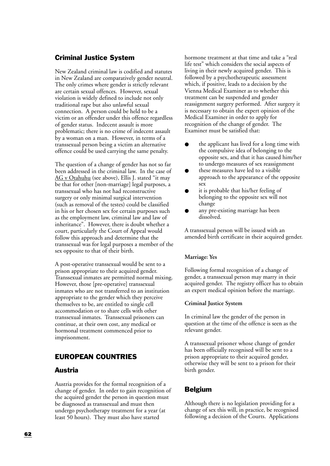# Criminal Justice System

New Zealand criminal law is codified and statutes in New Zealand are comparatively gender neutral. The only crimes where gender is strictly relevant are certain sexual offences. However, sexual violation is widely defined to include not only traditional rape but also unlawful sexual connection. A person could be held to be a victim or an offender under this offence regardless of gender status. Indecent assault is more problematic; there is no crime of indecent assault by a woman on a man. However, in terms of a transsexual person being a victim an alternative offence could be used carrying the same penalty.

The question of a change of gender has not so far been addressed in the criminal law. In the case of AG v Otahuhu (see above), Ellis J. stated "it may be that for other [non-marriage] legal purposes, a transsexual who has not had reconstructive surgery or only minimal surgical intervention (such as removal of the testes) could be classified in his or her chosen sex for certain purposes such as the employment law, criminal law and law of inheritance". However, there is doubt whether a court, particularly the Court of Appeal would follow this approach and determine that the transsexual was for legal purposes a member of the sex opposite to that of their birth.

A post-operative transsexual would be sent to a prison appropriate to their acquired gender. Transsexual inmates are permitted normal mixing. However, those [pre-operative] transsexual inmates who are not transferred to an institution appropriate to the gender which they perceive themselves to be, are entitled to single cell accommodation or to share cells with other transsexual inmates. Transsexual prisoners can continue, at their own cost, any medical or hormonal treatment commenced prior to imprisonment.

# EUROPEAN COUNTRIES

# Austria

Austria provides for the formal recognition of a change of gender. In order to gain recognition of the acquired gender the person in question must be diagnosed as transsexual and must then undergo psychotherapy treatment for a year (at least 50 hours). They must also have started

hormone treatment at that time and take a "real life test" which considers the social aspects of living in their newly acquired gender. This is followed by a psychotherapeutic assessment which, if positive, leads to a decision by the Vienna Medical Examiner as to whether this treatment can be suspended and gender reassignment surgery performed. After surgery it is necessary to obtain the expert opinion of the Medical Examiner in order to apply for recognition of the change of gender. The Examiner must be satisfied that:

- the applicant has lived for a long time with the compulsive idea of belonging to the opposite sex, and that it has caused him/her to undergo measures of sex reassignment
- these measures have led to a visible approach to the appearance of the opposite sex
- it is probable that his/her feeling of belonging to the opposite sex will not change
- any pre-existing marriage has been dissolved.

A transsexual person will be issued with an amended birth certificate in their acquired gender.

#### **Marriage: Yes**

Following formal recognition of a change of gender, a transsexual person may marry in their acquired gender. The registry officer has to obtain an expert medical opinion before the marriage.

#### **Criminal Justice System**

In criminal law the gender of the person in question at the time of the offence is seen as the relevant gender.

A transsexual prisoner whose change of gender has been officially recognised will be sent to a prison appropriate to their acquired gender, otherwise they will be sent to a prison for their birth gender.

# Belgium

Although there is no legislation providing for a change of sex this will, in practice, be recognised following a decision of the Courts. Applications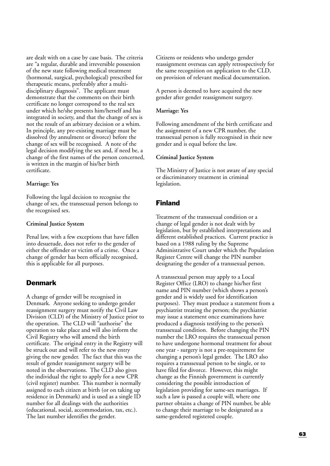are dealt with on a case by case basis. The criteria are "a regular, durable and irreversible possession of the new state following medical treatment (hormonal, surgical, psychological) prescribed for therapeutic means, preferably after a multidisciplinary diagnosis". The applicant must demonstrate that the comments on their birth certificate no longer correspond to the real sex under which he/she presents him/herself and has integrated in society, and that the change of sex is not the result of an arbitrary decision or a whim. In principle, any pre-existing marriage must be dissolved (by annulment or divorce) before the change of sex will be recognised. A note of the legal decision modifying the sex and, if need be, a change of the first names of the person concerned, is written in the margin of his/her birth certificate.

#### **Marriage: Yes**

Following the legal decision to recognise the change of sex, the transsexual person belongs to the recognised sex.

#### **Criminal Justice System**

Penal law, with a few exceptions that have fallen into desuetude, does not refer to the gender of either the offender or victim of a crime. Once a change of gender has been officially recognised, this is applicable for all purposes.

### Denmark

A change of gender will be recognised in Denmark. Anyone seeking to undergo gender reassignment surgery must notify the Civil Law Division (CLD) of the Ministry of Justice prior to the operation. The CLD will "authorise" the operation to take place and will also inform the Civil Registry who will amend the birth certificate. The original entry in the Registry will be struck out and will refer to the new entry giving the new gender. The fact that this was the result of gender reassignment surgery will be noted in the observations. The CLD also gives the individual the right to apply for a new CPR (civil register) number. This number is normally assigned to each citizen at birth (or on taking up residence in Denmark) and is used as a single ID number for all dealings with the authorities (educational, social, accommodation, tax, etc.). The last number identifies the gender.

Citizens or residents who undergo gender reassignment overseas can apply retrospectively for the same recognition on application to the CLD, on provision of relevant medical documentation.

A person is deemed to have acquired the new gender after gender reassignment surgery.

#### **Marriage: Yes**

Following amendment of the birth certificate and the assignment of a new CPR number, the transsexual person is fully recognised in their new gender and is equal before the law.

#### **Criminal Justice System**

The Ministry of Justice is not aware of any special or discriminatory treatment in criminal legislation.

# Finland

Treatment of the transsexual condition or a change of legal gender is not dealt with by legislation, but by established interpretations and different established practices. Current practice is based on a 1988 ruling by the Supreme Administrative Court under which the Population Register Centre will change the PIN number designating the gender of a transsexual person.

A transsexual person may apply to a Local Register Office (LRO) to change his/her first name and PIN number (which shows a person's gender and is widely used for identification purposes). They must produce a statement from a psychiatrist treating the person; the psychiatrist may issue a statement once examinations have produced a diagnosis testifying to the person's transsexual condition. Before changing the PIN number the LRO requires the transsexual person to have undergone hormonal treatment for about one year - surgery is not a pre-requirement for changing a person's legal gender. The LRO also requires a transsexual person to be single, or to have filed for divorce. However, this might change as the Finnish government is currently considering the possible introduction of legislation providing for same-sex marriages. If such a law is passed a couple will, where one partner obtains a change of PIN number, be able to change their marriage to be designated as a same-gendered registered couple.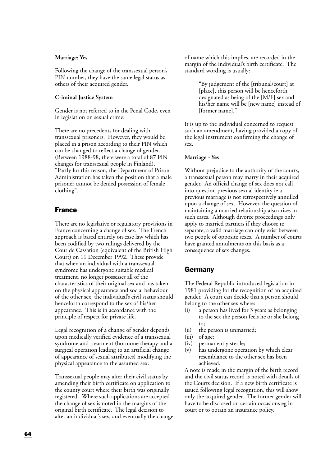#### **Marriage: Yes**

Following the change of the transsexual person's PIN number, they have the same legal status as others of their acquired gender.

#### **Criminal Justice System**

Gender is not referred to in the Penal Code, even in legislation on sexual crime.

There are no precedents for dealing with transsexual prisoners. However, they would be placed in a prison according to their PIN which can be changed to reflect a change of gender. (Between 1988-98, there were a total of 87 PIN changes for transsexual people in Finland). "Partly for this reason, the Department of Prison Administration has taken the position that a male prisoner cannot be denied possession of female clothing".

# France

There are no legislative or regulatory provisions in France concerning a change of sex. The French approach is based entirely on case law which has been codified by two rulings delivered by the Cour de Cassation (equivalent of the British High Court) on 11 December 1992. These provide that when an individual with a transsexual syndrome has undergone suitable medical treatment, no longer possesses all of the characteristics of their original sex and has taken on the physical appearance and social behaviour of the other sex, the individual's civil status should henceforth correspond to the sex of his/her appearance. This is in accordance with the principle of respect for private life.

Legal recognition of a change of gender depends upon medically verified evidence of a transsexual syndrome and treatment (hormone therapy and a surgical operation leading to an artificial change of appearance of sexual attributes) modifying the physical appearance to the assumed sex.

Transsexual people may alter their civil status by amending their birth certificate on application to the county court where their birth was originally registered. Where such applications are accepted the change of sex is noted in the margins of the original birth certificate. The legal decision to alter an individual's sex, and eventually the change of name which this implies, are recorded in the margin of the individual's birth certificate. The standard wording is usually:

> "By judgement of the [tribunal/court] at [place], this person will be henceforth designated as being of the [M/F] sex and his/her name will be [new name] instead of [former name]."

It is up to the individual concerned to request such an amendment, having provided a copy of the legal instrument confirming the change of sex.

#### **Marriage - Yes**

Without prejudice to the authority of the courts, a transsexual person may marry in their acquired gender. An official change of sex does not call into question previous sexual identity ie a previous marriage is not retrospectively annulled upon a change of sex. However, the question of maintaining a married relationship also arises in such cases. Although divorce proceedings only apply to married partners if they choose to separate, a valid marriage can only exist between two people of opposite sexes. A number of courts have granted annulments on this basis as a consequence of sex changes.

# **Germany**

The Federal Republic introduced legislation in 1981 providing for the recognition of an acquired gender. A court can decide that a person should belong to the other sex where:

- (i) a person has lived for 3 years as belonging to the sex the person feels he or she belong to;
- (ii) the person is unmarried;
- (iii) of age;
- (iv) permanently sterile;
- (v) has undergone operation by which clear resemblance to the other sex has been achieved.

A note is made in the margin of the birth record and the civil status record is noted with details of the Courts decision. If a new birth certificate is issued following legal recognition, this will show only the acquired gender. The former gender will have to be disclosed on certain occasions eg in court or to obtain an insurance policy.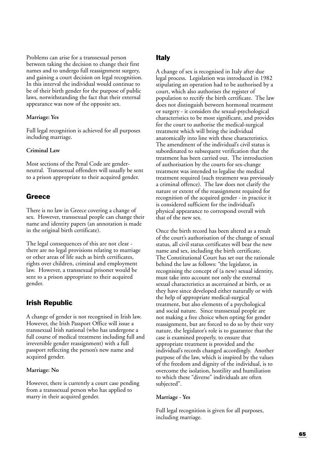Problems can arise for a transsexual person between taking the decision to change their first names and to undergo full reassignment surgery, and gaining a court decision on legal recognition. In this interval the individual would continue to be of their birth gender for the purpose of public laws, notwithstanding the fact that their external appearance was now of the opposite sex.

#### **Marriage: Yes**

Full legal recognition is achieved for all purposes including marriage.

#### **Criminal Law**

Most sections of the Penal Code are genderneutral. Transsexual offenders will usually be sent to a prison appropriate to their acquired gender.

### Greece

There is no law in Greece covering a change of sex. However, transsexual people can change their name and identity papers (an annotation is made in the original birth certificate).

The legal consequences of this are not clear there are no legal provisions relating to marriage or other areas of life such as birth certificates, rights over children, criminal and employment law. However, a transsexual prisoner would be sent to a prison appropriate to their acquired gender.

### Irish Republic

A change of gender is not recognised in Irish law. However, the Irish Passport Office will issue a transsexual Irish national (who has undergone a full course of medical treatment including full and irreversible gender reassignment) with a full passport reflecting the person's new name and acquired gender.

#### **Marriage: No**

However, there is currently a court case pending from a transsexual person who has applied to marry in their acquired gender.

#### Italy

A change of sex is recognised in Italy after due legal process. Legislation was introduced in 1982 stipulating an operation had to be authorised by a court, which also authorises the register of population to rectify the birth certificate. The law does not distinguish between hormonal treatment or surgery - it considers the sexual-psychological characteristics to be most significant, and provides for the court to authorise the medical-surgical treatment which will bring the individual anatomically into line with these characteristics. The amendment of the individual's civil status is subordinated to subsequent verification that the treatment has been carried out. The introduction of authorisation by the courts for sex-change treatment was intended to legalise the medical treatment required (such treatment was previously a criminal offence). The law does not clarify the nature or extent of the reassignment required for recognition of the acquired gender - in practice it is considered sufficient for the individual's physical appearance to correspond overall with that of the new sex.

Once the birth record has been altered as a result of the court's authorisation of the change of sexual status, all civil status certificates will bear the new name and sex, including the birth certificate. The Constitutional Court has set out the rationale behind the law as follows: "the legislator, in recognising the concept of (a new) sexual identity, must take into account not only the external sexual characteristics as ascertained at birth, or as they have since developed either naturally or with the help of appropriate medical-surgical treatment, but also elements of a psychological and social nature. Since transsexual people are not making a free choice when opting for gender reassignment, but are forced to do so by their very nature, the legislator's role is to guarantee that the case is examined properly, to ensure that appropriate treatment is provided and the individual's records changed accordingly. Another purpose of the law, which is inspired by the values of the freedom and dignity of the individual, is to overcome the isolation, hostility and humiliation to which these "diverse" individuals are often subjected".

#### **Marriage - Yes**

Full legal recognition is given for all purposes, including marriage.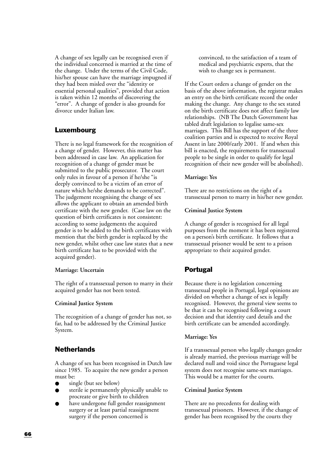A change of sex legally can be recognised even if the individual concerned is married at the time of the change. Under the terms of the Civil Code, his/her spouse can have the marriage impugned if they had been misled over the "identity or essential personal qualities", provided that action is taken within 12 months of discovering the "error". A change of gender is also grounds for divorce under Italian law.

# Luxembourg

There is no legal framework for the recognition of a change of gender. However, this matter has been addressed in case law. An application for recognition of a change of gender must be submitted to the public prosecutor. The court only rules in favour of a person if he/she "is deeply convinced to be a victim of an error of nature which he/she demands to be corrected". The judgement recognising the change of sex allows the applicant to obtain an amended birth certificate with the new gender. (Case law on the question of birth certificates is not consistent: according to some judgements the acquired gender is to be added to the birth certificates with mention that the birth gender is replaced by the new gender, whilst other case law states that a new birth certificate has to be provided with the acquired gender).

#### **Marriage: Uncertain**

The right of a transsexual person to marry in their acquired gender has not been tested.

#### **Criminal Justice System**

The recognition of a change of gender has not, so far, had to be addressed by the Criminal Justice System.

# **Netherlands**

A change of sex has been recognised in Dutch law since 1985. To acquire the new gender a person must be:

- single (but see below)
- sterile ie permanently physically unable to procreate or give birth to children
- have undergone full gender reassignment surgery or at least partial reassignment surgery if the person concerned is

convinced, to the satisfaction of a team of medical and psychiatric experts, that the wish to change sex is permanent.

If the Court orders a change of gender on the basis of the above information, the registrar makes an entry on the birth certificate record the order making the change. Any change to the sex stated on the birth certificate does not affect family law relationships. (NB The Dutch Government has tabled draft legislation to legalise same-sex marriages. This Bill has the support of the three coalition parties and is expected to receive Royal Assent in late 2000/early 2001. If and when this bill is enacted, the requirements for transsexual people to be single in order to qualify for legal recognition of their new gender will be abolished).

### **Marriage: Yes**

There are no restrictions on the right of a transsexual person to marry in his/her new gender.

### **Criminal Justice System**

A change of gender is recognised for all legal purposes from the moment it has been registered on a person's birth certificate. It follows that a transsexual prisoner would be sent to a prison appropriate to their acquired gender.

# Portugal

Because there is no legislation concerning transsexual people in Portugal, legal opinions are divided on whether a change of sex is legally recognised. However, the general view seems to be that it can be recognised following a court decision and that identity card details and the birth certificate can be amended accordingly.

### **Marriage: Yes**

If a transsexual person who legally changes gender is already married, the previous marriage will be declared null and void since the Portuguese legal system does not recognise same-sex marriages. This would be a matter for the courts.

#### **Criminal Justice System**

There are no precedents for dealing with transsexual prisoners. However, if the change of gender has been recognised by the courts they